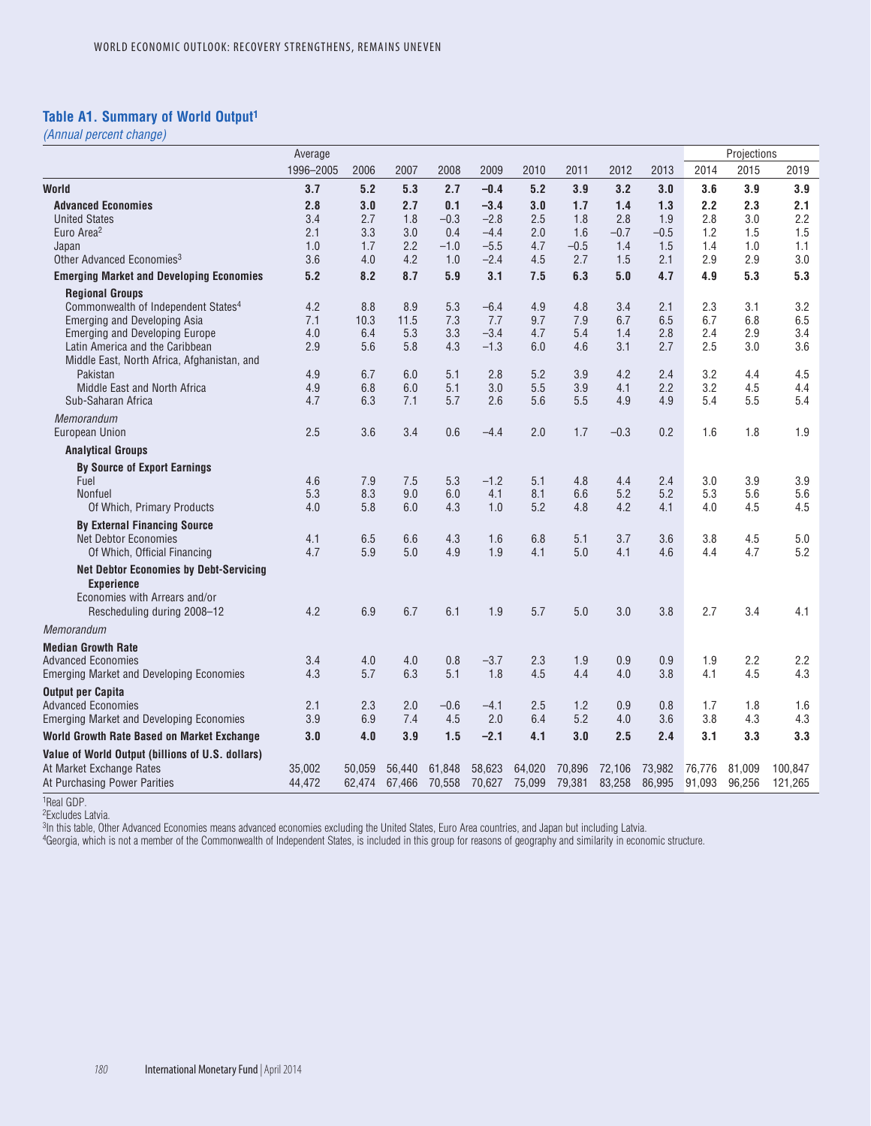### **Table A1. Summary of World Output1**

*(Annual percent change)*

|                                                                                | Average   |        |        |        |        |        |        |        |        |        | Projections |         |
|--------------------------------------------------------------------------------|-----------|--------|--------|--------|--------|--------|--------|--------|--------|--------|-------------|---------|
|                                                                                | 1996-2005 | 2006   | 2007   | 2008   | 2009   | 2010   | 2011   | 2012   | 2013   | 2014   | 2015        | 2019    |
| World                                                                          | 3.7       | 5.2    | 5.3    | 2.7    | $-0.4$ | 5.2    | 3.9    | 3.2    | 3.0    | 3.6    | 3.9         | 3.9     |
| <b>Advanced Economies</b>                                                      | 2.8       | 3.0    | 2.7    | 0.1    | $-3.4$ | 3.0    | 1.7    | 1.4    | 1.3    | 2.2    | 2.3         | 2.1     |
| <b>United States</b>                                                           | 3.4       | 2.7    | 1.8    | $-0.3$ | $-2.8$ | 2.5    | 1.8    | 2.8    | 1.9    | 2.8    | 3.0         | 2.2     |
| Euro Area <sup>2</sup>                                                         | 2.1       | 3.3    | 3.0    | 0.4    | $-4.4$ | 2.0    | 1.6    | $-0.7$ | $-0.5$ | 1.2    | 1.5         | 1.5     |
| Japan                                                                          | 1.0       | 1.7    | 2.2    | $-1.0$ | $-5.5$ | 4.7    | $-0.5$ | 1.4    | 1.5    | 1.4    | 1.0         | 1.1     |
| Other Advanced Economies <sup>3</sup>                                          | 3.6       | 4.0    | 4.2    | 1.0    | $-2.4$ | 4.5    | 2.7    | 1.5    | 2.1    | 2.9    | 2.9         | 3.0     |
| <b>Emerging Market and Developing Economies</b>                                | 5.2       | 8.2    | 8.7    | 5.9    | 3.1    | 7.5    | 6.3    | 5.0    | 4.7    | 4.9    | 5.3         | 5.3     |
| <b>Regional Groups</b>                                                         |           |        |        |        |        |        |        |        |        |        |             |         |
| Commonwealth of Independent States <sup>4</sup>                                | 4.2       | 8.8    | 8.9    | 5.3    | $-6.4$ | 4.9    | 4.8    | 3.4    | 2.1    | 2.3    | 3.1         | 3.2     |
| Emerging and Developing Asia                                                   | 7.1       | 10.3   | 11.5   | 7.3    | 7.7    | 9.7    | 7.9    | 6.7    | 6.5    | 6.7    | 6.8         | 6.5     |
| <b>Emerging and Developing Europe</b>                                          | 4.0       | 6.4    | 5.3    | 3.3    | $-3.4$ | 4.7    | 5.4    | 1.4    | 2.8    | 2.4    | 2.9         | 3.4     |
| Latin America and the Caribbean<br>Middle East, North Africa, Afghanistan, and | 2.9       | 5.6    | 5.8    | 4.3    | $-1.3$ | 6.0    | 4.6    | 3.1    | 2.7    | 2.5    | 3.0         | 3.6     |
| Pakistan                                                                       | 4.9       | 6.7    | 6.0    | 5.1    | 2.8    | 5.2    | 3.9    | 4.2    | 2.4    | 3.2    | 4.4         | 4.5     |
| Middle East and North Africa                                                   | 4.9       | 6.8    | 6.0    | 5.1    | 3.0    | 5.5    | 3.9    | 4.1    | 2.2    | 3.2    | 4.5         | 4.4     |
| Sub-Saharan Africa                                                             | 4.7       | 6.3    | 7.1    | 5.7    | 2.6    | 5.6    | 5.5    | 4.9    | 4.9    | 5.4    | 5.5         | 5.4     |
| <b>Memorandum</b>                                                              |           |        |        |        |        |        |        |        |        |        |             |         |
| <b>European Union</b>                                                          | 2.5       | 3.6    | 3.4    | 0.6    | $-4.4$ | 2.0    | 1.7    | $-0.3$ | 0.2    | 1.6    | 1.8         | 1.9     |
| <b>Analytical Groups</b>                                                       |           |        |        |        |        |        |        |        |        |        |             |         |
| <b>By Source of Export Earnings</b>                                            |           |        |        |        |        |        |        |        |        |        |             |         |
| Fuel                                                                           | 4.6       | 7.9    | 7.5    | 5.3    | $-1.2$ | 5.1    | 4.8    | 4.4    | 2.4    | 3.0    | 3.9         | 3.9     |
| <b>Nonfuel</b>                                                                 | 5.3       | 8.3    | 9.0    | 6.0    | 4.1    | 8.1    | 6.6    | 5.2    | 5.2    | 5.3    | 5.6         | 5.6     |
| Of Which, Primary Products                                                     | 4.0       | 5.8    | 6.0    | 4.3    | 1.0    | 5.2    | 4.8    | 4.2    | 4.1    | 4.0    | 4.5         | 4.5     |
| <b>By External Financing Source</b>                                            |           |        |        |        |        |        |        |        |        |        |             |         |
| <b>Net Debtor Economies</b>                                                    | 4.1       | 6.5    | 6.6    | 4.3    | 1.6    | 6.8    | 5.1    | 3.7    | 3.6    | 3.8    | 4.5         | 5.0     |
| Of Which, Official Financing                                                   | 4.7       | 5.9    | 5.0    | 4.9    | 1.9    | 4.1    | 5.0    | 4.1    | 4.6    | 4.4    | 4.7         | 5.2     |
| <b>Net Debtor Economies by Debt-Servicing</b>                                  |           |        |        |        |        |        |        |        |        |        |             |         |
| <b>Experience</b>                                                              |           |        |        |        |        |        |        |        |        |        |             |         |
| Economies with Arrears and/or                                                  |           |        |        |        |        |        |        |        |        |        |             |         |
| Rescheduling during 2008-12                                                    | 4.2       | 6.9    | 6.7    | 6.1    | 1.9    | 5.7    | 5.0    | 3.0    | 3.8    | 2.7    | 3.4         | 4.1     |
| Memorandum                                                                     |           |        |        |        |        |        |        |        |        |        |             |         |
| <b>Median Growth Rate</b>                                                      |           |        |        |        |        |        |        |        |        |        |             |         |
| <b>Advanced Economies</b>                                                      | 3.4       | 4.0    | 4.0    | 0.8    | $-3.7$ | 2.3    | 1.9    | 0.9    | 0.9    | 1.9    | 2.2         | 2.2     |
| <b>Emerging Market and Developing Economies</b>                                | 4.3       | 5.7    | 6.3    | 5.1    | 1.8    | 4.5    | 4.4    | 4.0    | 3.8    | 4.1    | 4.5         | 4.3     |
| <b>Output per Capita</b>                                                       |           |        |        |        |        |        |        |        |        |        |             |         |
| <b>Advanced Economies</b>                                                      | 2.1       | 2.3    | 2.0    | $-0.6$ | $-4.1$ | 2.5    | 1.2    | 0.9    | 0.8    | 1.7    | 1.8         | 1.6     |
| <b>Emerging Market and Developing Economies</b>                                | 3.9       | 6.9    | 7.4    | 4.5    | 2.0    | 6.4    | 5.2    | 4.0    | 3.6    | 3.8    | 4.3         | 4.3     |
| World Growth Rate Based on Market Exchange                                     | 3.0       | 4.0    | 3.9    | 1.5    | $-2.1$ | 4.1    | 3.0    | 2.5    | 2.4    | 3.1    | 3.3         | 3.3     |
| Value of World Output (billions of U.S. dollars)                               |           |        |        |        |        |        |        |        |        |        |             |         |
| At Market Exchange Rates                                                       | 35,002    | 50,059 | 56,440 | 61,848 | 58,623 | 64,020 | 70,896 | 72,106 | 73,982 | 76,776 | 81,009      | 100,847 |
| At Purchasing Power Parities                                                   | 44,472    | 62,474 | 67,466 | 70,558 | 70,627 | 75,099 | 79,381 | 83,258 | 86,995 | 91,093 | 96,256      | 121,265 |

1Real GDP.

2Excludes Latvia.

3In this table, Other Advanced Economies means advanced economies excluding the United States, Euro Area countries, and Japan but including Latvia.

4Georgia, which is not a member of the Commonwealth of Independent States, is included in this group for reasons of geography and similarity in economic structure.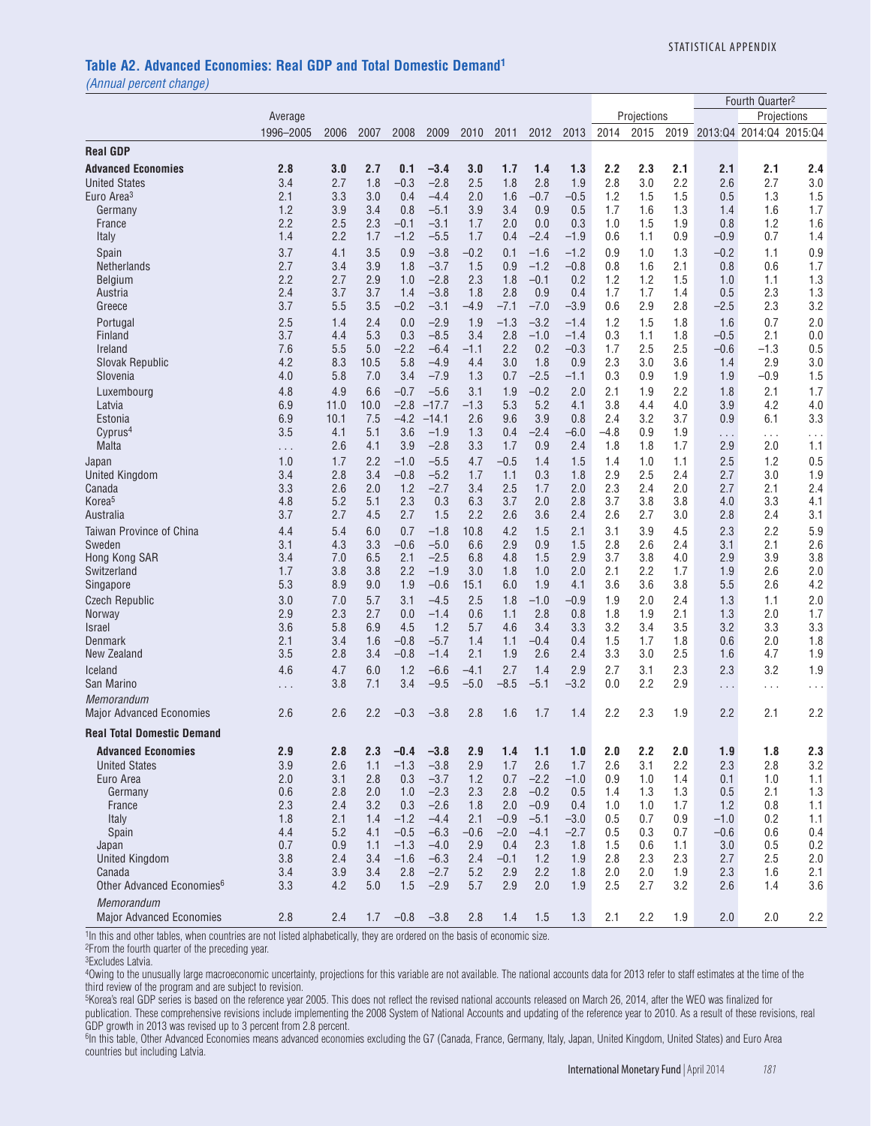#### **Table A2. Advanced Economies: Real GDP and Total Domestic Demand1**

*(Annual percent change)*

|                                       |            |             |             |                  |                   |               |            |               |               |            |             |            |                             | Fourth Quarter <sup>2</sup> |             |
|---------------------------------------|------------|-------------|-------------|------------------|-------------------|---------------|------------|---------------|---------------|------------|-------------|------------|-----------------------------|-----------------------------|-------------|
|                                       | Average    |             |             |                  |                   |               |            |               |               |            | Projections |            |                             |                             | Projections |
|                                       | 1996-2005  | 2006        | 2007        | 2008             | 2009              | 2010          | 2011       | 2012          | 2013          | 2014       | 2015        | 2019       |                             | 2013:04 2014:04 2015:04     |             |
| <b>Real GDP</b>                       |            |             |             |                  |                   |               |            |               |               |            |             |            |                             |                             |             |
| <b>Advanced Economies</b>             | 2.8        | 3.0         | 2.7         | 0.1              | $-3.4$            | 3.0           | 1.7        | 1.4           | 1.3           | 2.2        | 2.3         | 2.1        | 2.1                         | 2.1                         | 2.4         |
| <b>United States</b>                  | 3.4        | 2.7         | 1.8         | $-0.3$           | $-2.8$            | 2.5           | 1.8        | 2.8           | 1.9           | 2.8        | 3.0         | 2.2        | 2.6                         | 2.7                         | 3.0         |
| Euro Area <sup>3</sup>                | 2.1        | 3.3         | 3.0         | 0.4              | $-4.4$            | 2.0           | 1.6        | $-0.7$        | $-0.5$        | 1.2        | 1.5         | 1.5        | 0.5                         | 1.3                         | 1.5         |
| Germany                               | 1.2        | 3.9         | 3.4         | 0.8              | $-5.1$            | 3.9           | 3.4        | 0.9           | 0.5           | 1.7        | 1.6         | 1.3        | 1.4                         | 1.6                         | 1.7         |
| France                                | 2.2        | 2.5         | 2.3         | $-0.1$           | $-3.1$            | 1.7           | 2.0        | 0.0           | 0.3           | 1.0        | 1.5         | 1.9        | 0.8                         | 1.2                         | 1.6         |
| Italy                                 | 1.4        | 2.2         | 1.7         | $-1.2$           | $-5.5$            | 1.7           | 0.4        | $-2.4$        | $-1.9$        | 0.6        | 1.1         | 0.9        | $-0.9$                      | 0.7                         | 1.4         |
| Spain                                 | 3.7        | 4.1         | 3.5         | 0.9              | $-3.8$            | $-0.2$        | 0.1        | $-1.6$        | $-1.2$        | 0.9        | 1.0         | 1.3        | $-0.2$                      | 1.1                         | 0.9         |
| Netherlands                           | 2.7        | 3.4         | 3.9         | 1.8              | $-3.7$            | 1.5           | 0.9        | $-1.2$        | $-0.8$        | 0.8        | 1.6         | 2.1        | 0.8                         | 0.6                         | 1.7         |
| Belgium                               | 2.2        | 2.7         | 2.9         | 1.0              | $-2.8$            | 2.3           | 1.8        | $-0.1$        | 0.2           | 1.2        | 1.2         | 1.5        | 1.0                         | 1.1                         | 1.3         |
| Austria                               | 2.4        | 3.7         | 3.7         | 1.4              | $-3.8$            | 1.8           | 2.8        | 0.9           | 0.4           | 1.7        | 1.7         | 1.4        | 0.5                         | 2.3                         | 1.3         |
| Greece                                | 3.7        | 5.5         | 3.5         | $-0.2$           | $-3.1$            | -4.9          | $-7.1$     | $-7.0$        | $-3.9$        | 0.6        | 2.9         | 2.8        | $-2.5$                      | 2.3                         | 3.2         |
| Portugal                              | 2.5        | 1.4         | 2.4         | 0.0              | $-2.9$            | 1.9           | $-1.3$     | $-3.2$        | $-1.4$        | 1.2        | 1.5         | 1.8        | 1.6                         | 0.7                         | 2.0         |
| Finland                               | 3.7        | 4.4         | 5.3         | 0.3              | $-8.5$            | 3.4           | 2.8        | $-1.0$        | $-1.4$        | 0.3        | 1.1         | 1.8        | $-0.5$                      | 2.1                         | 0.0         |
| Ireland                               | 7.6<br>4.2 | 5.5<br>8.3  | 5.0         | $-2.2$<br>5.8    | $-6.4$<br>$-4.9$  | -1.1          | 2.2<br>3.0 | 0.2<br>1.8    | $-0.3$<br>0.9 | 1.7<br>2.3 | 2.5<br>3.0  | 2.5<br>3.6 | $-0.6$                      | -1.3<br>2.9                 | 0.5         |
| Slovak Republic<br>Slovenia           | 4.0        | 5.8         | 10.5<br>7.0 | 3.4              | $-7.9$            | 4.4<br>1.3    | 0.7        | $-2.5$        | $-1.1$        | 0.3        | 0.9         | 1.9        | 1.4<br>1.9                  | $-0.9$                      | 3.0<br>1.5  |
|                                       |            |             |             |                  |                   |               |            |               |               |            |             |            |                             |                             |             |
| Luxembourg<br>Latvia                  | 4.8<br>6.9 | 4.9<br>11.0 | 6.6<br>10.0 | $-0.7$<br>$-2.8$ | $-5.6$<br>$-17.7$ | 3.1<br>$-1.3$ | 1.9<br>5.3 | $-0.2$<br>5.2 | 2.0<br>4.1    | 2.1<br>3.8 | 1.9<br>4.4  | 2.2<br>4.0 | 1.8<br>3.9                  | 2.1<br>4.2                  | 1.7<br>4.0  |
| Estonia                               | 6.9        | 10.1        | 7.5         | $-4.2$           | $-14.1$           | 2.6           | 9.6        | 3.9           | 0.8           | 2.4        | 3.2         | 3.7        | 0.9                         | 6.1                         | 3.3         |
| Cyprus <sup>4</sup>                   | 3.5        | 4.1         | 5.1         | 3.6              | $-1.9$            | 1.3           | 0.4        | $-2.4$        | $-6.0$        | $-4.8$     | 0.9         | 1.9        |                             |                             | .           |
| Malta                                 | $\cdots$   | 2.6         | 4.1         | 3.9              | $-2.8$            | 3.3           | 1.7        | 0.9           | 2.4           | 1.8        | 1.8         | 1.7        | $\sim$ $\sim$ $\sim$<br>2.9 | $\cdots$<br>2.0             | 1.1         |
| Japan                                 | 1.0        | 1.7         | 2.2         | $-1.0$           | $-5.5$            | 4.7           | $-0.5$     | 1.4           | 1.5           | 1.4        | 1.0         | 1.1        | 2.5                         | 1.2                         | 0.5         |
| <b>United Kingdom</b>                 | 3.4        | 2.8         | 3.4         | $-0.8$           | $-5.2$            | 1.7           | 1.1        | 0.3           | 1.8           | 2.9        | 2.5         | 2.4        | 2.7                         | 3.0                         | 1.9         |
| Canada                                | 3.3        | 2.6         | 2.0         | 1.2              | $-2.7$            | 3.4           | 2.5        | 1.7           | 2.0           | 2.3        | 2.4         | 2.0        | 2.7                         | 2.1                         | 2.4         |
| Korea <sup>5</sup>                    | 4.8        | 5.2         | 5.1         | 2.3              | 0.3               | 6.3           | 3.7        | 2.0           | 2.8           | 3.7        | 3.8         | 3.8        | 4.0                         | 3.3                         | 4.1         |
| Australia                             | 3.7        | 2.7         | 4.5         | 2.7              | 1.5               | 2.2           | 2.6        | 3.6           | 2.4           | 2.6        | 2.7         | 3.0        | 2.8                         | 2.4                         | 3.1         |
| Taiwan Province of China              | 4.4        | 5.4         | 6.0         | 0.7              | $-1.8$            | 10.8          | 4.2        | 1.5           | 2.1           | 3.1        | 3.9         | 4.5        | 2.3                         | 2.2                         | 5.9         |
| Sweden                                | 3.1        | 4.3         | 3.3         | $-0.6$           | $-5.0$            | 6.6           | 2.9        | 0.9           | 1.5           | 2.8        | 2.6         | 2.4        | 3.1                         | 2.1                         | 2.6         |
| Hong Kong SAR                         | 3.4        | 7.0         | 6.5         | 2.1              | $-2.5$            | 6.8           | 4.8        | 1.5           | 2.9           | 3.7        | 3.8         | 4.0        | 2.9                         | 3.9                         | 3.8         |
| Switzerland                           | 1.7        | 3.8         | 3.8         | 2.2              | $-1.9$            | 3.0           | 1.8        | 1.0           | 2.0           | 2.1        | 2.2         | 1.7        | 1.9                         | 2.6                         | 2.0         |
| Singapore                             | 5.3        | 8.9         | 9.0         | 1.9              | $-0.6$            | 15.1          | 6.0        | 1.9           | 4.1           | 3.6        | 3.6         | 3.8        | 5.5                         | 2.6                         | 4.2         |
| <b>Czech Republic</b>                 | 3.0        | 7.0         | 5.7         | 3.1              | $-4.5$            | 2.5           | 1.8        | $-1.0$        | $-0.9$        | 1.9        | 2.0         | 2.4        | 1.3                         | 1.1                         | 2.0         |
| <b>Norway</b><br><b>Israel</b>        | 2.9<br>3.6 | 2.3<br>5.8  | 2.7<br>6.9  | 0.0<br>4.5       | $-1.4$<br>1.2     | 0.6<br>5.7    | 1.1<br>4.6 | 2.8<br>3.4    | 0.8<br>3.3    | 1.8<br>3.2 | 1.9<br>3.4  | 2.1<br>3.5 | 1.3<br>3.2                  | 2.0<br>3.3                  | 1.7<br>3.3  |
| Denmark                               | 2.1        | 3.4         | 1.6         | $-0.8$           | $-5.7$            | 1.4           | 1.1        | $-0.4$        | 0.4           | 1.5        | 1.7         | 1.8        | 0.6                         | 2.0                         | 1.8         |
| New Zealand                           | 3.5        | 2.8         | 3.4         | $-0.8$           | $-1.4$            | 2.1           | 1.9        | 2.6           | 2.4           | 3.3        | 3.0         | 2.5        | 1.6                         | 4.7                         | 1.9         |
| Iceland                               | 4.6        | 4.7         | 6.0         | 1.2              | $-6.6$            | $-4.1$        | 2.7        | 1.4           | 2.9           | 2.7        | 3.1         | 2.3        | 2.3                         | 3.2                         | 1.9         |
| San Marino                            | .          | 3.8         | 7.1         | 3.4              | $-9.5$            | $-5.0$        | $-8.5$     | $-5.1$        | $-3.2$        | 0.0        | 2.2         | 2.9        | $\cdots$                    | $\cdots$                    | $\cdots$    |
| Memorandum                            |            |             |             |                  |                   |               |            |               |               |            |             |            |                             |                             |             |
| <b>Major Advanced Economies</b>       | 2.6        | 2.6         | 2.2         | $-0.3$           | $-3.8$            | 2.8           | 1.6        | 1.7           | 1.4           | 2.2        | 2.3         | 1.9        | 2.2                         | 2.1                         | 2.2         |
| <b>Real Total Domestic Demand</b>     |            |             |             |                  |                   |               |            |               |               |            |             |            |                             |                             |             |
| <b>Advanced Economies</b>             | 2.9        | 2.8         | 2.3         | $-0.4$           | $-3.8$            | 2.9           | 1.4        | 1.1           | 1.0           | 2.0        | 2.2         | 2.0        | 1.9                         | 1.8                         | 2.3         |
| <b>United States</b>                  | 3.9        | 2.6         | 1.1         | $-1.3$           | $-3.8$            | 2.9           | 1.7        | 2.6           | 1.7           | 2.6        | 3.1         | 2.2        | 2.3                         | 2.8                         | 3.2         |
| Euro Area                             | 2.0        | 3.1         | 2.8         | 0.3              | $-3.7$            | 1.2           | 0.7        | $-2.2$        | $-1.0$        | 0.9        | 1.0         | 1.4        | 0.1                         | 1.0                         | 1.1         |
| Germany                               | 0.6        | 2.8         | 2.0         | 1.0              | $-2.3$            | 2.3           | 2.8        | $-0.2$        | 0.5           | 1.4        | 1.3         | 1.3        | 0.5                         | 2.1                         | 1.3         |
| France                                | 2.3        | 2.4         | 3.2         | 0.3              | $-2.6$            | 1.8           | 2.0        | $-0.9$        | 0.4           | 1.0        | 1.0         | 1.7        | 1.2                         | 0.8                         | 1.1         |
| Italy                                 | 1.8        | 2.1         | 1.4         | $-1.2$           | $-4.4$            | 2.1           | $-0.9$     | $-5.1$        | $-3.0$        | 0.5        | 0.7         | 0.9        | $-1.0$                      | 0.2                         | 1.1         |
| Spain                                 | 4.4        | 5.2         | 4.1         | $-0.5$           | $-6.3$            | $-0.6$        | $-2.0$     | $-4.1$        | $-2.7$        | 0.5        | 0.3         | 0.7        | $-0.6$                      | 0.6                         | 0.4         |
| Japan                                 | 0.7        | 0.9         | 1.1         | $-1.3$           | $-4.0$            | 2.9           | 0.4        | 2.3           | 1.8           | 1.5        | 0.6         | 1.1        | 3.0                         | 0.5                         | 0.2         |
| <b>United Kingdom</b>                 | 3.8        | 2.4         | 3.4         | $-1.6$           | $-6.3$            | 2.4           | $-0.1$     | 1.2           | 1.9           | 2.8        | 2.3         | 2.3        | 2.7                         | 2.5                         | 2.0         |
| Canada                                | 3.4        | 3.9         | 3.4         | 2.8              | $-2.7$            | 5.2           | 2.9        | 2.2           | 1.8           | 2.0        | 2.0         | 1.9        | 2.3                         | 1.6                         | 2.1         |
| Other Advanced Economies <sup>6</sup> | 3.3        | 4.2         | 5.0         | 1.5              | $-2.9$            | 5.7           | 2.9        | 2.0           | 1.9           | 2.5        | 2.7         | 3.2        | 2.6                         | 1.4                         | 3.6         |
| Memorandum                            |            |             |             |                  |                   |               |            |               |               |            |             |            |                             |                             |             |
| <b>Major Advanced Economies</b>       | 2.8        | 2.4         | 1.7         | $-0.8$           | $-3.8$            | 2.8           | 1.4        | 1.5           | 1.3           | 2.1        | 2.2         | 1.9        | 2.0                         | 2.0                         | 2.2         |

<sup>1</sup>In this and other tables, when countries are not listed alphabetically, they are ordered on the basis of economic size.

2From the fourth quarter of the preceding year.

3Excludes Latvia.

4Owing to the unusually large macroeconomic uncertainty, projections for this variable are not available. The national accounts data for 2013 refer to staff estimates at the time of the third review of the program and are subject to revision.

<sup>5</sup>Korea's real GDP series is based on the reference year 2005. This does not reflect the revised national accounts released on March 26, 2014, after the WEO was finalized for

publication. These comprehensive revisions include implementing the 2008 System of National Accounts and updating of the reference year to 2010. As a result of these revisions, real GDP growth in 2013 was revised up to 3 percent from 2.8 percent.

<sup>6</sup>In this table, Other Advanced Economies means advanced economies excluding the G7 (Canada, France, Germany, Italy, Japan, United Kingdom, United States) and Euro Area countries but including Latvia.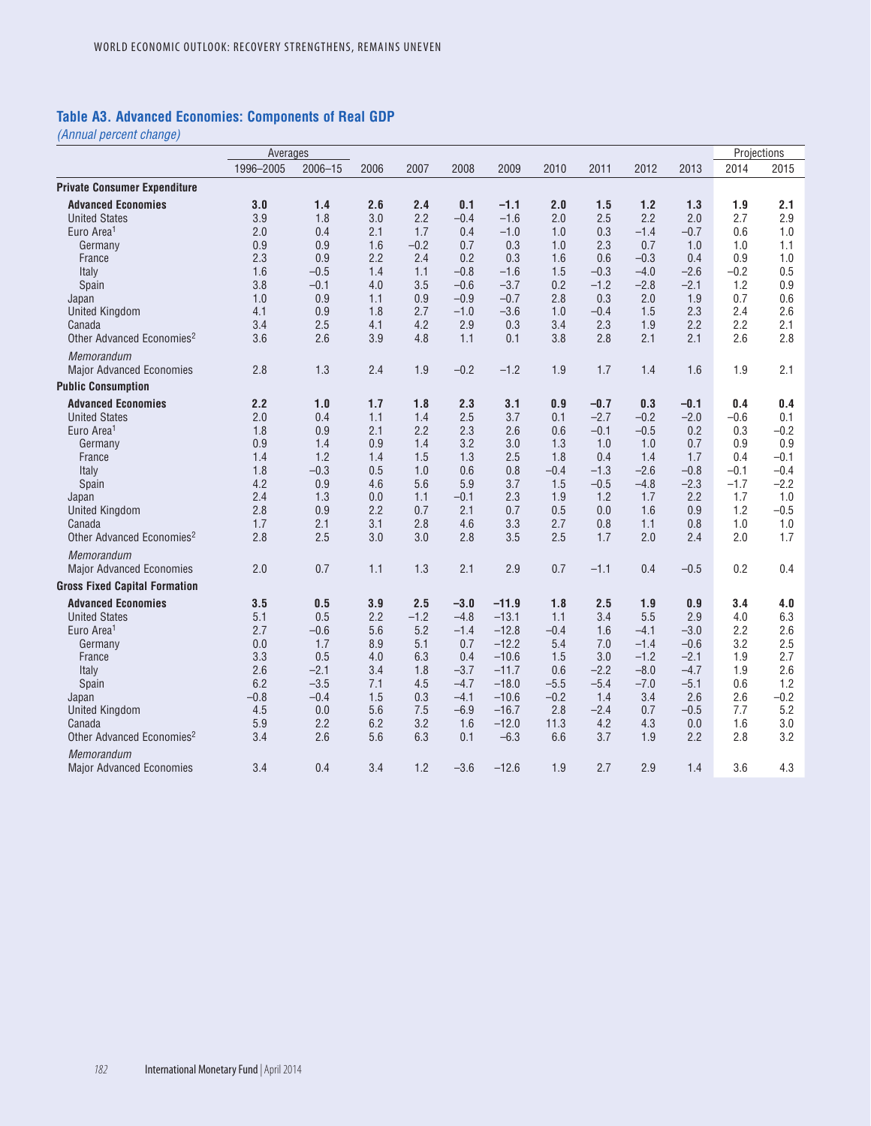### **Table A3. Advanced Economies: Components of Real GDP**

|                                                 | Averages   |             |      |        |            |         |        |        |            |        | Projections |        |
|-------------------------------------------------|------------|-------------|------|--------|------------|---------|--------|--------|------------|--------|-------------|--------|
|                                                 | 1996-2005  | $2006 - 15$ | 2006 | 2007   | 2008       | 2009    | 2010   | 2011   | 2012       | 2013   | 2014        | 2015   |
| <b>Private Consumer Expenditure</b>             |            |             |      |        |            |         |        |        |            |        |             |        |
| <b>Advanced Economies</b>                       | 3.0        | 1.4         | 2.6  | 2.4    | 0.1        | $-1.1$  | 2.0    | 1.5    | 1.2        | 1.3    | 1.9         | 2.1    |
| <b>United States</b>                            | 3.9        | 1.8         | 3.0  | 2.2    | $-0.4$     | $-1.6$  | 2.0    | 2.5    | 2.2        | 2.0    | 2.7         | 2.9    |
| Euro Area <sup>1</sup>                          | 2.0        | 0.4         | 2.1  | 1.7    | 0.4        | $-1.0$  | 1.0    | 0.3    | $-1.4$     | $-0.7$ | 0.6         | 1.0    |
| Germany                                         | 0.9        | 0.9         | 1.6  | $-0.2$ | 0.7        | 0.3     | 1.0    | 2.3    | 0.7        | 1.0    | 1.0         | 1.1    |
| France                                          | 2.3        | 0.9         | 2.2  | 2.4    | 0.2        | 0.3     | 1.6    | 0.6    | $-0.3$     | 0.4    | 0.9         | 1.0    |
| Italy                                           | 1.6        | $-0.5$      | 1.4  | 1.1    | $-0.8$     | $-1.6$  | 1.5    | $-0.3$ | $-4.0$     | $-2.6$ | $-0.2$      | 0.5    |
| Spain                                           | 3.8        | $-0.1$      | 4.0  | 3.5    | $-0.6$     | $-3.7$  | 0.2    | $-1.2$ | $-2.8$     | $-2.1$ | 1.2         | 0.9    |
| Japan                                           | 1.0        | 0.9         | 1.1  | 0.9    | $-0.9$     | $-0.7$  | 2.8    | 0.3    | 2.0        | 1.9    | 0.7         | 0.6    |
| <b>United Kingdom</b>                           | 4.1        | 0.9         | 1.8  | 2.7    | $-1.0$     | $-3.6$  | 1.0    | $-0.4$ | 1.5        | 2.3    | 2.4         | 2.6    |
| Canada                                          | 3.4        | 2.5         | 4.1  | 4.2    | 2.9        | 0.3     | 3.4    | 2.3    | 1.9        | 2.2    | 2.2         | 2.1    |
| Other Advanced Economies <sup>2</sup>           | 3.6        | 2.6         | 3.9  | 4.8    | 1.1        | 0.1     | 3.8    | 2.8    | 2.1        | 2.1    | 2.6         | 2.8    |
| Memorandum                                      |            |             |      |        |            |         |        |        |            |        |             |        |
| <b>Major Advanced Economies</b>                 | 2.8        | 1.3         | 2.4  | 1.9    | $-0.2$     | $-1.2$  | 1.9    | 1.7    | 1.4        | 1.6    | 1.9         | 2.1    |
| <b>Public Consumption</b>                       |            |             |      |        |            |         |        |        |            |        |             |        |
| <b>Advanced Economies</b>                       | 2.2        | 1.0         | 1.7  | 1.8    | 2.3        | 3.1     | 0.9    | $-0.7$ | 0.3        | $-0.1$ | 0.4         | 0.4    |
| <b>United States</b>                            | 2.0        | 0.4         | 1.1  | 1.4    | 2.5        | 3.7     | 0.1    | $-2.7$ | $-0.2$     | $-2.0$ | $-0.6$      | 0.1    |
| Euro Area <sup>1</sup>                          | 1.8        | 0.9         | 2.1  | 2.2    | 2.3        | 2.6     | 0.6    | $-0.1$ | $-0.5$     | 0.2    | 0.3         | $-0.2$ |
| Germany                                         | 0.9        | 1.4         | 0.9  | 1.4    | 3.2        | 3.0     | 1.3    | 1.0    | 1.0        | 0.7    | 0.9         | 0.9    |
| France                                          | 1.4        | 1.2         | 1.4  | 1.5    | 1.3        | 2.5     | 1.8    | 0.4    | 1.4        | 1.7    | 0.4         | $-0.1$ |
| Italy                                           | 1.8        | $-0.3$      | 0.5  | 1.0    | 0.6        | 0.8     | $-0.4$ | $-1.3$ | $-2.6$     | $-0.8$ | $-0.1$      | $-0.4$ |
| Spain                                           | 4.2        | 0.9         | 4.6  | 5.6    | 5.9        | 3.7     | 1.5    | $-0.5$ | $-4.8$     | $-2.3$ | $-1.7$      | $-2.2$ |
| Japan                                           | 2.4        | 1.3         | 0.0  | 1.1    | $-0.1$     | 2.3     | 1.9    | 1.2    | 1.7        | 2.2    | 1.7         | 1.0    |
| <b>United Kingdom</b>                           | 2.8        | 0.9         | 2.2  | 0.7    | 2.1        | 0.7     | 0.5    | 0.0    | 1.6        | 0.9    | 1.2         | $-0.5$ |
| Canada<br>Other Advanced Economies <sup>2</sup> | 1.7<br>2.8 | 2.1<br>2.5  | 3.1  | 2.8    | 4.6<br>2.8 | 3.3     | 2.7    | 0.8    | 1.1<br>2.0 | 0.8    | 1.0         | 1.0    |
|                                                 |            |             | 3.0  | 3.0    |            | 3.5     | 2.5    | 1.7    |            | 2.4    | 2.0         | 1.7    |
| Memorandum                                      |            |             |      |        |            |         |        |        |            |        |             |        |
| <b>Major Advanced Economies</b>                 | 2.0        | 0.7         | 1.1  | 1.3    | 2.1        | 2.9     | 0.7    | $-1.1$ | 0.4        | $-0.5$ | 0.2         | 0.4    |
| <b>Gross Fixed Capital Formation</b>            |            |             |      |        |            |         |        |        |            |        |             |        |
| <b>Advanced Economies</b>                       | 3.5        | 0.5         | 3.9  | 2.5    | $-3.0$     | $-11.9$ | 1.8    | 2.5    | 1.9        | 0.9    | 3.4         | 4.0    |
| <b>United States</b>                            | 5.1        | 0.5         | 2.2  | $-1.2$ | $-4.8$     | $-13.1$ | 1.1    | 3.4    | 5.5        | 2.9    | 4.0         | 6.3    |
| Euro Area <sup>1</sup>                          | 2.7        | $-0.6$      | 5.6  | 5.2    | $-1.4$     | $-12.8$ | $-0.4$ | 1.6    | $-4.1$     | $-3.0$ | 2.2         | 2.6    |
| Germany                                         | 0.0        | 1.7         | 8.9  | 5.1    | 0.7        | $-12.2$ | 5.4    | 7.0    | $-1.4$     | $-0.6$ | 3.2         | 2.5    |
| France                                          | 3.3        | 0.5         | 4.0  | 6.3    | 0.4        | $-10.6$ | 1.5    | 3.0    | $-1.2$     | $-2.1$ | 1.9         | 2.7    |
| Italy                                           | 2.6        | $-2.1$      | 3.4  | 1.8    | $-3.7$     | $-11.7$ | 0.6    | $-2.2$ | $-8.0$     | $-4.7$ | 1.9         | 2.6    |
| Spain                                           | 6.2        | $-3.5$      | 7.1  | 4.5    | $-4.7$     | $-18.0$ | $-5.5$ | $-5.4$ | $-7.0$     | $-5.1$ | 0.6         | 1.2    |
| Japan                                           | $-0.8$     | $-0.4$      | 1.5  | 0.3    | $-4.1$     | $-10.6$ | $-0.2$ | 1.4    | 3.4        | 2.6    | 2.6         | $-0.2$ |
| <b>United Kingdom</b>                           | 4.5        | 0.0         | 5.6  | 7.5    | $-6.9$     | $-16.7$ | 2.8    | $-2.4$ | 0.7        | $-0.5$ | 7.7         | 5.2    |
| Canada                                          | 5.9        | 2.2         | 6.2  | 3.2    | 1.6        | $-12.0$ | 11.3   | 4.2    | 4.3        | 0.0    | 1.6         | 3.0    |
| Other Advanced Economies <sup>2</sup>           | 3.4        | 2.6         | 5.6  | 6.3    | 0.1        | $-6.3$  | 6.6    | 3.7    | 1.9        | 2.2    | 2.8         | 3.2    |
| Memorandum                                      |            |             |      |        |            |         |        |        |            |        |             |        |
| <b>Major Advanced Economies</b>                 | 3.4        | 0.4         | 3.4  | 1.2    | $-3.6$     | $-12.6$ | 1.9    | 2.7    | 2.9        | 1.4    | 3.6         | 4.3    |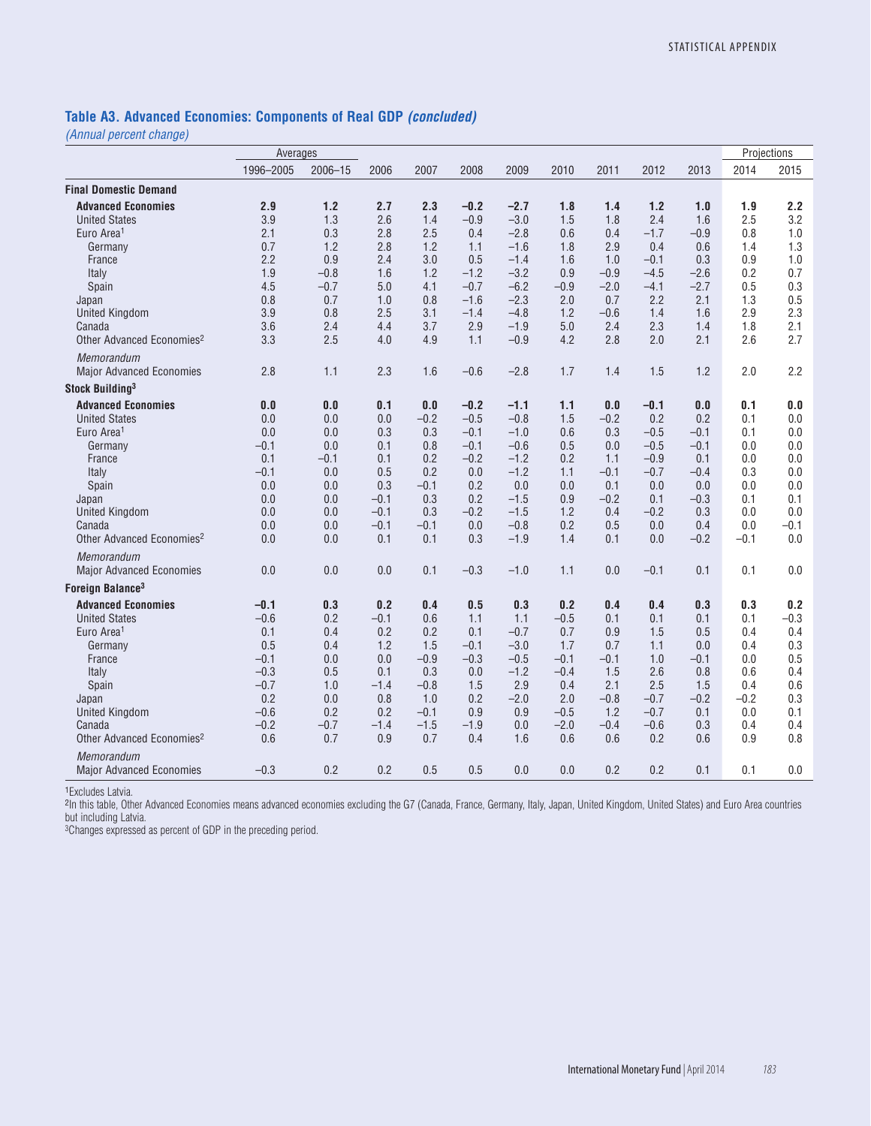### **Table A3. Advanced Economies: Components of Real GDP** *(concluded)*

*(Annual percent change)*

|                                       | Averages  |                |        |        |        |        |        |        |        |        |        | Projections |
|---------------------------------------|-----------|----------------|--------|--------|--------|--------|--------|--------|--------|--------|--------|-------------|
|                                       | 1996-2005 | $2006 - 15$    | 2006   | 2007   | 2008   | 2009   | 2010   | 2011   | 2012   | 2013   | 2014   | 2015        |
| <b>Final Domestic Demand</b>          |           |                |        |        |        |        |        |        |        |        |        |             |
| <b>Advanced Economies</b>             | 2.9       | 1.2            | 2.7    | 2.3    | $-0.2$ | $-2.7$ | 1.8    | 1.4    | 1.2    | 1.0    | 1.9    | 2.2         |
| <b>United States</b>                  | 3.9       | 1.3            | 2.6    | 1.4    | $-0.9$ | $-3.0$ | 1.5    | 1.8    | 2.4    | 1.6    | 2.5    | 3.2         |
| Euro Area <sup>1</sup>                | 2.1       | 0.3            | 2.8    | 2.5    | 0.4    | $-2.8$ | 0.6    | 0.4    | $-1.7$ | $-0.9$ | 0.8    | 1.0         |
| Germany                               | 0.7       | 1.2            | 2.8    | 1.2    | 1.1    | $-1.6$ | 1.8    | 2.9    | 0.4    | 0.6    | 1.4    | 1.3         |
| France                                | 2.2       | 0.9            | 2.4    | 3.0    | 0.5    | $-1.4$ | 1.6    | 1.0    | $-0.1$ | 0.3    | 0.9    | 1.0         |
| Italy                                 | 1.9       | $-0.8$         | 1.6    | 1.2    | $-1.2$ | $-3.2$ | 0.9    | $-0.9$ | $-4.5$ | $-2.6$ | 0.2    | 0.7         |
| Spain                                 | 4.5       | $-0.7$         | 5.0    | 4.1    | $-0.7$ | $-6.2$ | $-0.9$ | $-2.0$ | $-4.1$ | $-2.7$ | 0.5    | 0.3         |
| Japan                                 | 0.8       | 0.7            | 1.0    | 0.8    | $-1.6$ | $-2.3$ | 2.0    | 0.7    | 2.2    | 2.1    | 1.3    | 0.5         |
| <b>United Kingdom</b>                 | 3.9       | 0.8            | 2.5    | 3.1    | $-1.4$ | $-4.8$ | 1.2    | $-0.6$ | 1.4    | 1.6    | 2.9    | 2.3         |
| Canada                                | 3.6       | 2.4            | 4.4    | 3.7    | 2.9    | $-1.9$ | 5.0    | 2.4    | 2.3    | 1.4    | 1.8    | 2.1         |
| Other Advanced Economies <sup>2</sup> | 3.3       | 2.5            | 4.0    | 4.9    | 1.1    | $-0.9$ | 4.2    | 2.8    | 2.0    | 2.1    | 2.6    | 2.7         |
| Memorandum                            |           |                |        |        |        |        |        |        |        |        |        |             |
| <b>Major Advanced Economies</b>       | 2.8       | 1.1            | 2.3    | 1.6    | $-0.6$ | $-2.8$ | 1.7    | 1.4    | 1.5    | 1.2    | 2.0    | 2.2         |
| Stock Building <sup>3</sup>           |           |                |        |        |        |        |        |        |        |        |        |             |
| <b>Advanced Economies</b>             | 0.0       | $\mathbf{0.0}$ | 0.1    | 0.0    | $-0.2$ | $-1.1$ | 1.1    | 0.0    | $-0.1$ | 0.0    | 0.1    | 0.0         |
| <b>United States</b>                  | 0.0       | 0.0            | 0.0    | $-0.2$ | $-0.5$ | $-0.8$ | 1.5    | $-0.2$ | 0.2    | 0.2    | 0.1    | 0.0         |
| Euro Area <sup>1</sup>                | 0.0       | 0.0            | 0.3    | 0.3    | $-0.1$ | $-1.0$ | 0.6    | 0.3    | $-0.5$ | $-0.1$ | 0.1    | 0.0         |
| Germany                               | $-0.1$    | 0.0            | 0.1    | 0.8    | $-0.1$ | $-0.6$ | 0.5    | 0.0    | $-0.5$ | $-0.1$ | 0.0    | 0.0         |
| France                                | 0.1       | $-0.1$         | 0.1    | 0.2    | $-0.2$ | $-1.2$ | 0.2    | 1.1    | $-0.9$ | 0.1    | 0.0    | 0.0         |
| Italy                                 | $-0.1$    | 0.0            | 0.5    | 0.2    | 0.0    | $-1.2$ | 1.1    | $-0.1$ | $-0.7$ | $-0.4$ | 0.3    | 0.0         |
| Spain                                 | 0.0       | 0.0            | 0.3    | $-0.1$ | 0.2    | 0.0    | 0.0    | 0.1    | 0.0    | 0.0    | 0.0    | 0.0         |
| Japan                                 | 0.0       | 0.0            | $-0.1$ | 0.3    | 0.2    | $-1.5$ | 0.9    | $-0.2$ | 0.1    | $-0.3$ | 0.1    | 0.1         |
| <b>United Kingdom</b>                 | 0.0       | 0.0            | $-0.1$ | 0.3    | $-0.2$ | $-1.5$ | 1.2    | 0.4    | $-0.2$ | 0.3    | 0.0    | 0.0         |
| Canada                                | 0.0       | 0.0            | $-0.1$ | $-0.1$ | 0.0    | $-0.8$ | 0.2    | 0.5    | 0.0    | 0.4    | 0.0    | $-0.1$      |
| Other Advanced Economies <sup>2</sup> | 0.0       | 0.0            | 0.1    | 0.1    | 0.3    | $-1.9$ | 1.4    | 0.1    | 0.0    | $-0.2$ | $-0.1$ | 0.0         |
| Memorandum                            |           |                |        |        |        |        |        |        |        |        |        |             |
| <b>Major Advanced Economies</b>       | 0.0       | 0.0            | 0.0    | 0.1    | $-0.3$ | $-1.0$ | 1.1    | 0.0    | $-0.1$ | 0.1    | 0.1    | 0.0         |
| Foreign Balance <sup>3</sup>          |           |                |        |        |        |        |        |        |        |        |        |             |
| <b>Advanced Economies</b>             | $-0.1$    | 0.3            | 0.2    | 0.4    | 0.5    | 0.3    | 0.2    | 0.4    | 0.4    | 0.3    | 0.3    | 0.2         |
| <b>United States</b>                  | $-0.6$    | 0.2            | $-0.1$ | 0.6    | 1.1    | 1.1    | $-0.5$ | 0.1    | 0.1    | 0.1    | 0.1    | $-0.3$      |
| Euro Area <sup>1</sup>                | 0.1       | 0.4            | 0.2    | 0.2    | 0.1    | $-0.7$ | 0.7    | 0.9    | 1.5    | 0.5    | 0.4    | 0.4         |
| Germany                               | 0.5       | 0.4            | 1.2    | 1.5    | $-0.1$ | $-3.0$ | 1.7    | 0.7    | 1.1    | 0.0    | 0.4    | 0.3         |
| France                                | $-0.1$    | 0.0            | 0.0    | $-0.9$ | $-0.3$ | $-0.5$ | $-0.1$ | $-0.1$ | 1.0    | $-0.1$ | 0.0    | 0.5         |
| Italy                                 | $-0.3$    | 0.5            | 0.1    | 0.3    | 0.0    | $-1.2$ | $-0.4$ | 1.5    | 2.6    | 0.8    | 0.6    | 0.4         |
| Spain                                 | $-0.7$    | 1.0            | $-1.4$ | $-0.8$ | 1.5    | 2.9    | 0.4    | 2.1    | 2.5    | 1.5    | 0.4    | 0.6         |
| Japan                                 | 0.2       | 0.0            | 0.8    | 1.0    | 0.2    | $-2.0$ | 2.0    | $-0.8$ | $-0.7$ | $-0.2$ | $-0.2$ | 0.3         |
| <b>United Kingdom</b>                 | $-0.6$    | 0.2            | 0.2    | $-0.1$ | 0.9    | 0.9    | $-0.5$ | 1.2    | $-0.7$ | 0.1    | 0.0    | 0.1         |
| Canada                                | $-0.2$    | $-0.7$         | $-1.4$ | $-1.5$ | $-1.9$ | 0.0    | $-2.0$ | $-0.4$ | $-0.6$ | 0.3    | 0.4    | 0.4         |
| Other Advanced Economies <sup>2</sup> | 0.6       | 0.7            | 0.9    | 0.7    | 0.4    | 1.6    | 0.6    | 0.6    | 0.2    | 0.6    | 0.9    | 0.8         |
| Memorandum                            |           |                |        |        |        |        |        |        |        |        |        |             |
| <b>Major Advanced Economies</b>       | $-0.3$    | 0.2            | 0.2    | 0.5    | 0.5    | 0.0    | 0.0    | 0.2    | 0.2    | 0.1    | 0.1    | 0.0         |

<sup>1</sup>Excludes Latvia.

2In this table, Other Advanced Economies means advanced economies excluding the G7 (Canada, France, Germany, Italy, Japan, United Kingdom, United States) and Euro Area countries but including Latvia.

<sup>3</sup>Changes expressed as percent of GDP in the preceding period.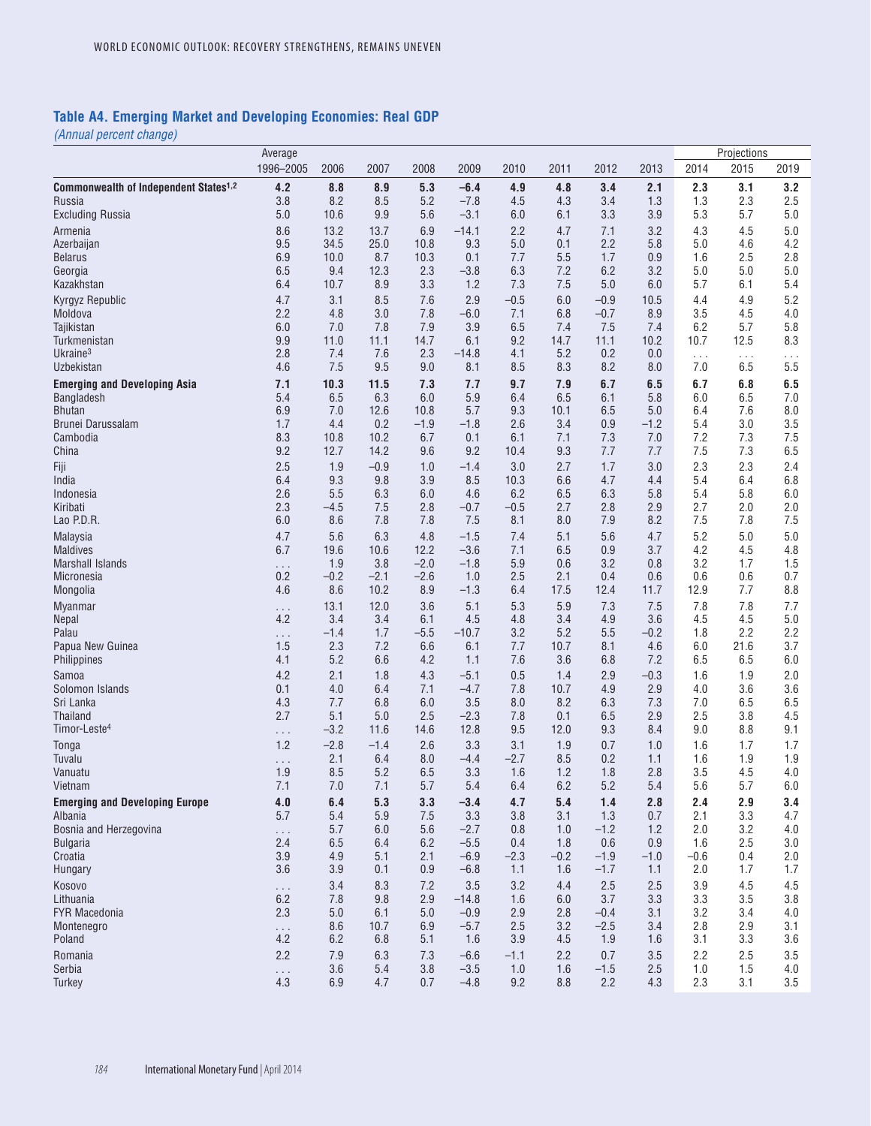### **Table A4. Emerging Market and Developing Economies: Real GDP**

|                                                   | Average         |               |              |               |                  |             |             |                  |               |                 | Projections     |                 |
|---------------------------------------------------|-----------------|---------------|--------------|---------------|------------------|-------------|-------------|------------------|---------------|-----------------|-----------------|-----------------|
|                                                   | 1996-2005       | 2006          | 2007         | 2008          | 2009             | 2010        | 2011        | 2012             | 2013          | 2014            | 2015            | 2019            |
| Commonwealth of Independent States <sup>1,2</sup> | 4.2             | 8.8           | 8.9          | 5.3           | $-6.4$           | 4.9         | 4.8         | 3.4              | 2.1           | 2.3             | 3.1             | 3.2             |
| Russia                                            | 3.8             | 8.2           | 8.5          | 5.2           | $-7.8$           | 4.5         | 4.3         | 3.4              | 1.3           | 1.3             | 2.3             | 2.5             |
| <b>Excluding Russia</b>                           | 5.0             | 10.6          | 9.9          | 5.6           | $-3.1$           | 6.0         | 6.1         | 3.3              | 3.9           | 5.3             | 5.7             | 5.0             |
| Armenia                                           | 8.6             | 13.2          | 13.7         | 6.9           | $-14.1$          | 2.2         | 4.7         | 7.1              | 3.2           | 4.3             | 4.5             | 5.0             |
| Azerbaijan                                        | 9.5             | 34.5<br>10.0  | 25.0<br>8.7  | 10.8<br>10.3  | 9.3<br>0.1       | 5.0<br>7.7  | 0.1<br>5.5  | 2.2<br>1.7       | 5.8<br>0.9    | 5.0             | 4.6<br>2.5      | 4.2<br>2.8      |
| <b>Belarus</b><br>Georgia                         | 6.9<br>6.5      | 9.4           | 12.3         | 2.3           | $-3.8$           | 6.3         | 7.2         | 6.2              | 3.2           | 1.6<br>5.0      | 5.0             | 5.0             |
| Kazakhstan                                        | 6.4             | 10.7          | 8.9          | 3.3           | 1.2              | 7.3         | 7.5         | 5.0              | 6.0           | 5.7             | 6.1             | 5.4             |
| Kyrgyz Republic                                   | 4.7             | 3.1           | 8.5          | 7.6           | 2.9              | $-0.5$      | 6.0         | $-0.9$           | 10.5          | 4.4             | 4.9             | 5.2             |
| Moldova                                           | 2.2             | 4.8           | 3.0          | 7.8           | $-6.0$           | 7.1         | 6.8         | $-0.7$           | 8.9           | 3.5             | 4.5             | 4.0             |
| Tajikistan                                        | 6.0             | 7.0           | 7.8          | 7.9           | 3.9              | 6.5         | 7.4         | 7.5              | 7.4           | 6.2             | 5.7             | 5.8             |
| Turkmenistan<br>Ukraine <sup>3</sup>              | 9.9<br>2.8      | 11.0<br>7.4   | 11.1<br>7.6  | 14.7<br>2.3   | 6.1<br>$-14.8$   | 9.2<br>4.1  | 14.7<br>5.2 | 11.1<br>0.2      | 10.2<br>0.0   | 10.7            | 12.5            | 8.3             |
| Uzbekistan                                        | 4.6             | 7.5           | 9.5          | 9.0           | 8.1              | 8.5         | 8.3         | 8.2              | 8.0           | $\ldots$<br>7.0 | $\cdots$<br>6.5 | $\cdots$<br>5.5 |
| <b>Emerging and Developing Asia</b>               | 7.1             | 10.3          | 11.5         | 7.3           | 7.7              | 9.7         | 7.9         | 6.7              | 6.5           | 6.7             | 6.8             | 6.5             |
| Bangladesh                                        | 5.4             | 6.5           | 6.3          | 6.0           | 5.9              | 6.4         | 6.5         | 6.1              | 5.8           | 6.0             | 6.5             | 7.0             |
| <b>Bhutan</b>                                     | 6.9             | 7.0           | 12.6         | 10.8          | 5.7              | 9.3         | 10.1        | 6.5              | 5.0           | 6.4             | 7.6             | 8.0             |
| Brunei Darussalam                                 | 1.7             | 4.4           | 0.2          | $-1.9$        | $-1.8$           | 2.6         | 3.4         | 0.9              | $-1.2$        | 5.4             | 3.0             | 3.5             |
| Cambodia<br>China                                 | 8.3<br>9.2      | 10.8<br>12.7  | 10.2<br>14.2 | 6.7<br>9.6    | 0.1<br>9.2       | 6.1<br>10.4 | 7.1<br>9.3  | 7.3<br>7.7       | 7.0<br>7.7    | 7.2<br>7.5      | 7.3<br>7.3      | 7.5<br>6.5      |
| Fiji                                              | 2.5             | 1.9           | $-0.9$       | 1.0           | $-1.4$           | 3.0         | 2.7         | 1.7              | 3.0           | 2.3             | 2.3             | 2.4             |
| India                                             | 6.4             | 9.3           | 9.8          | 3.9           | 8.5              | 10.3        | 6.6         | 4.7              | 4.4           | 5.4             | 6.4             | 6.8             |
| Indonesia                                         | 2.6             | 5.5           | 6.3          | 6.0           | 4.6              | 6.2         | 6.5         | 6.3              | 5.8           | 5.4             | 5.8             | 6.0             |
| Kiribati                                          | 2.3             | $-4.5$        | 7.5          | 2.8           | $-0.7$           | $-0.5$      | 2.7         | 2.8              | 2.9           | 2.7             | 2.0             | 2.0             |
| Lao P.D.R.                                        | 6.0             | 8.6           | 7.8          | 7.8           | 7.5              | 8.1         | 8.0         | 7.9              | 8.2           | 7.5             | 7.8             | 7.5             |
| Malaysia<br><b>Maldives</b>                       | 4.7<br>6.7      | 5.6<br>19.6   | 6.3<br>10.6  | 4.8<br>12.2   | $-1.5$<br>$-3.6$ | 7.4<br>7.1  | 5.1<br>6.5  | 5.6<br>0.9       | 4.7<br>3.7    | 5.2<br>4.2      | 5.0<br>4.5      | 5.0<br>4.8      |
| Marshall Islands                                  | $\cdots$        | 1.9           | 3.8          | $-2.0$        | $-1.8$           | 5.9         | 0.6         | 3.2              | 0.8           | 3.2             | 1.7             | 1.5             |
| Micronesia                                        | 0.2             | $-0.2$        | $-2.1$       | $-2.6$        | 1.0              | 2.5         | 2.1         | 0.4              | 0.6           | 0.6             | 0.6             | 0.7             |
| Mongolia                                          | 4.6             | 8.6           | 10.2         | 8.9           | $-1.3$           | 6.4         | 17.5        | 12.4             | 11.7          | 12.9            | 7.7             | 8.8             |
| Myanmar                                           | $\cdots$        | 13.1          | 12.0         | 3.6           | 5.1              | 5.3         | 5.9         | 7.3              | 7.5           | 7.8             | 7.8             | 7.7             |
| Nepal                                             | 4.2             | 3.4           | 3.4          | 6.1           | 4.5              | 4.8         | 3.4         | 4.9              | 3.6           | 4.5             | 4.5             | 5.0             |
| Palau<br>Papua New Guinea                         | $\ldots$<br>1.5 | $-1.4$<br>2.3 | 1.7<br>7.2   | $-5.5$<br>6.6 | $-10.7$<br>6.1   | 3.2<br>7.7  | 5.2<br>10.7 | 5.5<br>8.1       | $-0.2$<br>4.6 | 1.8<br>6.0      | 2.2<br>21.6     | 2.2<br>3.7      |
| Philippines                                       | 4.1             | 5.2           | 6.6          | 4.2           | 1.1              | 7.6         | 3.6         | 6.8              | 7.2           | 6.5             | 6.5             | 6.0             |
| Samoa                                             | 4.2             | 2.1           | 1.8          | 4.3           | $-5.1$           | 0.5         | 1.4         | 2.9              | $-0.3$        | 1.6             | 1.9             | 2.0             |
| Solomon Islands                                   | 0.1             | 4.0           | 6.4          | 7.1           | $-4.7$           | 7.8         | 10.7        | 4.9              | 2.9           | 4.0             | 3.6             | 3.6             |
| Sri Lanka                                         | 4.3             | 7.7           | 6.8          | 6.0           | 3.5              | 8.0         | 8.2         | 6.3              | 7.3           | 7.0             | 6.5             | 6.5             |
| Thailand<br>Timor-Leste <sup>4</sup>              | 2.7             | 5.1<br>$-3.2$ | 5.0<br>11.6  | 2.5<br>14.6   | $-2.3$<br>12.8   | 7.8<br>9.5  | 0.1<br>12.0 | 6.5<br>9.3       | 2.9<br>8.4    | 2.5<br>9.0      | 3.8<br>8.8      | 4.5<br>9.1      |
|                                                   | $\cdots$<br>1.2 | $-2.8$        | $-1.4$       | 2.6           | 3.3              | 3.1         | 1.9         | 0.7              | 1.0           | 1.6             | 1.7             | 1.7             |
| Tonga<br>Tuvalu                                   | $\ldots$        | 2.1           | 6.4          | 8.0           | $-4.4$           | $-2.7$      | 8.5         | 0.2              | 1.1           | 1.6             | 1.9             | 1.9             |
| Vanuatu                                           | 1.9             | 8.5           | 5.2          | 6.5           | 3.3              | 1.6         | 1.2         | 1.8              | 2.8           | 3.5             | 4.5             | 4.0             |
| Vietnam                                           | 7.1             | 7.0           | 7.1          | 5.7           | 5.4              | 6.4         | 6.2         | 5.2              | 5.4           | 5.6             | 5.7             | 6.0             |
| <b>Emerging and Developing Europe</b>             | 4.0             | 6.4           | 5.3          | 3.3           | $-3.4$           | 4.7         | 5.4         | 1.4              | 2.8           | 2.4             | 2.9             | 3.4             |
| Albania                                           | 5.7             | 5.4<br>5.7    | 5.9          | 7.5           | 3.3<br>$-2.7$    | 3.8         | 3.1         | 1.3<br>$-1.2$    | 0.7           | 2.1             | 3.3<br>3.2      | 4.7             |
| Bosnia and Herzegovina<br><b>Bulgaria</b>         | $\cdots$<br>2.4 | 6.5           | 6.0<br>6.4   | 5.6<br>6.2    | $-5.5$           | 0.8<br>0.4  | 1.0<br>1.8  | 0.6              | 1.2<br>0.9    | 2.0<br>1.6      | 2.5             | 4.0<br>3.0      |
| Croatia                                           | 3.9             | 4.9           | 5.1          | 2.1           | $-6.9$           | $-2.3$      | $-0.2$      | $-1.9$           | $-1.0$        | $-0.6$          | 0.4             | 2.0             |
| Hungary                                           | 3.6             | 3.9           | 0.1          | 0.9           | $-6.8$           | 1.1         | 1.6         | $-1.7$           | 1.1           | 2.0             | 1.7             | 1.7             |
| Kosovo                                            | $\ldots$        | 3.4           | 8.3          | 7.2           | 3.5              | 3.2         | 4.4         | 2.5              | 2.5           | 3.9             | 4.5             | 4.5             |
| Lithuania                                         | 6.2             | 7.8           | 9.8          | 2.9           | $-14.8$          | 1.6         | 6.0         | 3.7              | 3.3           | 3.3             | 3.5             | 3.8             |
| <b>FYR Macedonia</b><br>Montenegro                | 2.3             | 5.0<br>8.6    | 6.1<br>10.7  | 5.0<br>6.9    | $-0.9$<br>$-5.7$ | 2.9<br>2.5  | 2.8<br>3.2  | $-0.4$<br>$-2.5$ | 3.1<br>3.4    | 3.2<br>2.8      | 3.4<br>2.9      | 4.0<br>3.1      |
| Poland                                            | $\ldots$<br>4.2 | 6.2           | 6.8          | 5.1           | 1.6              | 3.9         | 4.5         | 1.9              | 1.6           | 3.1             | 3.3             | 3.6             |
| Romania                                           | 2.2             | 7.9           | 6.3          | 7.3           | $-6.6$           | $-1.1$      | 2.2         | 0.7              | 3.5           | 2.2             | 2.5             | 3.5             |
| Serbia                                            | .               | 3.6           | 5.4          | 3.8           | $-3.5$           | 1.0         | 1.6         | $-1.5$           | 2.5           | 1.0             | 1.5             | 4.0             |
| Turkey                                            | 4.3             | 6.9           | 4.7          | 0.7           | $-4.8$           | 9.2         | 8.8         | 2.2              | 4.3           | 2.3             | 3.1             | 3.5             |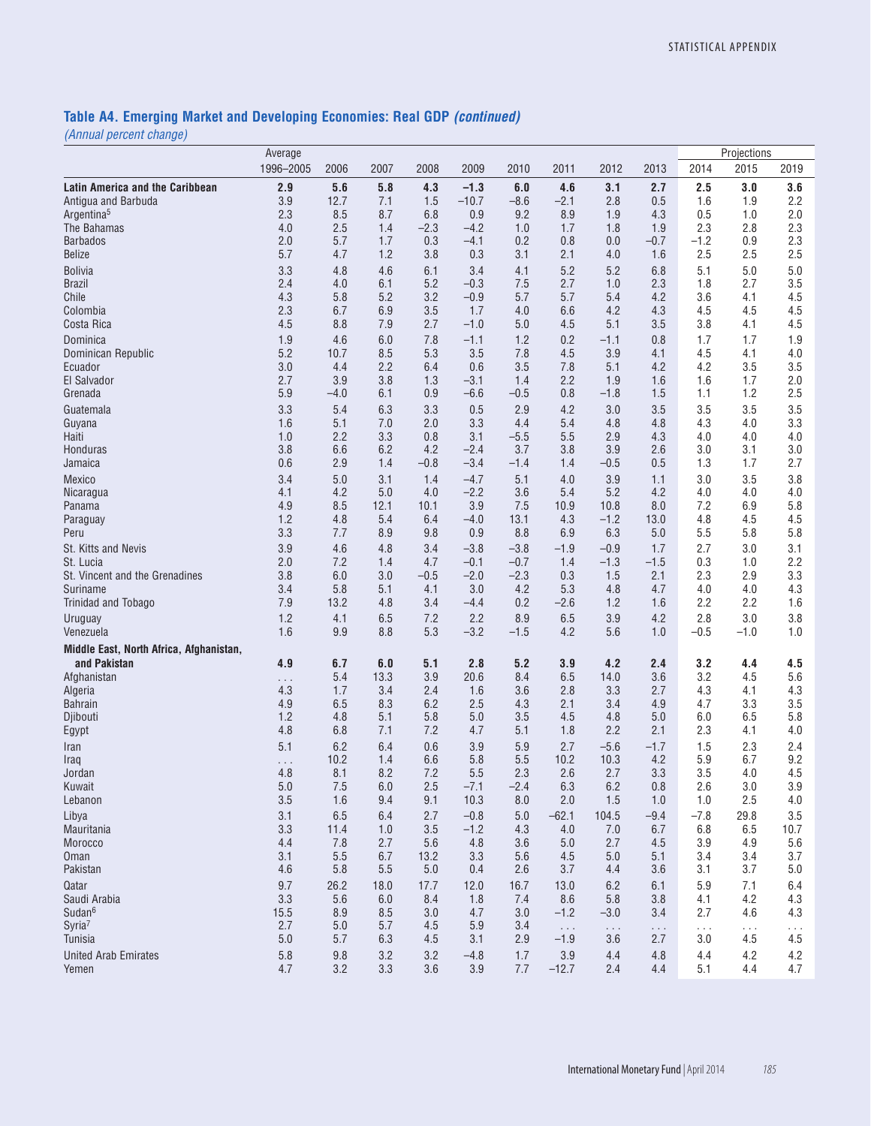#### **Table A4. Emerging Market and Developing Economies: Real GDP** *(continued)*

| $\left[0, \frac{1}{2}, \frac{1}{2}, \frac{1}{2}, \frac{1}{2}, \frac{1}{2}, \frac{1}{2}, \frac{1}{2}, \frac{1}{2}, \frac{1}{2}, \frac{1}{2}, \frac{1}{2}, \frac{1}{2}, \frac{1}{2}, \frac{1}{2}, \frac{1}{2}, \frac{1}{2}, \frac{1}{2}, \frac{1}{2}, \frac{1}{2}, \frac{1}{2}, \frac{1}{2}, \frac{1}{2}, \frac{1}{2}, \frac{1}{2}, \frac{1}{2}, \frac{1}{2}, \frac{1}{2}, \frac{1}{2}, \frac{1}{2}, \frac{1}{2}, \frac{1}{$ | Average    |                |                |               |                   |               |                |               |               |               | Projections   |                |
|----------------------------------------------------------------------------------------------------------------------------------------------------------------------------------------------------------------------------------------------------------------------------------------------------------------------------------------------------------------------------------------------------------------------------|------------|----------------|----------------|---------------|-------------------|---------------|----------------|---------------|---------------|---------------|---------------|----------------|
|                                                                                                                                                                                                                                                                                                                                                                                                                            | 1996-2005  | 2006           | 2007           | 2008          | 2009              | 2010          | 2011           | 2012          | 2013          | 2014          | 2015          | 2019           |
| <b>Latin America and the Caribbean</b><br>Antigua and Barbuda                                                                                                                                                                                                                                                                                                                                                              | 2.9<br>3.9 | 5.6<br>12.7    | 5.8<br>7.1     | 4.3<br>1.5    | $-1.3$<br>$-10.7$ | 6.0<br>$-8.6$ | 4.6<br>$-2.1$  | 3.1<br>2.8    | 2.7<br>0.5    | 2.5<br>1.6    | 3.0<br>1.9    | 3.6<br>2.2     |
| Argentina <sup>5</sup>                                                                                                                                                                                                                                                                                                                                                                                                     | 2.3        | 8.5            | 8.7            | 6.8           | 0.9               | 9.2           | 8.9            | 1.9           | 4.3           | 0.5           | 1.0           | 2.0            |
| The Bahamas                                                                                                                                                                                                                                                                                                                                                                                                                | 4.0        | 2.5            | 1.4            | $-2.3$        | $-4.2$            | 1.0           | 1.7            | 1.8           | 1.9           | 2.3           | 2.8           | 2.3            |
| <b>Barbados</b><br><b>Belize</b>                                                                                                                                                                                                                                                                                                                                                                                           | 2.0<br>5.7 | 5.7<br>4.7     | 1.7<br>1.2     | 0.3<br>3.8    | $-4.1$<br>0.3     | 0.2<br>3.1    | 0.8<br>2.1     | 0.0<br>4.0    | $-0.7$<br>1.6 | $-1.2$<br>2.5 | 0.9<br>2.5    | 2.3<br>2.5     |
| <b>Bolivia</b>                                                                                                                                                                                                                                                                                                                                                                                                             | 3.3        | 4.8            | 4.6            | 6.1           | 3.4               | 4.1           | 5.2            | 5.2           | 6.8           | 5.1           | 5.0           | 5.0            |
| <b>Brazil</b>                                                                                                                                                                                                                                                                                                                                                                                                              | 2.4        | 4.0            | 6.1            | 5.2           | $-0.3$            | 7.5           | 2.7            | 1.0           | 2.3           | 1.8           | 2.7           | 3.5            |
| Chile                                                                                                                                                                                                                                                                                                                                                                                                                      | 4.3        | 5.8            | 5.2            | 3.2           | $-0.9$            | 5.7           | 5.7            | 5.4           | 4.2           | 3.6           | 4.1           | 4.5            |
| Colombia                                                                                                                                                                                                                                                                                                                                                                                                                   | 2.3        | 6.7            | 6.9            | 3.5           | 1.7               | 4.0           | 6.6            | 4.2           | 4.3           | 4.5           | 4.5           | 4.5            |
| Costa Rica                                                                                                                                                                                                                                                                                                                                                                                                                 | 4.5        | 8.8            | 7.9            | 2.7           | $-1.0$            | 5.0           | 4.5            | 5.1           | 3.5           | 3.8           | 4.1           | 4.5            |
| Dominica                                                                                                                                                                                                                                                                                                                                                                                                                   | 1.9        | 4.6<br>10.7    | 6.0            | 7.8           | $-1.1$            | 1.2<br>7.8    | 0.2            | $-1.1$        | 0.8           | 1.7<br>4.5    | 1.7           | 1.9            |
| Dominican Republic<br>Ecuador                                                                                                                                                                                                                                                                                                                                                                                              | 5.2<br>3.0 | 4.4            | 8.5<br>2.2     | 5.3<br>6.4    | 3.5<br>0.6        | 3.5           | 4.5<br>7.8     | 3.9<br>5.1    | 4.1<br>4.2    | 4.2           | 4.1<br>3.5    | 4.0<br>3.5     |
| El Salvador                                                                                                                                                                                                                                                                                                                                                                                                                | 2.7        | 3.9            | 3.8            | 1.3           | $-3.1$            | 1.4           | 2.2            | 1.9           | 1.6           | 1.6           | 1.7           | 2.0            |
| Grenada                                                                                                                                                                                                                                                                                                                                                                                                                    | 5.9        | $-4.0$         | 6.1            | 0.9           | $-6.6$            | $-0.5$        | 0.8            | $-1.8$        | 1.5           | 1.1           | 1.2           | 2.5            |
| Guatemala                                                                                                                                                                                                                                                                                                                                                                                                                  | 3.3        | 5.4            | 6.3            | 3.3           | 0.5               | 2.9           | 4.2            | 3.0           | 3.5           | 3.5           | 3.5           | 3.5            |
| Guyana                                                                                                                                                                                                                                                                                                                                                                                                                     | 1.6        | 5.1            | 7.0            | 2.0           | 3.3               | 4.4           | 5.4            | 4.8           | 4.8           | 4.3           | 4.0           | 3.3            |
| Haiti<br>Honduras                                                                                                                                                                                                                                                                                                                                                                                                          | 1.0<br>3.8 | 2.2<br>6.6     | 3.3<br>6.2     | 0.8<br>4.2    | 3.1<br>$-2.4$     | $-5.5$<br>3.7 | 5.5<br>3.8     | 2.9<br>3.9    | 4.3<br>2.6    | 4.0<br>3.0    | 4.0<br>3.1    | 4.0<br>3.0     |
| Jamaica                                                                                                                                                                                                                                                                                                                                                                                                                    | 0.6        | 2.9            | 1.4            | $-0.8$        | $-3.4$            | $-1.4$        | 1.4            | $-0.5$        | 0.5           | 1.3           | 1.7           | 2.7            |
| Mexico                                                                                                                                                                                                                                                                                                                                                                                                                     | 3.4        | 5.0            | 3.1            | 1.4           | $-4.7$            | 5.1           | 4.0            | 3.9           | 1.1           | 3.0           | 3.5           | 3.8            |
| Nicaragua                                                                                                                                                                                                                                                                                                                                                                                                                  | 4.1        | 4.2            | 5.0            | 4.0           | $-2.2$            | 3.6           | 5.4            | 5.2           | 4.2           | 4.0           | 4.0           | 4.0            |
| Panama                                                                                                                                                                                                                                                                                                                                                                                                                     | 4.9        | 8.5            | 12.1           | 10.1          | 3.9               | 7.5           | 10.9           | 10.8          | 8.0           | 7.2           | 6.9           | 5.8            |
| Paraguay<br>Peru                                                                                                                                                                                                                                                                                                                                                                                                           | 1.2<br>3.3 | 4.8<br>7.7     | 5.4<br>8.9     | 6.4<br>9.8    | $-4.0$<br>0.9     | 13.1<br>8.8   | 4.3<br>6.9     | $-1.2$<br>6.3 | 13.0<br>5.0   | 4.8<br>5.5    | 4.5<br>5.8    | 4.5<br>5.8     |
| St. Kitts and Nevis                                                                                                                                                                                                                                                                                                                                                                                                        | 3.9        | 4.6            | 4.8            | 3.4           | $-3.8$            | $-3.8$        | $-1.9$         | $-0.9$        | 1.7           | 2.7           | 3.0           | 3.1            |
| St. Lucia                                                                                                                                                                                                                                                                                                                                                                                                                  | 2.0        | 7.2            | 1.4            | 4.7           | $-0.1$            | $-0.7$        | 1.4            | $-1.3$        | $-1.5$        | 0.3           | 1.0           | 2.2            |
| St. Vincent and the Grenadines                                                                                                                                                                                                                                                                                                                                                                                             | 3.8        | 6.0            | 3.0            | $-0.5$        | $-2.0$            | $-2.3$        | 0.3            | 1.5           | 2.1           | 2.3           | 2.9           | 3.3            |
| Suriname                                                                                                                                                                                                                                                                                                                                                                                                                   | 3.4        | 5.8            | 5.1            | 4.1           | 3.0               | 4.2           | 5.3            | 4.8           | 4.7           | 4.0           | 4.0           | 4.3            |
| Trinidad and Tobago                                                                                                                                                                                                                                                                                                                                                                                                        | 7.9        | 13.2           | 4.8            | 3.4           | $-4.4$            | 0.2           | $-2.6$         | 1.2           | 1.6           | 2.2           | 2.2           | 1.6            |
| Uruguay<br>Venezuela                                                                                                                                                                                                                                                                                                                                                                                                       | 1.2<br>1.6 | 4.1<br>9.9     | 6.5<br>8.8     | 7.2<br>5.3    | 2.2<br>$-3.2$     | 8.9<br>$-1.5$ | 6.5<br>4.2     | 3.9<br>5.6    | 4.2<br>1.0    | 2.8<br>$-0.5$ | 3.0<br>$-1.0$ | 3.8<br>1.0     |
| Middle East, North Africa, Afghanistan,                                                                                                                                                                                                                                                                                                                                                                                    |            |                |                |               |                   |               |                |               |               |               |               |                |
| and Pakistan                                                                                                                                                                                                                                                                                                                                                                                                               | 4.9        | 6.7            | 6.0            | 5.1           | 2.8               | 5.2           | 3.9            | 4.2           | 2.4           | 3.2           | 4.4           | 4.5            |
| Afghanistan                                                                                                                                                                                                                                                                                                                                                                                                                | $\cdots$   | 5.4            | 13.3           | 3.9           | 20.6              | 8.4           | 6.5            | 14.0          | 3.6           | 3.2           | 4.5           | 5.6            |
| Algeria<br><b>Bahrain</b>                                                                                                                                                                                                                                                                                                                                                                                                  | 4.3<br>4.9 | 1.7<br>6.5     | 3.4<br>8.3     | 2.4<br>6.2    | 1.6<br>2.5        | 3.6<br>4.3    | 2.8<br>2.1     | 3.3<br>3.4    | 2.7<br>4.9    | 4.3<br>4.7    | 4.1<br>3.3    | 4.3<br>3.5     |
| Djibouti                                                                                                                                                                                                                                                                                                                                                                                                                   | 1.2        | 4.8            | 5.1            | 5.8           | 5.0               | 3.5           | 4.5            | 4.8           | 5.0           | 6.0           | 6.5           | 5.8            |
| Egypt                                                                                                                                                                                                                                                                                                                                                                                                                      | 4.8        | 6.8            | 7.1            | 7.2           | 4.7               | 5.1           | 1.8            | 2.2           | 2.1           | 2.3           | 4.1           | 4.0            |
| Iran                                                                                                                                                                                                                                                                                                                                                                                                                       | 5.1        | 6.2            | 6.4            | 0.6           | 3.9               | 5.9           | 2.7            | $-5.6$        | $-1.7$        | 1.5           | 2.3           | 2.4            |
| Iraq                                                                                                                                                                                                                                                                                                                                                                                                                       | .          | 10.2           | 1.4            | 6.6           | 5.8               | 5.5           | 10.2           | 10.3          | 4.2           | 5.9           | 6.7           | 9.2            |
| Jordan<br>Kuwait                                                                                                                                                                                                                                                                                                                                                                                                           | 4.8<br>5.0 | 8.1<br>7.5     | 8.2<br>6.0     | 7.2<br>2.5    | 5.5<br>$-7.1$     | 2.3<br>$-2.4$ | 2.6<br>6.3     | 2.7<br>6.2    | 3.3<br>0.8    | 3.5<br>2.6    | 4.0<br>3.0    | 4.5<br>3.9     |
| Lebanon                                                                                                                                                                                                                                                                                                                                                                                                                    | 3.5        | 1.6            | 9.4            | 9.1           | 10.3              | 8.0           | 2.0            | 1.5           | 1.0           | 1.0           | 2.5           | 4.0            |
| Libya                                                                                                                                                                                                                                                                                                                                                                                                                      | 3.1        | 6.5            | 6.4            | 2.7           | $-0.8$            | 5.0           | $-62.1$        | 104.5         | $-9.4$        | $-7.8$        | 29.8          | 3.5            |
| Mauritania                                                                                                                                                                                                                                                                                                                                                                                                                 | 3.3        | 11.4           | 1.0            | 3.5           | $-1.2$            | 4.3           | 4.0            | 7.0           | 6.7           | 6.8           | 6.5           | 10.7           |
| Morocco                                                                                                                                                                                                                                                                                                                                                                                                                    | 4.4        | 7.8            | 2.7            | 5.6           | 4.8               | 3.6           | 5.0            | 2.7           | 4.5           | 3.9           | 4.9           | 5.6            |
| Oman<br>Pakistan                                                                                                                                                                                                                                                                                                                                                                                                           | 3.1<br>4.6 | 5.5<br>5.8     | 6.7<br>$5.5\,$ | 13.2<br>$5.0$ | 3.3<br>0.4        | 5.6<br>2.6    | 4.5<br>3.7     | 5.0<br>4.4    | 5.1<br>3.6    | 3.4<br>3.1    | 3.4<br>3.7    | 3.7<br>$5.0\,$ |
| Qatar                                                                                                                                                                                                                                                                                                                                                                                                                      | 9.7        | 26.2           | 18.0           | 17.7          | 12.0              | 16.7          | 13.0           | 6.2           | 6.1           | 5.9           | 7.1           | 6.4            |
| Saudi Arabia                                                                                                                                                                                                                                                                                                                                                                                                               | 3.3        | 5.6            | 6.0            | 8.4           | 1.8               | 7.4           | 8.6            | 5.8           | 3.8           | 4.1           | 4.2           | 4.3            |
| Sudan <sup>6</sup>                                                                                                                                                                                                                                                                                                                                                                                                         | 15.5       | 8.9            | 8.5            | 3.0           | 4.7               | 3.0           | $-1.2$         | $-3.0$        | 3.4           | 2.7           | 4.6           | 4.3            |
| Syria <sup>7</sup>                                                                                                                                                                                                                                                                                                                                                                                                         | 2.7        | 5.0            | 5.7            | 4.5           | 5.9               | 3.4           | $\ldots$       | $\ldots$      | $\ldots$ .    | $\ldots$      | .             | $\ldots$       |
| Tunisia                                                                                                                                                                                                                                                                                                                                                                                                                    | 5.0        | 5.7            | 6.3            | 4.5           | 3.1               | 2.9           | $-1.9$         | 3.6           | 2.7           | 3.0           | 4.5           | 4.5            |
| <b>United Arab Emirates</b><br>Yemen                                                                                                                                                                                                                                                                                                                                                                                       | 5.8<br>4.7 | $9.8\,$<br>3.2 | 3.2<br>3.3     | 3.2<br>3.6    | $-4.8$<br>3.9     | 1.7<br>7.7    | 3.9<br>$-12.7$ | 4.4<br>2.4    | 4.8<br>4.4    | 4.4<br>5.1    | 4.2<br>4.4    | 4.2<br>4.7     |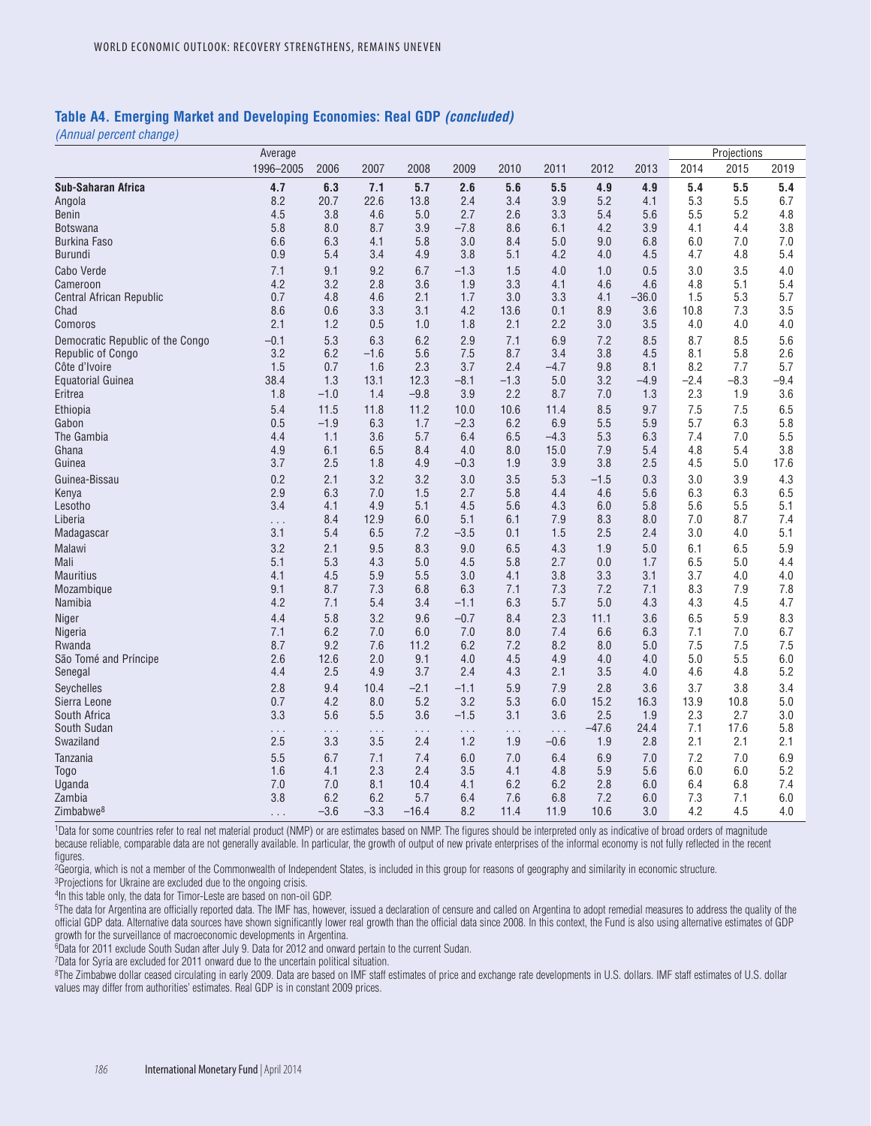#### **Table A4. Emerging Market and Developing Economies: Real GDP** *(concluded)*

*(Annual percent change)*

|                                    | Average       |            |                 |                 |                 |                 |                    |             |             |             | Projections |                |
|------------------------------------|---------------|------------|-----------------|-----------------|-----------------|-----------------|--------------------|-------------|-------------|-------------|-------------|----------------|
|                                    | 1996-2005     | 2006       | 2007            | 2008            | 2009            | 2010            | 2011               | 2012        | 2013        | 2014        | 2015        | 2019           |
| Sub-Saharan Africa                 | 4.7           | 6.3        | 7.1             | 5.7             | 2.6             | 5.6             | 5.5                | 4.9         | 4.9         | 5.4         | 5.5         | 5.4            |
| Angola                             | 8.2           | 20.7       | 22.6            | 13.8            | 2.4             | 3.4             | 3.9                | 5.2         | 4.1         | 5.3         | 5.5         | 6.7            |
| <b>Benin</b>                       | 4.5           | 3.8        | 4.6             | 5.0             | 2.7             | 2.6             | 3.3                | 5.4         | 5.6         | 5.5         | 5.2         | 4.8            |
| Botswana                           | 5.8           | 8.0        | 8.7             | 3.9             | $-7.8$          | 8.6             | 6.1                | 4.2         | 3.9         | 4.1         | 4.4         | 3.8            |
| <b>Burkina Faso</b>                | 6.6           | 6.3        | 4.1             | 5.8             | 3.0             | 8.4             | 5.0                | 9.0         | 6.8         | 6.0         | 7.0         | 7.0            |
| <b>Burundi</b>                     | 0.9           | 5.4        | 3.4             | 4.9             | 3.8             | 5.1             | 4.2                | 4.0         | 4.5         | 4.7         | 4.8         | 5.4            |
| Cabo Verde                         | 7.1           | 9.1        | 9.2             | 6.7             | $-1.3$          | 1.5             | 4.0                | 1.0         | 0.5         | 3.0         | 3.5         | 4.0            |
| Cameroon                           | 4.2           | 3.2        | 2.8             | 3.6             | 1.9             | 3.3             | 4.1                | 4.6         | 4.6         | 4.8         | 5.1         | 5.4            |
| Central African Republic           | 0.7           | 4.8        | 4.6             | 2.1             | 1.7             | 3.0             | 3.3                | 4.1         | $-36.0$     | 1.5         | 5.3         | 5.7            |
| Chad                               | 8.6<br>2.1    | 0.6<br>1.2 | 3.3<br>0.5      | 3.1<br>1.0      | 4.2<br>1.8      | 13.6<br>2.1     | 0.1<br>2.2         | 8.9<br>3.0  | 3.6<br>3.5  | 10.8<br>4.0 | 7.3<br>4.0  | 3.5<br>$4.0\,$ |
| Comoros                            |               |            |                 |                 |                 |                 |                    |             |             |             |             |                |
| Democratic Republic of the Congo   | $-0.1$<br>3.2 | 5.3        | 6.3             | 6.2             | 2.9             | 7.1             | 6.9                | 7.2         | 8.5         | 8.7         | 8.5         | 5.6            |
| Republic of Congo<br>Côte d'Ivoire | 1.5           | 6.2<br>0.7 | $-1.6$<br>1.6   | 5.6<br>2.3      | 7.5<br>3.7      | 8.7<br>2.4      | 3.4<br>$-4.7$      | 3.8<br>9.8  | 4.5<br>8.1  | 8.1<br>8.2  | 5.8<br>7.7  | 2.6<br>5.7     |
| <b>Equatorial Guinea</b>           | 38.4          | 1.3        | 13.1            | 12.3            | $-8.1$          | $-1.3$          | 5.0                | 3.2         | $-4.9$      | $-2.4$      | $-8.3$      | $-9.4$         |
| Eritrea                            | 1.8           | $-1.0$     | 1.4             | $-9.8$          | 3.9             | 2.2             | 8.7                | 7.0         | 1.3         | 2.3         | 1.9         | 3.6            |
| Ethiopia                           | 5.4           | 11.5       | 11.8            | 11.2            | 10.0            | 10.6            | 11.4               | 8.5         | 9.7         | 7.5         | 7.5         | 6.5            |
| Gabon                              | 0.5           | $-1.9$     | 6.3             | 1.7             | $-2.3$          | 6.2             | 6.9                | 5.5         | 5.9         | 5.7         | 6.3         | 5.8            |
| The Gambia                         | 4.4           | 1.1        | 3.6             | 5.7             | 6.4             | 6.5             | $-4.3$             | 5.3         | 6.3         | 7.4         | 7.0         | 5.5            |
| Ghana                              | 4.9           | 6.1        | 6.5             | 8.4             | 4.0             | 8.0             | 15.0               | 7.9         | 5.4         | 4.8         | 5.4         | 3.8            |
| Guinea                             | 3.7           | 2.5        | 1.8             | 4.9             | $-0.3$          | 1.9             | 3.9                | 3.8         | 2.5         | 4.5         | 5.0         | 17.6           |
| Guinea-Bissau                      | 0.2           | 2.1        | 3.2             | 3.2             | 3.0             | 3.5             | 5.3                | $-1.5$      | 0.3         | 3.0         | 3.9         | 4.3            |
| Kenya                              | 2.9           | 6.3        | 7.0             | 1.5             | 2.7             | 5.8             | 4.4                | 4.6         | 5.6         | 6.3         | 6.3         | 6.5            |
| Lesotho                            | 3.4           | 4.1        | 4.9             | 5.1             | 4.5             | 5.6             | 4.3                | 6.0         | 5.8         | 5.6         | 5.5         | 5.1            |
| Liberia                            | .             | 8.4        | 12.9            | 6.0             | 5.1             | 6.1             | 7.9                | 8.3         | 8.0         | 7.0         | 8.7         | 7.4            |
| Madagascar                         | 3.1           | 5.4        | 6.5             | 7.2             | $-3.5$          | 0.1             | 1.5                | 2.5         | 2.4         | 3.0         | 4.0         | 5.1            |
| <b>Malawi</b>                      | 3.2           | 2.1        | 9.5             | 8.3             | 9.0             | 6.5             | 4.3                | 1.9         | 5.0         | 6.1         | 6.5         | 5.9            |
| Mali                               | 5.1           | 5.3        | 4.3             | 5.0             | 4.5             | 5.8             | 2.7                | 0.0         | 1.7         | 6.5         | 5.0         | 4.4            |
| <b>Mauritius</b>                   | 4.1           | 4.5        | 5.9             | 5.5             | 3.0             | 4.1             | 3.8                | 3.3         | 3.1         | 3.7         | 4.0         | 4.0            |
| Mozambique                         | 9.1           | 8.7        | 7.3             | 6.8             | 6.3             | 7.1             | 7.3                | 7.2         | 7.1         | 8.3         | 7.9         | 7.8            |
| Namibia                            | 4.2           | 7.1        | 5.4             | 3.4             | $-1.1$          | 6.3             | 5.7                | 5.0         | 4.3         | 4.3         | 4.5         | 4.7            |
| Niger                              | 4.4           | 5.8        | 3.2             | 9.6             | $-0.7$          | 8.4             | 2.3                | 11.1        | 3.6         | 6.5         | 5.9         | 8.3            |
| Nigeria                            | 7.1           | 6.2        | 7.0             | 6.0             | 7.0             | 8.0             | 7.4                | 6.6         | 6.3         | 7.1         | 7.0         | 6.7            |
| Rwanda                             | 8.7           | 9.2        | 7.6             | 11.2            | 6.2             | 7.2             | 8.2                | 8.0         | 5.0         | 7.5         | 7.5         | 7.5            |
| São Tomé and Príncipe              | 2.6           | 12.6       | 2.0             | 9.1             | 4.0             | 4.5             | 4.9                | 4.0         | 4.0         | 5.0         | 5.5         | 6.0<br>5.2     |
| Senegal                            | 4.4           | 2.5        | 4.9             | 3.7             | 2.4             | 4.3             | 2.1                | 3.5         | 4.0         | 4.6         | 4.8         |                |
| <b>Sevchelles</b>                  | 2.8           | 9.4        | 10.4            | $-2.1$          | $-1.1$          | 5.9             | 7.9                | 2.8         | 3.6         | 3.7         | 3.8         | 3.4            |
| Sierra Leone<br>South Africa       | 0.7<br>3.3    | 4.2<br>5.6 | 8.0<br>5.5      | 5.2<br>3.6      | 3.2<br>$-1.5$   | 5.3<br>3.1      | 6.0<br>3.6         | 15.2<br>2.5 | 16.3<br>1.9 | 13.9<br>2.3 | 10.8<br>2.7 | 5.0<br>3.0     |
| South Sudan                        |               |            |                 |                 |                 |                 |                    | $-47.6$     | 24.4        | 7.1         | 17.6        | 5.8            |
| Swaziland                          | .<br>2.5      | .<br>3.3   | $\ldots$<br>3.5 | $\ldots$<br>2.4 | $\cdots$<br>1.2 | $\ldots$<br>1.9 | $\ldots$<br>$-0.6$ | 1.9         | 2.8         | 2.1         | 2.1         | 2.1            |
| <b>Tanzania</b>                    | 5.5           | 6.7        | 7.1             | 7.4             | 6.0             | 7.0             | 6.4                | 6.9         | 7.0         | 7.2         | 7.0         | 6.9            |
| Togo                               | 1.6           | 4.1        | 2.3             | 2.4             | 3.5             | 4.1             | 4.8                | 5.9         | 5.6         | 6.0         | 6.0         | 5.2            |
| Uganda                             | 7.0           | 7.0        | 8.1             | 10.4            | 4.1             | 6.2             | 6.2                | 2.8         | 6.0         | 6.4         | 6.8         | 7.4            |
| Zambia                             | 3.8           | 6.2        | 6.2             | 5.7             | 6.4             | 7.6             | 6.8                | 7.2         | 6.0         | 7.3         | 7.1         | 6.0            |
| Zimbabwe <sup>8</sup>              | .             | $-3.6$     | $-3.3$          | $-16.4$         | 8.2             | 11.4            | 11.9               | 10.6        | 3.0         | 4.2         | 4.5         | 4.0            |

1Data for some countries refer to real net material product (NMP) or are estimates based on NMP. The figures should be interpreted only as indicative of broad orders of magnitude because reliable, comparable data are not generally available. In particular, the growth of output of new private enterprises of the informal economy is not fully reflected in the recent figures.

<sup>2</sup>Georgia, which is not a member of the Commonwealth of Independent States, is included in this group for reasons of geography and similarity in economic structure.

<sup>3</sup>Projections for Ukraine are excluded due to the ongoing crisis.

4In this table only, the data for Timor-Leste are based on non-oil GDP.

<sup>5</sup>The data for Argentina are officially reported data. The IMF has, however, issued a declaration of censure and called on Argentina to adopt remedial measures to address the quality of the official GDP data. Alternative data sources have shown significantly lower real growth than the official data since 2008. In this context, the Fund is also using alternative estimates of GDP growth for the surveillance of macroeconomic developments in Argentina.

6Data for 2011 exclude South Sudan after July 9. Data for 2012 and onward pertain to the current Sudan.

7Data for Syria are excluded for 2011 onward due to the uncertain political situation.

<sup>8</sup>The Zimbabwe dollar ceased circulating in early 2009. Data are based on IMF staff estimates of price and exchange rate developments in U.S. dollars. IMF staff estimates of U.S. dollar values may differ from authorities' estimates. Real GDP is in constant 2009 prices.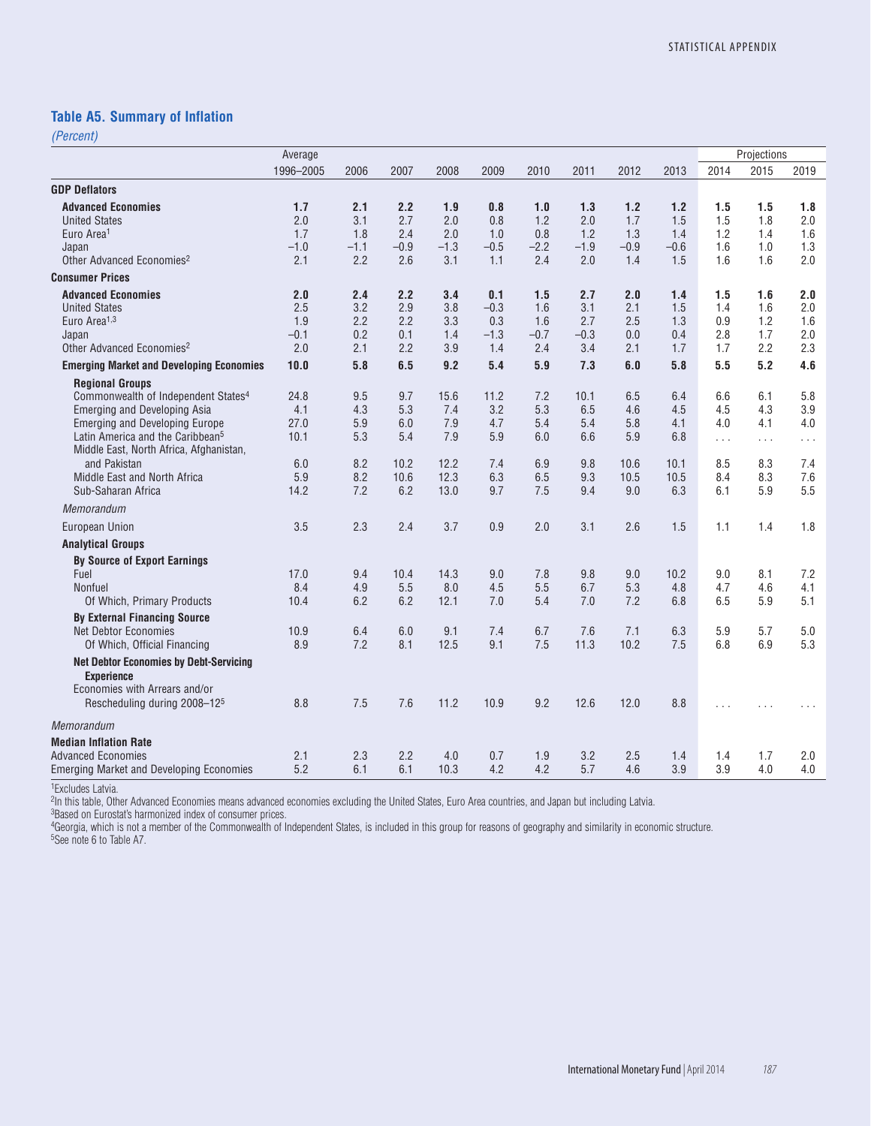### **Table A5. Summary of Inflation**

*(Percent)*

|                                                 | Average   |        |        |        |        |        |        |        |        |          | Projections |          |
|-------------------------------------------------|-----------|--------|--------|--------|--------|--------|--------|--------|--------|----------|-------------|----------|
|                                                 | 1996-2005 | 2006   | 2007   | 2008   | 2009   | 2010   | 2011   | 2012   | 2013   | 2014     | 2015        | 2019     |
| <b>GDP Deflators</b>                            |           |        |        |        |        |        |        |        |        |          |             |          |
| <b>Advanced Economies</b>                       | 1.7       | 2.1    | 2.2    | 1.9    | 0.8    | 1.0    | 1.3    | 1.2    | 1.2    | 1.5      | 1.5         | 1.8      |
| <b>United States</b>                            | 2.0       | 3.1    | 2.7    | 2.0    | 0.8    | 1.2    | 2.0    | 1.7    | 1.5    | 1.5      | 1.8         | 2.0      |
| Euro Area <sup>1</sup>                          | 1.7       | 1.8    | 2.4    | 2.0    | 1.0    | 0.8    | 1.2    | 1.3    | 1.4    | 1.2      | 1.4         | 1.6      |
| Japan                                           | $-1.0$    | $-1.1$ | $-0.9$ | $-1.3$ | $-0.5$ | $-2.2$ | $-1.9$ | $-0.9$ | $-0.6$ | 1.6      | 1.0         | 1.3      |
| Other Advanced Economies <sup>2</sup>           | 2.1       | 2.2    | 2.6    | 3.1    | 1.1    | 2.4    | 2.0    | 1.4    | 1.5    | 1.6      | 1.6         | 2.0      |
| <b>Consumer Prices</b>                          |           |        |        |        |        |        |        |        |        |          |             |          |
| <b>Advanced Economies</b>                       | 2.0       | 2.4    | 2.2    | 3.4    | 0.1    | 1.5    | 2.7    | 2.0    | 1.4    | 1.5      | 1.6         | 2.0      |
| <b>United States</b>                            | 2.5       | 3.2    | 2.9    | 3.8    | $-0.3$ | 1.6    | 3.1    | 2.1    | 1.5    | 1.4      | 1.6         | 2.0      |
| Euro Area <sup>1,3</sup>                        | 1.9       | 2.2    | 2.2    | 3.3    | 0.3    | 1.6    | 2.7    | 2.5    | 1.3    | 0.9      | 1.2         | 1.6      |
| Japan                                           | $-0.1$    | 0.2    | 0.1    | 1.4    | $-1.3$ | $-0.7$ | $-0.3$ | 0.0    | 0.4    | 2.8      | 1.7         | 2.0      |
| Other Advanced Economies <sup>2</sup>           | 2.0       | 2.1    | 2.2    | 3.9    | 1.4    | 2.4    | 3.4    | 2.1    | 1.7    | 1.7      | 2.2         | 2.3      |
| <b>Emerging Market and Developing Economies</b> | 10.0      | 5.8    | 6.5    | 9.2    | 5.4    | 5.9    | 7.3    | 6.0    | 5.8    | 5.5      | 5.2         | 4.6      |
| <b>Regional Groups</b>                          |           |        |        |        |        |        |        |        |        |          |             |          |
| Commonwealth of Independent States <sup>4</sup> | 24.8      | 9.5    | 9.7    | 15.6   | 11.2   | 7.2    | 10.1   | 6.5    | 6.4    | 6.6      | 6.1         | 5.8      |
| Emerging and Developing Asia                    | 4.1       | 4.3    | 5.3    | 7.4    | 3.2    | 5.3    | 6.5    | 4.6    | 4.5    | 4.5      | 4.3         | 3.9      |
| <b>Emerging and Developing Europe</b>           | 27.0      | 5.9    | 6.0    | 7.9    | 4.7    | 5.4    | 5.4    | 5.8    | 4.1    | 4.0      | 4.1         | 4.0      |
| Latin America and the Caribbean <sup>5</sup>    | 10.1      | 5.3    | 5.4    | 7.9    | 5.9    | 6.0    | 6.6    | 5.9    | 6.8    | $\ldots$ | .           | $\ldots$ |
| Middle East, North Africa, Afghanistan,         |           |        |        |        |        |        |        |        |        |          |             |          |
| and Pakistan                                    | 6.0       | 8.2    | 10.2   | 12.2   | 7.4    | 6.9    | 9.8    | 10.6   | 10.1   | 8.5      | 8.3         | 7.4      |
| Middle East and North Africa                    | 5.9       | 8.2    | 10.6   | 12.3   | 6.3    | 6.5    | 9.3    | 10.5   | 10.5   | 8.4      | 8.3         | 7.6      |
| Sub-Saharan Africa                              | 14.2      | 7.2    | 6.2    | 13.0   | 9.7    | 7.5    | 9.4    | 9.0    | 6.3    | 6.1      | 5.9         | 5.5      |
| Memorandum                                      |           |        |        |        |        |        |        |        |        |          |             |          |
| <b>European Union</b>                           | 3.5       | 2.3    | 2.4    | 3.7    | 0.9    | 2.0    | 3.1    | 2.6    | 1.5    | 1.1      | 1.4         | 1.8      |
| <b>Analytical Groups</b>                        |           |        |        |        |        |        |        |        |        |          |             |          |
| <b>By Source of Export Earnings</b>             |           |        |        |        |        |        |        |        |        |          |             |          |
| Fuel                                            | 17.0      | 9.4    | 10.4   | 14.3   | 9.0    | 7.8    | 9.8    | 9.0    | 10.2   | 9.0      | 8.1         | 7.2      |
| Nonfuel                                         | 8.4       | 4.9    | 5.5    | 8.0    | 4.5    | 5.5    | 6.7    | 5.3    | 4.8    | 4.7      | 4.6         | 4.1      |
| Of Which, Primary Products                      | 10.4      | 6.2    | 6.2    | 12.1   | 7.0    | 5.4    | 7.0    | 7.2    | 6.8    | 6.5      | 5.9         | 5.1      |
| <b>By External Financing Source</b>             |           |        |        |        |        |        |        |        |        |          |             |          |
| <b>Net Debtor Economies</b>                     | 10.9      | 6.4    | 6.0    | 9.1    | 7.4    | 6.7    | 7.6    | 7.1    | 6.3    | 5.9      | 5.7         | 5.0      |
| Of Which, Official Financing                    | 8.9       | 7.2    | 8.1    | 12.5   | 9.1    | 7.5    | 11.3   | 10.2   | 7.5    | 6.8      | 6.9         | 5.3      |
| <b>Net Debtor Economies by Debt-Servicing</b>   |           |        |        |        |        |        |        |        |        |          |             |          |
| <b>Experience</b>                               |           |        |        |        |        |        |        |        |        |          |             |          |
| Economies with Arrears and/or                   |           |        |        |        |        |        |        |        |        |          |             |          |
| Rescheduling during 2008-125                    | 8.8       | 7.5    | 7.6    | 11.2   | 10.9   | 9.2    | 12.6   | 12.0   | 8.8    |          |             |          |
| Memorandum                                      |           |        |        |        |        |        |        |        |        |          |             |          |
| <b>Median Inflation Rate</b>                    |           |        |        |        |        |        |        |        |        |          |             |          |
| <b>Advanced Economies</b>                       | 2.1       | 2.3    | 2.2    | 4.0    | 0.7    | 1.9    | 3.2    | 2.5    | 1.4    | 1.4      | 1.7         | 2.0      |
| <b>Emerging Market and Developing Economies</b> | 5.2       | 6.1    | 6.1    | 10.3   | 4.2    | 4.2    | 5.7    | 4.6    | 3.9    | 3.9      | 4.0         | 4.0      |

1Excludes Latvia.

2In this table, Other Advanced Economies means advanced economies excluding the United States, Euro Area countries, and Japan but including Latvia.

<sup>3</sup>Based on Eurostat's harmonized index of consumer prices.

4Georgia, which is not a member of the Commonwealth of Independent States, is included in this group for reasons of geography and similarity in economic structure.

5See note 6 to Table A7.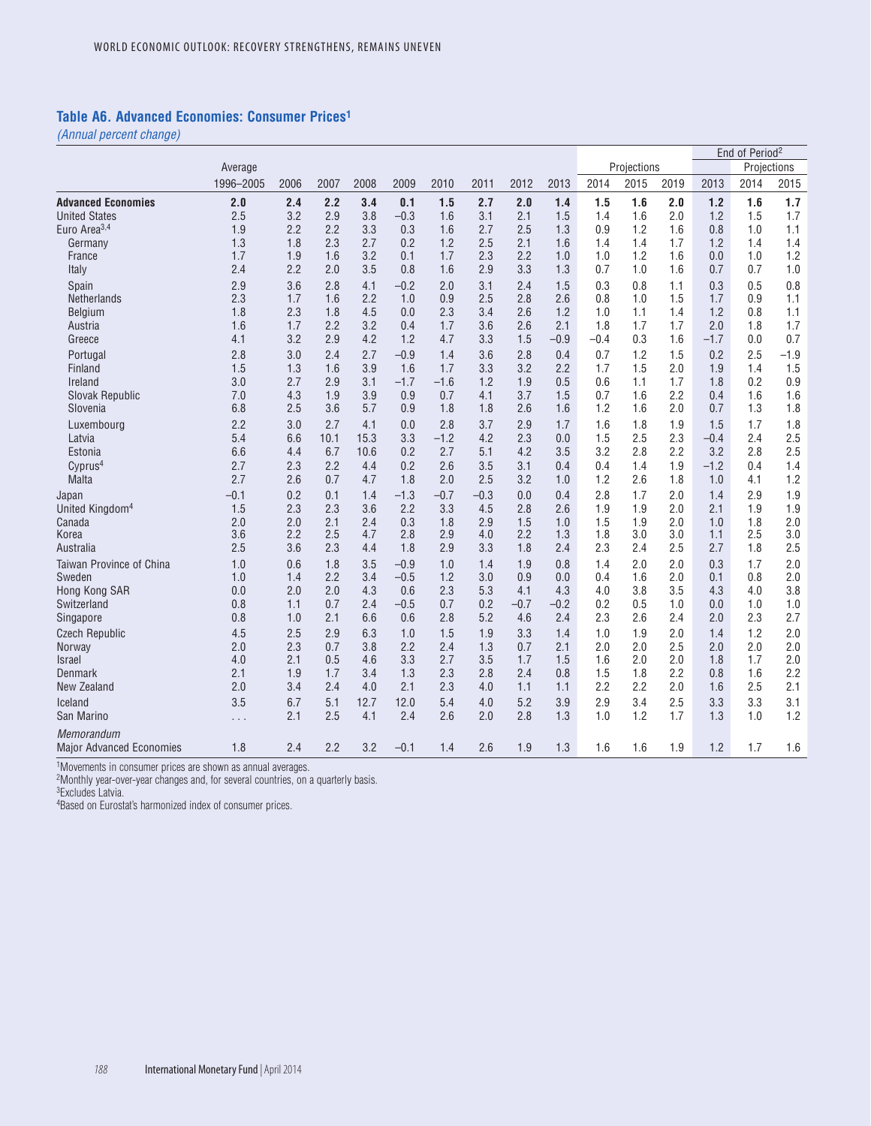### **Table A6. Advanced Economies: Consumer Prices1**

*(Annual percent change)*

|                                               |           |      |      |      |        |        |        |        |        |        |             |      |        | End of Period <sup>2</sup> |        |
|-----------------------------------------------|-----------|------|------|------|--------|--------|--------|--------|--------|--------|-------------|------|--------|----------------------------|--------|
|                                               | Average   |      |      |      |        |        |        |        |        |        | Projections |      |        | Projections                |        |
|                                               | 1996-2005 | 2006 | 2007 | 2008 | 2009   | 2010   | 2011   | 2012   | 2013   | 2014   | 2015        | 2019 | 2013   | 2014                       | 2015   |
| <b>Advanced Economies</b>                     | 2.0       | 2.4  | 2.2  | 3.4  | 0.1    | 1.5    | 2.7    | 2.0    | 1.4    | 1.5    | 1.6         | 2.0  | 1.2    | 1.6                        | 1.7    |
| <b>United States</b>                          | 2.5       | 3.2  | 2.9  | 3.8  | $-0.3$ | 1.6    | 3.1    | 2.1    | 1.5    | 1.4    | 1.6         | 2.0  | 1.2    | 1.5                        | 1.7    |
| Euro Area <sup>3,4</sup>                      | 1.9       | 2.2  | 2.2  | 3.3  | 0.3    | 1.6    | 2.7    | 2.5    | 1.3    | 0.9    | 1.2         | 1.6  | 0.8    | 1.0                        | 1.1    |
| Germany                                       | 1.3       | 1.8  | 2.3  | 2.7  | 0.2    | 1.2    | 2.5    | 2.1    | 1.6    | 1.4    | 1.4         | 1.7  | 1.2    | 1.4                        | 1.4    |
| France                                        | 1.7       | 1.9  | 1.6  | 3.2  | 0.1    | 1.7    | 2.3    | 2.2    | 1.0    | 1.0    | 1.2         | 1.6  | 0.0    | 1.0                        | 1.2    |
| Italy                                         | 2.4       | 2.2  | 2.0  | 3.5  | 0.8    | 1.6    | 2.9    | 3.3    | 1.3    | 0.7    | 1.0         | 1.6  | 0.7    | 0.7                        | 1.0    |
| Spain                                         | 2.9       | 3.6  | 2.8  | 4.1  | $-0.2$ | 2.0    | 3.1    | 2.4    | 1.5    | 0.3    | 0.8         | 1.1  | 0.3    | 0.5                        | 0.8    |
| Netherlands                                   | 2.3       | 1.7  | 1.6  | 2.2  | 1.0    | 0.9    | 2.5    | 2.8    | 2.6    | 0.8    | 1.0         | 1.5  | 1.7    | 0.9                        | 1.1    |
| Belgium                                       | 1.8       | 2.3  | 1.8  | 4.5  | 0.0    | 2.3    | 3.4    | 2.6    | 1.2    | 1.0    | 1.1         | 1.4  | 1.2    | 0.8                        | 1.1    |
| Austria                                       | 1.6       | 1.7  | 2.2  | 3.2  | 0.4    | 1.7    | 3.6    | 2.6    | 2.1    | 1.8    | 1.7         | 1.7  | 2.0    | 1.8                        | 1.7    |
| Greece                                        | 4.1       | 3.2  | 2.9  | 4.2  | 1.2    | 4.7    | 3.3    | 1.5    | $-0.9$ | $-0.4$ | 0.3         | 1.6  | $-1.7$ | 0.0                        | 0.7    |
| Portugal                                      | 2.8       | 3.0  | 2.4  | 2.7  | $-0.9$ | 1.4    | 3.6    | 2.8    | 0.4    | 0.7    | 1.2         | 1.5  | 0.2    | 2.5                        | $-1.9$ |
| Finland                                       | 1.5       | 1.3  | 1.6  | 3.9  | 1.6    | 1.7    | 3.3    | 3.2    | 2.2    | 1.7    | 1.5         | 2.0  | 1.9    | 1.4                        | 1.5    |
| Ireland                                       | 3.0       | 2.7  | 2.9  | 3.1  | $-1.7$ | $-1.6$ | 1.2    | 1.9    | 0.5    | 0.6    | 1.1         | 1.7  | 1.8    | 0.2                        | 0.9    |
| Slovak Republic                               | 7.0       | 4.3  | 1.9  | 3.9  | 0.9    | 0.7    | 4.1    | 3.7    | 1.5    | 0.7    | 1.6         | 2.2  | 0.4    | 1.6                        | 1.6    |
| Slovenia                                      | 6.8       | 2.5  | 3.6  | 5.7  | 0.9    | 1.8    | 1.8    | 2.6    | 1.6    | 1.2    | 1.6         | 2.0  | 0.7    | 1.3                        | 1.8    |
| Luxembourg                                    | 2.2       | 3.0  | 2.7  | 4.1  | 0.0    | 2.8    | 3.7    | 2.9    | 1.7    | 1.6    | 1.8         | 1.9  | 1.5    | 1.7                        | 1.8    |
| Latvia                                        | 5.4       | 6.6  | 10.1 | 15.3 | 3.3    | $-1.2$ | 4.2    | 2.3    | 0.0    | 1.5    | 2.5         | 2.3  | $-0.4$ | 2.4                        | 2.5    |
| Estonia                                       | 6.6       | 4.4  | 6.7  | 10.6 | 0.2    | 2.7    | 5.1    | 4.2    | 3.5    | 3.2    | 2.8         | 2.2  | 3.2    | 2.8                        | 2.5    |
| Cvprus <sup>4</sup>                           | 2.7       | 2.3  | 2.2  | 4.4  | 0.2    | 2.6    | 3.5    | 3.1    | 0.4    | 0.4    | 1.4         | 1.9  | $-1.2$ | 0.4                        | 1.4    |
| Malta                                         | 2.7       | 2.6  | 0.7  | 4.7  | 1.8    | 2.0    | 2.5    | 3.2    | 1.0    | 1.2    | 2.6         | 1.8  | 1.0    | 4.1                        | 1.2    |
| Japan                                         | $-0.1$    | 0.2  | 0.1  | 1.4  | $-1.3$ | $-0.7$ | $-0.3$ | 0.0    | 0.4    | 2.8    | 1.7         | 2.0  | 1.4    | 2.9                        | 1.9    |
| United Kingdom <sup>4</sup>                   | 1.5       | 2.3  | 2.3  | 3.6  | 2.2    | 3.3    | 4.5    | 2.8    | 2.6    | 1.9    | 1.9         | 2.0  | 2.1    | 1.9                        | 1.9    |
| Canada                                        | 2.0       | 2.0  | 2.1  | 2.4  | 0.3    | 1.8    | 2.9    | 1.5    | 1.0    | 1.5    | 1.9         | 2.0  | 1.0    | 1.8                        | 2.0    |
| Korea                                         | 3.6       | 2.2  | 2.5  | 4.7  | 2.8    | 2.9    | 4.0    | 2.2    | 1.3    | 1.8    | 3.0         | 3.0  | 1.1    | 2.5                        | 3.0    |
| Australia                                     | 2.5       | 3.6  | 2.3  | 4.4  | 1.8    | 2.9    | 3.3    | 1.8    | 2.4    | 2.3    | 2.4         | 2.5  | 2.7    | 1.8                        | 2.5    |
| Taiwan Province of China                      | 1.0       | 0.6  | 1.8  | 3.5  | $-0.9$ | 1.0    | 1.4    | 1.9    | 0.8    | 1.4    | 2.0         | 2.0  | 0.3    | 1.7                        | 2.0    |
| Sweden                                        | 1.0       | 1.4  | 2.2  | 3.4  | $-0.5$ | 1.2    | 3.0    | 0.9    | 0.0    | 0.4    | 1.6         | 2.0  | 0.1    | 0.8                        | 2.0    |
| Hong Kong SAR                                 | 0.0       | 2.0  | 2.0  | 4.3  | 0.6    | 2.3    | 5.3    | 4.1    | 4.3    | 4.0    | 3.8         | 3.5  | 4.3    | 4.0                        | 3.8    |
| Switzerland                                   | 0.8       | 1.1  | 0.7  | 2.4  | $-0.5$ | 0.7    | 0.2    | $-0.7$ | $-0.2$ | 0.2    | 0.5         | 1.0  | 0.0    | 1.0                        | 1.0    |
| Singapore                                     | 0.8       | 1.0  | 2.1  | 6.6  | 0.6    | 2.8    | 5.2    | 4.6    | 2.4    | 2.3    | 2.6         | 2.4  | 2.0    | 2.3                        | 2.7    |
| <b>Czech Republic</b>                         | 4.5       | 2.5  | 2.9  | 6.3  | 1.0    | 1.5    | 1.9    | 3.3    | 1.4    | 1.0    | 1.9         | 2.0  | 1.4    | 1.2                        | 2.0    |
| Norway                                        | 2.0       | 2.3  | 0.7  | 3.8  | 2.2    | 2.4    | 1.3    | 0.7    | 2.1    | 2.0    | 2.0         | 2.5  | 2.0    | 2.0                        | 2.0    |
| <b>Israel</b>                                 | 4.0       | 2.1  | 0.5  | 4.6  | 3.3    | 2.7    | 3.5    | 1.7    | 1.5    | 1.6    | 2.0         | 2.0  | 1.8    | 1.7                        | 2.0    |
| Denmark                                       | 2.1       | 1.9  | 1.7  | 3.4  | 1.3    | 2.3    | 2.8    | 2.4    | 0.8    | 1.5    | 1.8         | 2.2  | 0.8    | 1.6                        | 2.2    |
| New Zealand                                   | 2.0       | 3.4  | 2.4  | 4.0  | 2.1    | 2.3    | 4.0    | 1.1    | 1.1    | 2.2    | 2.2         | 2.0  | 1.6    | 2.5                        | 2.1    |
| Iceland                                       | 3.5       | 6.7  | 5.1  | 12.7 | 12.0   | 5.4    | 4.0    | 5.2    | 3.9    | 2.9    | 3.4         | 2.5  | 3.3    | 3.3                        | 3.1    |
| San Marino                                    | .         | 2.1  | 2.5  | 4.1  | 2.4    | 2.6    | 2.0    | 2.8    | 1.3    | 1.0    | 1.2         | 1.7  | 1.3    | 1.0                        | 1.2    |
| Memorandum<br><b>Major Advanced Economies</b> | 1.8       | 2.4  | 2.2  | 3.2  | $-0.1$ | 1.4    | 2.6    | 1.9    | 1.3    | 1.6    | 1.6         | 1.9  | 1.2    | 1.7                        | 1.6    |

1Movements in consumer prices are shown as annual averages.

2Monthly year-over-year changes and, for several countries, on a quarterly basis.

3Excludes Latvia.

4Based on Eurostat's harmonized index of consumer prices.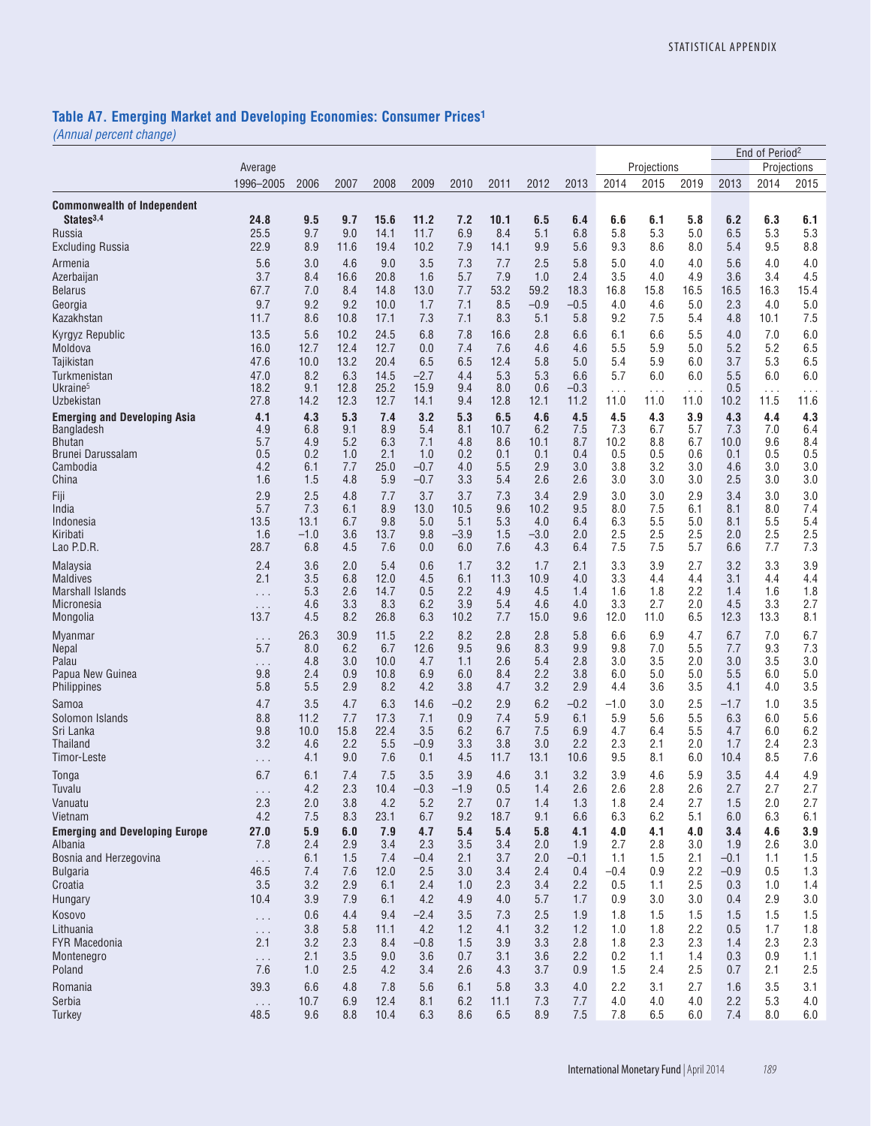#### **Table A7. Emerging Market and Developing Economies: Consumer Prices1**

|                                           |                      |              |              |              |               |            |             |               |               |               |             |            |                  | End of Period <sup>2</sup> |             |
|-------------------------------------------|----------------------|--------------|--------------|--------------|---------------|------------|-------------|---------------|---------------|---------------|-------------|------------|------------------|----------------------------|-------------|
|                                           | Average              |              |              |              |               |            |             |               |               |               | Projections |            |                  |                            | Projections |
|                                           | 1996-2005            | 2006         | 2007         | 2008         | 2009          | 2010       | 2011        | 2012          | 2013          | 2014          | 2015        | 2019       | 2013             | 2014                       | 2015        |
| <b>Commonwealth of Independent</b>        |                      |              |              |              |               |            |             |               |               |               |             |            |                  |                            |             |
| States <sup>3,4</sup>                     | 24.8                 | 9.5          | 9.7          | 15.6         | 11.2          | 7.2        | 10.1        | 6.5           | 6.4           | 6.6           | 6.1         | 5.8        | 6.2              | 6.3                        | 6.1         |
| Russia                                    | 25.5                 | 9.7          | 9.0          | 14.1         | 11.7          | 6.9        | 8.4         | 5.1           | 6.8           | 5.8           | 5.3         | 5.0        | 6.5              | 5.3                        | 5.3         |
| Excluding Russia                          | 22.9                 | 8.9          | 11.6         | 19.4         | 10.2          | 7.9        | 14.1        | 9.9           | 5.6           | 9.3           | 8.6         | 8.0        | 5.4              | 9.5                        | 8.8         |
| Armenia                                   | 5.6                  | 3.0          | 4.6          | 9.0          | 3.5           | 7.3        | 7.7         | 2.5           | 5.8           | 5.0           | 4.0         | 4.0        | 5.6              | 4.0                        | 4.0         |
| Azerbaijan                                | 3.7                  | 8.4          | 16.6         | 20.8         | 1.6           | 5.7        | 7.9         | 1.0           | 2.4           | 3.5           | 4.0         | 4.9        | 3.6              | 3.4                        | 4.5         |
| <b>Belarus</b>                            | 67.7                 | 7.0          | 8.4          | 14.8         | 13.0          | 7.7        | 53.2        | 59.2          | 18.3          | 16.8          | 15.8        | 16.5       | 16.5             | 16.3                       | 15.4        |
| Georgia                                   | 9.7                  | 9.2<br>8.6   | 9.2          | 10.0         | 1.7<br>7.3    | 7.1<br>7.1 | 8.5<br>8.3  | $-0.9$<br>5.1 | $-0.5$<br>5.8 | 4.0<br>9.2    | 4.6<br>7.5  | 5.0<br>5.4 | 2.3<br>4.8       | 4.0                        | 5.0<br>7.5  |
| Kazakhstan                                | 11.7                 |              | 10.8         | 17.1         |               |            |             |               |               |               |             |            |                  | 10.1                       |             |
| Kyrgyz Republic                           | 13.5                 | 5.6          | 10.2         | 24.5         | 6.8           | 7.8        | 16.6        | 2.8           | 6.6           | 6.1           | 6.6         | 5.5        | 4.0<br>5.2       | 7.0<br>5.2                 | 6.0         |
| Moldova<br>Tajikistan                     | 16.0<br>47.6         | 12.7<br>10.0 | 12.4<br>13.2 | 12.7<br>20.4 | 0.0<br>6.5    | 7.4<br>6.5 | 7.6<br>12.4 | 4.6<br>5.8    | 4.6<br>5.0    | 5.5<br>5.4    | 5.9<br>5.9  | 5.0<br>6.0 | 3.7              | 5.3                        | 6.5<br>6.5  |
| Turkmenistan                              | 47.0                 | 8.2          | 6.3          | 14.5         | $-2.7$        | 4.4        | 5.3         | 5.3           | 6.6           | 5.7           | 6.0         | 6.0        | 5.5              | 6.0                        | 6.0         |
| Ukraine <sup>5</sup>                      | 18.2                 | 9.1          | 12.8         | 25.2         | 15.9          | 9.4        | 8.0         | 0.6           | $-0.3$        | $\cdots$      | $\cdots$    | $\cdots$   | 0.5              | $\ldots$                   | $\cdots$    |
| Uzbekistan                                | 27.8                 | 14.2         | 12.3         | 12.7         | 14.1          | 9.4        | 12.8        | 12.1          | 11.2          | 11.0          | 11.0        | 11.0       | 10.2             | 11.5                       | 11.6        |
| <b>Emerging and Developing Asia</b>       | 4.1                  | 4.3          | 5.3          | 7.4          | 3.2           | 5.3        | 6.5         | 4.6           | 4.5           | 4.5           | 4.3         | 3.9        | 4.3              | 4.4                        | 4.3         |
| Bangladesh                                | 4.9                  | 6.8          | 9.1          | 8.9          | 5.4           | 8.1        | 10.7        | 6.2           | 7.5           | 7.3           | 6.7         | 5.7        | 7.3              | 7.0                        | 6.4         |
| <b>Bhutan</b>                             | 5.7                  | 4.9          | 5.2          | 6.3          | 7.1           | 4.8        | 8.6         | 10.1          | 8.7           | 10.2          | 8.8         | 6.7        | 10.0             | 9.6                        | 8.4         |
| <b>Brunei Darussalam</b><br>Cambodia      | 0.5<br>4.2           | 0.2<br>6.1   | 1.0<br>7.7   | 2.1<br>25.0  | 1.0<br>$-0.7$ | 0.2<br>4.0 | 0.1<br>5.5  | 0.1<br>2.9    | 0.4<br>3.0    | 0.5<br>3.8    | 0.5<br>3.2  | 0.6<br>3.0 | 0.1<br>4.6       | 0.5<br>3.0                 | 0.5<br>3.0  |
| China                                     | 1.6                  | 1.5          | 4.8          | 5.9          | $-0.7$        | 3.3        | 5.4         | 2.6           | 2.6           | 3.0           | 3.0         | 3.0        | 2.5              | 3.0                        | 3.0         |
| Fiji                                      | 2.9                  | 2.5          | 4.8          | 7.7          | 3.7           | 3.7        | 7.3         | 3.4           | 2.9           | 3.0           | 3.0         | 2.9        | 3.4              | 3.0                        | 3.0         |
| India                                     | 5.7                  | 7.3          | 6.1          | 8.9          | 13.0          | 10.5       | 9.6         | 10.2          | 9.5           | 8.0           | 7.5         | 6.1        | 8.1              | 8.0                        | 7.4         |
| Indonesia                                 | 13.5                 | 13.1         | 6.7          | 9.8          | 5.0           | 5.1        | 5.3         | 4.0           | 6.4           | 6.3           | 5.5         | 5.0        | 8.1              | 5.5                        | 5.4         |
| Kiribati                                  | 1.6                  | $-1.0$       | 3.6          | 13.7         | 9.8           | $-3.9$     | 1.5         | $-3.0$        | 2.0           | 2.5           | 2.5         | 2.5        | 2.0              | 2.5                        | 2.5         |
| Lao P.D.R.                                | 28.7                 | 6.8          | 4.5          | 7.6          | 0.0           | 6.0        | 7.6         | 4.3           | 6.4           | 7.5           | 7.5         | 5.7        | 6.6              | 7.7                        | 7.3         |
| Malaysia                                  | 2.4                  | 3.6          | 2.0          | 5.4          | 0.6           | 1.7        | 3.2         | 1.7           | 2.1           | 3.3           | 3.9         | 2.7        | 3.2              | 3.3                        | 3.9         |
| <b>Maldives</b>                           | 2.1                  | 3.5          | 6.8          | 12.0         | 4.5           | 6.1        | 11.3        | 10.9          | 4.0           | 3.3           | 4.4         | 4.4        | 3.1              | 4.4                        | 4.4         |
| <b>Marshall Islands</b>                   | $\cdots$             | 5.3          | 2.6          | 14.7         | 0.5           | 2.2        | 4.9         | 4.5           | 1.4           | 1.6           | 1.8         | 2.2        | 1.4              | 1.6                        | 1.8         |
| Micronesia                                | $\cdots$             | 4.6          | 3.3          | 8.3          | 6.2           | 3.9        | 5.4         | 4.6           | 4.0           | 3.3           | 2.7         | 2.0        | 4.5              | 3.3                        | 2.7         |
| Mongolia                                  | 13.7                 | 4.5          | 8.2          | 26.8         | 6.3           | 10.2       | 7.7         | 15.0          | 9.6           | 12.0          | 11.0        | 6.5        | 12.3             | 13.3                       | 8.1         |
| Myanmar                                   | .                    | 26.3         | 30.9         | 11.5         | 2.2           | 8.2        | 2.8         | 2.8           | 5.8           | 6.6           | 6.9         | 4.7        | 6.7              | 7.0                        | 6.7         |
| Nepal<br>Palau                            | 5.7                  | 8.0<br>4.8   | 6.2<br>3.0   | 6.7<br>10.0  | 12.6<br>4.7   | 9.5<br>1.1 | 9.6<br>2.6  | 8.3<br>5.4    | 9.9<br>2.8    | 9.8<br>3.0    | 7.0<br>3.5  | 5.5<br>2.0 | 7.7<br>3.0       | 9.3<br>3.5                 | 7.3<br>3.0  |
| Papua New Guinea                          | .<br>9.8             | 2.4          | 0.9          | 10.8         | 6.9           | 6.0        | 8.4         | 2.2           | 3.8           | 6.0           | 5.0         | 5.0        | 5.5              | 6.0                        | 5.0         |
| Philippines                               | 5.8                  | 5.5          | 2.9          | 8.2          | 4.2           | 3.8        | 4.7         | 3.2           | 2.9           | 4.4           | 3.6         | 3.5        | 4.1              | 4.0                        | 3.5         |
| Samoa                                     | 4.7                  | 3.5          | 4.7          | 6.3          | 14.6          | $-0.2$     | 2.9         | 6.2           | $-0.2$        | $-1.0$        | 3.0         | 2.5        | $-1.7$           | 1.0                        | 3.5         |
| Solomon Islands                           | 8.8                  | 11.2         | 7.7          | 17.3         | 7.1           | 0.9        | 7.4         | 5.9           | 6.1           | 5.9           | 5.6         | 5.5        | 6.3              | 6.0                        | 5.6         |
| Sri Lanka                                 | 9.8                  | 10.0         | 15.8         | 22.4         | 3.5           | 6.2        | 6.7         | 7.5           | 6.9           | 4.7           | 6.4         | 5.5        | 4.7              | 6.0                        | 6.2         |
| Thailand                                  | 3.2                  | 4.6          | 2.2          | 5.5          | $-0.9$        | 3.3        | 3.8         | 3.0           | 2.2           | 2.3           | 2.1         | 2.0        | 1.7              | 2.4                        | 2.3         |
| Timor-Leste                               | .                    | 4.1          | 9.0          | 7.6          | 0.1           | 4.5        | 11.7        | 13.1          | 10.6          | 9.5           | 8.1         | 6.0        | 10.4             | 8.5                        | 7.6         |
| Tonga                                     | 6.7                  | 6.1          | 7.4          | 7.5          | 3.5           | 3.9        | 4.6         | 3.1           | 3.2           | 3.9           | 4.6         | 5.9        | 3.5              | 4.4                        | 4.9         |
| Tuvalu                                    | $\cdots$             | 4.2          | 2.3          | 10.4         | $-0.3$        | $-1.9$     | 0.5         | 1.4           | 2.6           | 2.6           | 2.8         | 2.6        | 2.7              | 2.7                        | 2.7         |
| Vanuatu                                   | 2.3                  | 2.0          | 3.8          | 4.2          | 5.2           | 2.7        | 0.7         | 1.4           | 1.3           | 1.8           | 2.4         | 2.7        | 1.5              | 2.0                        | 2.7         |
| Vietnam                                   | 4.2                  | 7.5          | 8.3          | 23.1         | 6.7           | 9.2        | 18.7        | 9.1           | 6.6           | 6.3           | 6.2         | 5.1        | 6.0              | 6.3                        | 6.1         |
| <b>Emerging and Developing Europe</b>     | 27.0                 | 5.9          | 6.0          | 7.9          | 4.7           | 5.4        | 5.4         | 5.8           | 4.1           | 4.0           | 4.1         | 4.0        | 3.4              | 4.6                        | 3.9         |
| Albania                                   | 7.8                  | 2.4          | 2.9          | 3.4          | 2.3           | 3.5        | 3.4         | 2.0           | 1.9           | 2.7           | 2.8         | 3.0        | 1.9              | 2.6                        | 3.0         |
| Bosnia and Herzegovina<br><b>Bulgaria</b> | $\Box$ .<br>46.5     | 6.1<br>7.4   | 1.5<br>7.6   | 7.4<br>12.0  | $-0.4$<br>2.5 | 2.1<br>3.0 | 3.7<br>3.4  | 2.0<br>2.4    | $-0.1$<br>0.4 | 1.1<br>$-0.4$ | 1.5<br>0.9  | 2.1<br>2.2 | $-0.1$<br>$-0.9$ | 1.1<br>0.5                 | 1.5<br>1.3  |
| Croatia                                   | 3.5                  | 3.2          | 2.9          | 6.1          | 2.4           | 1.0        | 2.3         | 3.4           | 2.2           | 0.5           | 1.1         | 2.5        | 0.3              | 1.0                        | 1.4         |
| Hungary                                   | 10.4                 | 3.9          | 7.9          | 6.1          | 4.2           | 4.9        | 4.0         | 5.7           | 1.7           | 0.9           | 3.0         | 3.0        | 0.4              | 2.9                        | 3.0         |
| Kosovo                                    | $\cdots$             | 0.6          | 4.4          | 9.4          | $-2.4$        | 3.5        | 7.3         | 2.5           | 1.9           | 1.8           | 1.5         | 1.5        | 1.5              | 1.5                        | 1.5         |
| Lithuania                                 | $\cdots$             | 3.8          | 5.8          | 11.1         | 4.2           | 1.2        | 4.1         | 3.2           | 1.2           | 1.0           | 1.8         | 2.2        | 0.5              | 1.7                        | 1.8         |
| FYR Macedonia                             | 2.1                  | 3.2          | 2.3          | 8.4          | $-0.8$        | 1.5        | 3.9         | 3.3           | 2.8           | 1.8           | 2.3         | 2.3        | 1.4              | 2.3                        | 2.3         |
| Montenegro                                | $\cdots$             | 2.1          | 3.5          | 9.0          | 3.6           | 0.7        | 3.1         | 3.6           | 2.2           | 0.2           | 1.1         | 1.4        | 0.3              | 0.9                        | 1.1         |
| Poland                                    | 7.6                  | 1.0          | 2.5          | 4.2          | 3.4           | 2.6        | 4.3         | 3.7           | 0.9           | 1.5           | 2.4         | 2.5        | 0.7              | 2.1                        | 2.5         |
| Romania                                   | 39.3                 | 6.6          | 4.8          | 7.8          | 5.6           | 6.1        | 5.8         | 3.3           | 4.0           | 2.2           | 3.1         | 2.7        | 1.6              | 3.5                        | 3.1         |
| Serbia                                    | $\sim$ $\sim$ $\sim$ | 10.7         | 6.9          | 12.4         | 8.1           | 6.2        | 11.1        | 7.3           | 7.7           | 4.0           | 4.0         | 4.0        | 2.2              | 5.3                        | 4.0         |
| Turkey                                    | 48.5                 | 9.6          | 8.8          | 10.4         | 6.3           | 8.6        | 6.5         | 8.9           | 7.5           | 7.8           | 6.5         | 6.0        | 7.4              | 8.0                        | 6.0         |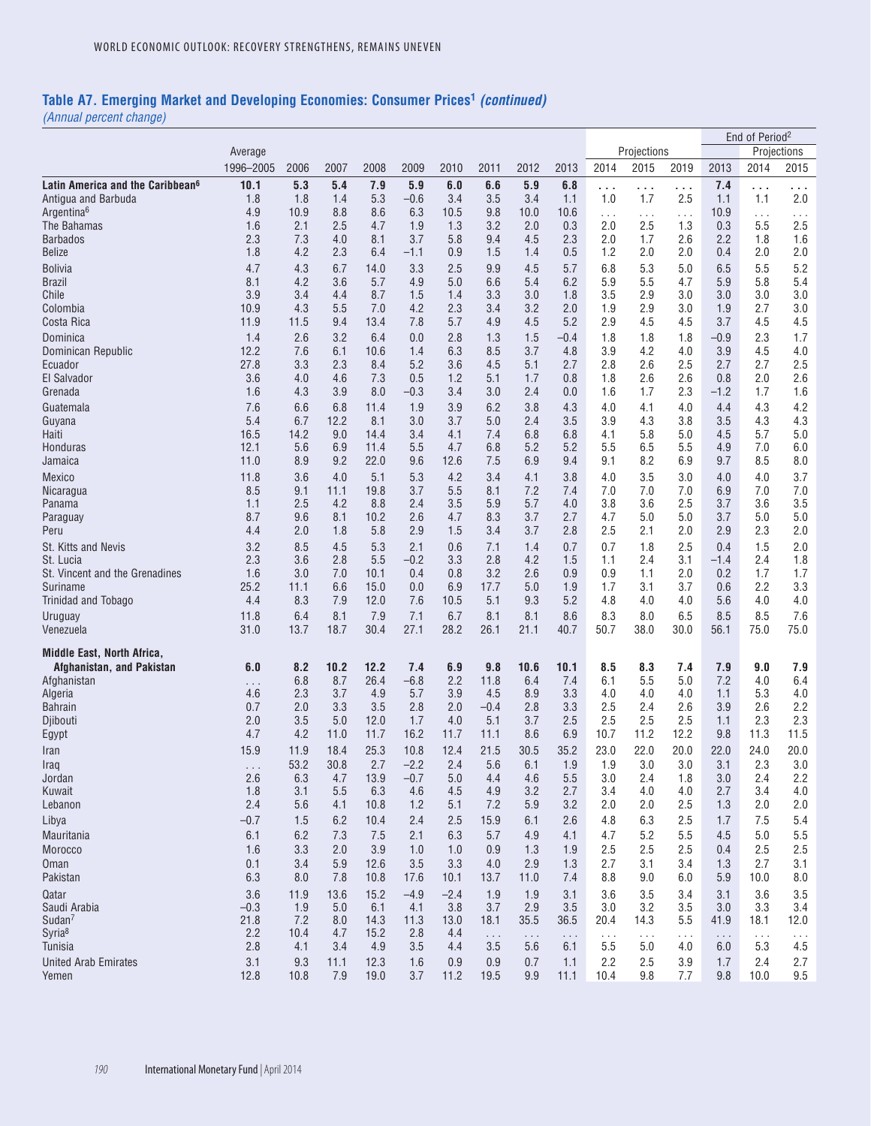# **Table A7. Emerging Market and Developing Economies: Consumer Prices1** *(continued)*

|                                              |               |             |             |             |               |               |             |             |             |                      |                      |             |             | End of Period <sup>2</sup> |                 |
|----------------------------------------------|---------------|-------------|-------------|-------------|---------------|---------------|-------------|-------------|-------------|----------------------|----------------------|-------------|-------------|----------------------------|-----------------|
|                                              | Average       |             |             |             |               |               |             |             |             |                      | Projections          |             |             |                            | Projections     |
|                                              | 1996-2005     | 2006        | 2007        | 2008        | 2009          | 2010          | 2011        | 2012        | 2013        | 2014                 | 2015                 | 2019        | 2013        | 2014                       | 2015            |
| Latin America and the Caribbean <sup>6</sup> | 10.1          | 5.3         | 5.4         | 7.9         | 5.9           | 6.0           | 6.6         | 5.9         | 6.8         | .                    | $\cdots$             | .           | 7.4         | .                          | .               |
| Antigua and Barbuda                          | 1.8           | 1.8         | 1.4         | 5.3         | $-0.6$        | 3.4           | 3.5         | 3.4         | 1.1         | 1.0                  | 1.7                  | 2.5         | 1.1         | 1.1                        | 2.0             |
| Argentina <sup>6</sup><br>The Bahamas        | 4.9<br>1.6    | 10.9<br>2.1 | 8.8<br>2.5  | 8.6<br>4.7  | 6.3<br>1.9    | 10.5<br>1.3   | 9.8<br>3.2  | 10.0<br>2.0 | 10.6<br>0.3 | $\cdots$<br>2.0      | $\ldots$<br>2.5      | .<br>1.3    | 10.9<br>0.3 | $\ldots$<br>5.5            | $\cdots$<br>2.5 |
| <b>Barbados</b>                              | 2.3           | 7.3         | 4.0         | 8.1         | 3.7           | 5.8           | 9.4         | 4.5         | 2.3         | 2.0                  | 1.7                  | 2.6         | 2.2         | 1.8                        | 1.6             |
| <b>Belize</b>                                | 1.8           | 4.2         | 2.3         | 6.4         | $-1.1$        | 0.9           | 1.5         | 1.4         | 0.5         | 1.2                  | 2.0                  | 2.0         | 0.4         | 2.0                        | 2.0             |
| <b>Bolivia</b>                               | 4.7           | 4.3         | 6.7         | 14.0        | 3.3           | 2.5           | 9.9         | 4.5         | 5.7         | 6.8                  | 5.3                  | 5.0         | 6.5         | 5.5                        | 5.2             |
| <b>Brazil</b>                                | 8.1           | 4.2         | 3.6         | 5.7         | 4.9           | 5.0           | 6.6         | 5.4         | 6.2         | 5.9                  | 5.5                  | 4.7         | 5.9         | 5.8                        | 5.4             |
| Chile                                        | 3.9           | 3.4         | 4.4         | 8.7         | 1.5           | 1.4           | 3.3         | 3.0         | 1.8         | 3.5                  | 2.9                  | 3.0         | 3.0         | 3.0                        | 3.0             |
| Colombia<br>Costa Rica                       | 10.9<br>11.9  | 4.3<br>11.5 | 5.5<br>9.4  | 7.0<br>13.4 | 4.2<br>7.8    | 2.3<br>5.7    | 3.4<br>4.9  | 3.2<br>4.5  | 2.0<br>5.2  | 1.9<br>2.9           | 2.9<br>4.5           | 3.0<br>4.5  | 1.9<br>3.7  | 2.7<br>4.5                 | 3.0<br>4.5      |
| Dominica                                     | 1.4           | 2.6         | 3.2         | 6.4         | 0.0           | 2.8           | 1.3         | 1.5         | $-0.4$      | 1.8                  | 1.8                  | 1.8         | $-0.9$      | 2.3                        | 1.7             |
| Dominican Republic                           | 12.2          | 7.6         | 6.1         | 10.6        | 1.4           | 6.3           | 8.5         | 3.7         | 4.8         | 3.9                  | 4.2                  | 4.0         | 3.9         | 4.5                        | 4.0             |
| Ecuador                                      | 27.8          | 3.3         | 2.3         | 8.4         | 5.2           | 3.6           | 4.5         | 5.1         | 2.7         | 2.8                  | 2.6                  | 2.5         | 2.7         | 2.7                        | 2.5             |
| El Salvador                                  | 3.6           | 4.0         | 4.6         | 7.3         | 0.5           | 1.2           | 5.1         | 1.7         | 0.8         | 1.8                  | 2.6                  | 2.6         | 0.8         | 2.0                        | 2.6             |
| Grenada                                      | 1.6           | 4.3         | 3.9         | 8.0         | $-0.3$        | 3.4           | 3.0         | 2.4         | 0.0         | 1.6                  | 1.7                  | 2.3         | $-1.2$      | 1.7                        | 1.6             |
| Guatemala                                    | 7.6           | 6.6         | 6.8         | 11.4        | 1.9           | 3.9           | 6.2         | 3.8         | 4.3         | 4.0                  | 4.1                  | 4.0         | 4.4         | 4.3                        | 4.2             |
| Guyana<br>Haiti                              | 5.4<br>16.5   | 6.7<br>14.2 | 12.2<br>9.0 | 8.1<br>14.4 | 3.0<br>3.4    | 3.7<br>4.1    | 5.0<br>7.4  | 2.4<br>6.8  | 3.5<br>6.8  | 3.9<br>4.1           | 4.3<br>5.8           | 3.8<br>5.0  | 3.5<br>4.5  | 4.3<br>5.7                 | 4.3<br>5.0      |
| Honduras                                     | 12.1          | 5.6         | 6.9         | 11.4        | 5.5           | 4.7           | 6.8         | 5.2         | 5.2         | 5.5                  | 6.5                  | 5.5         | 4.9         | 7.0                        | 6.0             |
| Jamaica                                      | 11.0          | 8.9         | 9.2         | 22.0        | 9.6           | 12.6          | 7.5         | 6.9         | 9.4         | 9.1                  | 8.2                  | 6.9         | 9.7         | 8.5                        | 8.0             |
| Mexico                                       | 11.8          | 3.6         | 4.0         | 5.1         | 5.3           | 4.2           | 3.4         | 4.1         | 3.8         | 4.0                  | 3.5                  | 3.0         | 4.0         | 4.0                        | 3.7             |
| Nicaragua                                    | 8.5           | 9.1         | 11.1        | 19.8        | 3.7           | 5.5           | 8.1         | 7.2         | 7.4         | 7.0                  | 7.0                  | 7.0         | 6.9         | 7.0                        | 7.0             |
| Panama                                       | 1.1           | 2.5         | 4.2         | 8.8         | 2.4           | 3.5           | 5.9         | 5.7         | 4.0         | 3.8                  | 3.6                  | 2.5         | 3.7         | 3.6                        | 3.5             |
| Paraguay<br>Peru                             | 8.7<br>4.4    | 9.6<br>2.0  | 8.1<br>1.8  | 10.2<br>5.8 | 2.6<br>2.9    | 4.7<br>1.5    | 8.3<br>3.4  | 3.7<br>3.7  | 2.7<br>2.8  | 4.7<br>2.5           | 5.0<br>2.1           | 5.0<br>2.0  | 3.7<br>2.9  | 5.0<br>2.3                 | 5.0<br>2.0      |
| St. Kitts and Nevis                          | 3.2           | 8.5         | 4.5         | 5.3         | 2.1           | 0.6           | 7.1         | 1.4         | 0.7         | 0.7                  | 1.8                  | 2.5         | 0.4         | 1.5                        | 2.0             |
| St. Lucia                                    | 2.3           | 3.6         | 2.8         | 5.5         | $-0.2$        | 3.3           | 2.8         | 4.2         | 1.5         | 1.1                  | 2.4                  | 3.1         | -1.4        | 2.4                        | 1.8             |
| St. Vincent and the Grenadines               | 1.6           | 3.0         | 7.0         | 10.1        | 0.4           | 0.8           | 3.2         | 2.6         | 0.9         | 0.9                  | 1.1                  | 2.0         | 0.2         | 1.7                        | 1.7             |
| Suriname                                     | 25.2          | 11.1        | 6.6         | 15.0        | 0.0           | 6.9           | 17.7        | 5.0         | 1.9         | 1.7                  | 3.1                  | 3.7         | 0.6         | 2.2                        | 3.3             |
| Trinidad and Tobago                          | 4.4           | 8.3         | 7.9         | 12.0        | 7.6           | 10.5          | 5.1         | 9.3         | 5.2         | 4.8                  | 4.0                  | 4.0         | 5.6         | 4.0                        | 4.0             |
| Uruguay<br>Venezuela                         | 11.8<br>31.0  | 6.4<br>13.7 | 8.1<br>18.7 | 7.9<br>30.4 | 7.1<br>27.1   | 6.7<br>28.2   | 8.1<br>26.1 | 8.1<br>21.1 | 8.6<br>40.7 | 8.3<br>50.7          | 8.0<br>38.0          | 6.5<br>30.0 | 8.5<br>56.1 | 8.5<br>75.0                | 7.6<br>75.0     |
|                                              |               |             |             |             |               |               |             |             |             |                      |                      |             |             |                            |                 |
| Middle East, North Africa,                   |               |             |             |             |               |               |             |             |             |                      |                      |             |             |                            |                 |
| Afghanistan, and Pakistan                    | 6.0           | 8.2         | 10.2        | 12.2        | 7.4           | 6.9           | 9.8         | 10.6        | 10.1        | 8.5                  | 8.3                  | 7.4         | 7.9         | 9.0                        | 7.9             |
| Afghanistan<br>Algeria                       | .<br>4.6      | 6.8<br>2.3  | 8.7<br>3.7  | 26.4<br>4.9 | $-6.8$<br>5.7 | 2.2<br>3.9    | 11.8<br>4.5 | 6.4<br>8.9  | 7.4<br>3.3  | 6.1<br>4.0           | 5.5<br>4.0           | 5.0<br>4.0  | 7.2<br>1.1  | 4.0<br>5.3                 | 6.4<br>4.0      |
| <b>Bahrain</b>                               | 0.7           | 2.0         | 3.3         | 3.5         | 2.8           | 2.0           | $-0.4$      | 2.8         | 3.3         | 2.5                  | 2.4                  | 2.6         | 3.9         | 2.6                        | 2.2             |
| Djibouti                                     | 2.0           | 3.5         | 5.0         | 12.0        | 1.7           | 4.0           | 5.1         | 3.7         | 2.5         | 2.5                  | 2.5                  | 2.5         | 1.1         | 2.3                        | 2.3             |
| Egypt                                        | 4.7           | 4.2         | 11.0        | 11.7        | 16.2          | 11.7          | 11.1        | 8.6         | 6.9         | 10.7                 | 11.2                 | 12.2        | 9.8         | 11.3                       | 11.5            |
| Iran                                         | 15.9          | 11.9        | 18.4        | 25.3        | 10.8          | 12.4          | 21.5        | 30.5        | 35.2        | 23.0                 | 22.0                 | 20.0        | 22.0        | 24.0                       | 20.0            |
| Iraq                                         |               | 53.2        | 30.8        | 2.7         | $-2.2$        | 2.4           | 5.6         | 6.1         | 1.9         | 1.9                  | 3.0                  | 3.0         | 3.1         | 2.3<br>2.4                 | 3.0<br>2.2      |
| Jordan<br>Kuwait                             | 2.6<br>1.8    | 6.3<br>3.1  | 4.7<br>5.5  | 13.9<br>6.3 | $-0.7$<br>4.6 | 5.0<br>4.5    | 4.4<br>4.9  | 4.6<br>3.2  | 5.5<br>2.7  | 3.0<br>3.4           | 2.4<br>4.0           | 1.8<br>4.0  | 3.0<br>2.7  | 3.4                        | 4.0             |
| Lebanon                                      | 2.4           | 5.6         | 4.1         | 10.8        | 1.2           | 5.1           | 7.2         | 5.9         | 3.2         | 2.0                  | 2.0                  | 2.5         | 1.3         | 2.0                        | 2.0             |
| Libya                                        | $-0.7$        | 1.5         | 6.2         | 10.4        | 2.4           | 2.5           | 15.9        | 6.1         | 2.6         | 4.8                  | 6.3                  | 2.5         | 1.7         | 7.5                        | 5.4             |
| Mauritania                                   | 6.1           | 6.2         | 7.3         | 7.5         | 2.1           | 6.3           | 5.7         | 4.9         | 4.1         | 4.7                  | 5.2                  | 5.5         | 4.5         | 5.0                        | 5.5             |
| Morocco                                      | 1.6           | 3.3         | 2.0         | 3.9         | 1.0           | 1.0           | 0.9         | 1.3         | 1.9         | 2.5                  | 2.5                  | 2.5         | 0.4         | 2.5                        | 2.5             |
| Oman                                         | 0.1           | 3.4         | 5.9         | 12.6        | 3.5           | 3.3           | 4.0         | 2.9         | 1.3         | 2.7                  | 3.1                  | 3.4         | 1.3         | 2.7                        | 3.1             |
| Pakistan                                     | 6.3           | 8.0         | 7.8         | 10.8        | 17.6          | 10.1          | 13.7        | 11.0        | 7.4         | 8.8                  | 9.0                  | 6.0         | 5.9         | 10.0                       | 8.0             |
| Qatar<br>Saudi Arabia                        | 3.6<br>$-0.3$ | 11.9<br>1.9 | 13.6<br>5.0 | 15.2<br>6.1 | $-4.9$<br>4.1 | $-2.4$<br>3.8 | 1.9<br>3.7  | 1.9<br>2.9  | 3.1<br>3.5  | 3.6<br>3.0           | 3.5<br>3.2           | 3.4<br>3.5  | 3.1<br>3.0  | 3.6<br>3.3                 | 3.5             |
| Sudan <sup>7</sup>                           | 21.8          | 7.2         | 8.0         | 14.3        | 11.3          | 13.0          | 18.1        | 35.5        | 36.5        | 20.4                 | 14.3                 | 5.5         | 41.9        | 18.1                       | 3.4<br>12.0     |
| Syria <sup>8</sup>                           | 2.2           | 10.4        | 4.7         | 15.2        | 2.8           | 4.4           | $\cdots$    | $\ldots$    | $\cdots$    | $\sim$ $\sim$ $\sim$ | $\sim$ $\sim$ $\sim$ | $\cdots$    | $\cdots$    | $\sim$ $\sim$ $\sim$       | $\cdots$        |
| Tunisia                                      | 2.8           | 4.1         | 3.4         | 4.9         | 3.5           | 4.4           | 3.5         | 5.6         | 6.1         | 5.5                  | 5.0                  | 4.0         | 6.0         | 5.3                        | 4.5             |
| <b>United Arab Emirates</b>                  | 3.1           | 9.3         | 11.1        | 12.3        | 1.6           | 0.9           | 0.9         | 0.7         | 1.1         | 2.2                  | 2.5                  | 3.9         | 1.7         | 2.4                        | 2.7             |
| Yemen                                        | 12.8          | 10.8        | 7.9         | 19.0        | 3.7           | 11.2          | 19.5        | 9.9         | 11.1        | 10.4                 | 9.8                  | 7.7         | 9.8         | 10.0                       | 9.5             |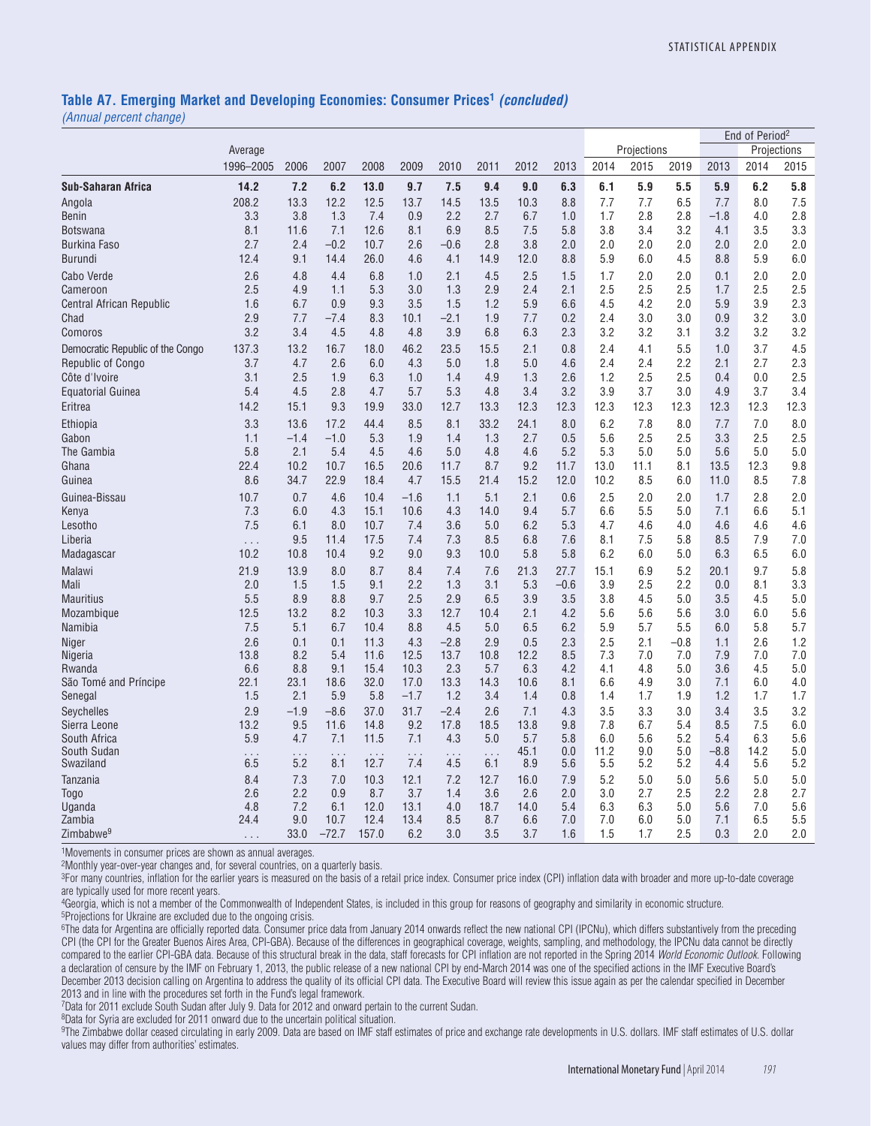#### **Table A7. Emerging Market and Developing Economies: Consumer Prices1** *(concluded)*

*(Annual percent change)*

|                                     |            |               |               |              |             |                |            |             |            |             |             |               |               | End of Period <sup>2</sup> |             |
|-------------------------------------|------------|---------------|---------------|--------------|-------------|----------------|------------|-------------|------------|-------------|-------------|---------------|---------------|----------------------------|-------------|
|                                     | Average    |               |               |              |             |                |            |             |            |             | Projections |               |               |                            | Projections |
|                                     | 1996-2005  | 2006          | 2007          | 2008         | 2009        | 2010           | 2011       | 2012        | 2013       | 2014        | 2015        | 2019          | 2013          | 2014                       | 2015        |
| <b>Sub-Saharan Africa</b>           | 14.2       | 7.2           | 6.2           | 13.0         | 9.7         | 7.5            | 9.4        | 9.0         | 6.3        | 6.1         | 5.9         | 5.5           | 5.9           | 6.2                        | 5.8         |
| Angola                              | 208.2      | 13.3          | 12.2          | 12.5         | 13.7        | 14.5           | 13.5       | 10.3        | 8.8        | 7.7         | 7.7         | 6.5           | 7.7           | 8.0                        | 7.5         |
| Benin                               | 3.3        | 3.8           | 1.3           | 7.4          | 0.9         | 2.2            | 2.7        | 6.7         | 1.0        | 1.7         | 2.8         | 2.8           | $-1.8$        | 4.0                        | 2.8         |
| Botswana                            | 8.1        | 11.6          | 7.1           | 12.6         | 8.1         | 6.9            | 8.5        | 7.5         | 5.8        | 3.8         | 3.4         | 3.2           | 4.1           | 3.5                        | 3.3         |
| <b>Burkina Faso</b>                 | 2.7        | 2.4           | $-0.2$        | 10.7         | 2.6         | $-0.6$         | 2.8        | 3.8         | 2.0        | 2.0         | 2.0         | 2.0           | 2.0           | 2.0                        | 2.0         |
| Burundi                             | 12.4       | 9.1           | 14.4          | 26.0         | 4.6         | 4.1            | 14.9       | 12.0        | 8.8        | 5.9         | 6.0         | 4.5           | 8.8           | 5.9                        | 6.0         |
| Cabo Verde                          | 2.6        | 4.8           | 4.4           | 6.8          | 1.0         | 2.1            | 4.5        | 2.5         | 1.5        | 1.7         | 2.0         | 2.0           | 0.1           | 2.0                        | 2.0         |
| Cameroon                            | 2.5        | 4.9           | 1.1           | 5.3          | 3.0         | 1.3            | 2.9        | 2.4         | 2.1        | 2.5         | 2.5         | 2.5           | 1.7           | 2.5                        | 2.5         |
| <b>Central African Republic</b>     | 1.6        | 6.7           | 0.9           | 9.3          | 3.5         | 1.5            | 1.2        | 5.9         | 6.6        | 4.5         | 4.2         | 2.0           | 5.9           | 3.9                        | 2.3         |
| Chad                                | 2.9        | 7.7           | $-7.4$        | 8.3          | 10.1        | $-2.1$         | 1.9        | 7.7         | 0.2        | 2.4         | 3.0         | 3.0           | 0.9           | 3.2                        | 3.0         |
| Comoros                             | 3.2        | 3.4           | 4.5           | 4.8          | 4.8         | 3.9            | 6.8        | 6.3         | 2.3        | 3.2         | 3.2         | 3.1           | 3.2           | 3.2                        | 3.2         |
| Democratic Republic of the Congo    | 137.3      | 13.2          | 16.7          | 18.0         | 46.2        | 23.5           | 15.5       | 2.1         | 0.8        | 2.4         | 4.1         | 5.5           | 1.0           | 3.7                        | 4.5         |
| <b>Republic of Congo</b>            | 3.7        | 4.7           | 2.6           | 6.0          | 4.3         | 5.0            | 1.8        | 5.0         | 4.6        | 2.4         | 2.4         | 2.2           | 2.1           | 2.7                        | 2.3         |
| Côte d'Ivoire                       | 3.1<br>5.4 | 2.5<br>4.5    | 1.9<br>2.8    | 6.3<br>4.7   | 1.0<br>5.7  | 1.4<br>5.3     | 4.9<br>4.8 | 1.3<br>3.4  | 2.6<br>3.2 | 1.2<br>3.9  | 2.5<br>3.7  | 2.5<br>3.0    | 0.4<br>4.9    | 0.0<br>3.7                 | 2.5         |
| <b>Equatorial Guinea</b><br>Eritrea | 14.2       | 15.1          | 9.3           | 19.9         | 33.0        | 12.7           | 13.3       | 12.3        | 12.3       | 12.3        | 12.3        | 12.3          | 12.3          | 12.3                       | 3.4<br>12.3 |
|                                     |            |               |               |              |             |                |            |             |            |             |             |               |               |                            |             |
| Ethiopia                            | 3.3        | 13.6          | 17.2          | 44.4         | 8.5         | 8.1            | 33.2       | 24.1        | 8.0        | 6.2         | 7.8         | 8.0           | 7.7           | 7.0                        | 8.0         |
| Gabon<br>The Gambia                 | 1.1<br>5.8 | $-1.4$<br>2.1 | $-1.0$<br>5.4 | 5.3<br>4.5   | 1.9<br>4.6  | 1.4<br>5.0     | 1.3<br>4.8 | 2.7<br>4.6  | 0.5<br>5.2 | 5.6<br>5.3  | 2.5<br>5.0  | 2.5<br>5.0    | 3.3<br>5.6    | 2.5<br>5.0                 | 2.5<br>5.0  |
| Ghana                               | 22.4       | 10.2          | 10.7          | 16.5         | 20.6        | 11.7           | 8.7        | 9.2         | 11.7       | 13.0        | 11.1        | 8.1           | 13.5          | 12.3                       | 9.8         |
| Guinea                              | 8.6        | 34.7          | 22.9          | 18.4         | 4.7         | 15.5           | 21.4       | 15.2        | 12.0       | 10.2        | 8.5         | 6.0           | 11.0          | 8.5                        | 7.8         |
| Guinea-Bissau                       | 10.7       | 0.7           | 4.6           | 10.4         | $-1.6$      | 1.1            | 5.1        | 2.1         | 0.6        | 2.5         | 2.0         | 2.0           | 1.7           | 2.8                        | 2.0         |
| Kenya                               | 7.3        | 6.0           | 4.3           | 15.1         | 10.6        | 4.3            | 14.0       | 9.4         | 5.7        | 6.6         | 5.5         | 5.0           | 7.1           | 6.6                        | 5.1         |
| Lesotho                             | 7.5        | 6.1           | 8.0           | 10.7         | 7.4         | 3.6            | 5.0        | 6.2         | 5.3        | 4.7         | 4.6         | 4.0           | 4.6           | 4.6                        | 4.6         |
| Liberia                             | $\ldots$   | 9.5           | 11.4          | 17.5         | 7.4         | 7.3            | 8.5        | 6.8         | 7.6        | 8.1         | 7.5         | 5.8           | 8.5           | 7.9                        | 7.0         |
| Madagascar                          | 10.2       | 10.8          | 10.4          | 9.2          | 9.0         | 9.3            | 10.0       | 5.8         | 5.8        | 6.2         | 6.0         | 5.0           | 6.3           | 6.5                        | 6.0         |
| <b>Malawi</b>                       | 21.9       | 13.9          | 8.0           | 8.7          | 8.4         | 7.4            | 7.6        | 21.3        | 27.7       | 15.1        | 6.9         | 5.2           | 20.1          | 9.7                        | 5.8         |
| Mali                                | 2.0        | 1.5           | 1.5           | 9.1          | 2.2         | 1.3            | 3.1        | 5.3         | $-0.6$     | 3.9         | 2.5         | 2.2           | 0.0           | 8.1                        | 3.3         |
| <b>Mauritius</b>                    | 5.5        | 8.9           | 8.8           | 9.7          | 2.5         | 2.9            | 6.5        | 3.9         | 3.5        | 3.8         | 4.5         | 5.0           | 3.5           | 4.5                        | 5.0         |
| Mozambique                          | 12.5       | 13.2          | 8.2           | 10.3         | 3.3         | 12.7           | 10.4       | 2.1         | 4.2        | 5.6         | 5.6         | 5.6           | 3.0           | 6.0                        | 5.6         |
| Namibia                             | 7.5<br>2.6 | 5.1           | 6.7           | 10.4         | 8.8         | 4.5            | 5.0<br>2.9 | 6.5         | 6.2<br>2.3 | 5.9         | 5.7         | 5.5<br>$-0.8$ | 6.0           | 5.8<br>2.6                 | 5.7         |
| Niger<br>Nigeria                    | 13.8       | 0.1<br>8.2    | 0.1<br>5.4    | 11.3<br>11.6 | 4.3<br>12.5 | $-2.8$<br>13.7 | 10.8       | 0.5<br>12.2 | 8.5        | 2.5<br>7.3  | 2.1<br>7.0  | 7.0           | 1.1<br>7.9    | 7.0                        | 1.2<br>7.0  |
| Rwanda                              | 6.6        | 8.8           | 9.1           | 15.4         | 10.3        | 2.3            | 5.7        | 6.3         | 4.2        | 4.1         | 4.8         | $5.0\,$       | 3.6           | 4.5                        | 5.0         |
| São Tomé and Príncipe               | 22.1       | 23.1          | 18.6          | 32.0         | 17.0        | 13.3           | 14.3       | 10.6        | 8.1        | 6.6         | 4.9         | 3.0           | 7.1           | 6.0                        | 4.0         |
| Senegal                             | 1.5        | 2.1           | 5.9           | 5.8          | $-1.7$      | 1.2            | 3.4        | 1.4         | 0.8        | 1.4         | 1.7         | 1.9           | 1.2           | 1.7                        | 1.7         |
| Seychelles                          | 2.9        | $-1.9$        | $-8.6$        | 37.0         | 31.7        | $-2.4$         | 2.6        | 7.1         | 4.3        | 3.5         | 3.3         | 3.0           | 3.4           | 3.5                        | 3.2         |
| Sierra Leone                        | 13.2       | 9.5           | 11.6          | 14.8         | 9.2         | 17.8           | 18.5       | 13.8        | 9.8        | 7.8         | 6.7         | 5.4           | 8.5           | 7.5                        | 6.0         |
| South Africa                        | 5.9        | 4.7           | 7.1           | 11.5         | 7.1         | 4.3            | 5.0        | 5.7         | 5.8        | 6.0         | 5.6         | 5.2           | 5.4           | 6.3                        | 5.6         |
| South Sudan<br>Swaziland            | 6.5        | 5.2           | 8.1           | 12.7         | 7.4         | 4.5            | 6.1        | 45.1<br>8.9 | 0.0<br>5.6 | 11.2<br>5.5 | 9.0<br>5.2  | 5.0<br>5.2    | $-8.8$<br>4.4 | 14.2<br>5.6                | 5.0<br>5.2  |
| Tanzania                            | 8.4        | 7.3           | 7.0           | 10.3         | 12.1        | 7.2            | 12.7       | 16.0        | 7.9        | 5.2         | 5.0         | 5.0           | 5.6           | 5.0                        | 5.0         |
| Togo                                | 2.6        | 2.2           | 0.9           | 8.7          | 3.7         | 1.4            | 3.6        | 2.6         | 2.0        | 3.0         | 2.7         | 2.5           | 2.2           | 2.8                        | 2.7         |
| Uganda                              | 4.8        | 7.2           | 6.1           | 12.0         | 13.1        | 4.0            | 18.7       | 14.0        | 5.4        | 6.3         | 6.3         | 5.0           | 5.6           | 7.0                        | 5.6         |
| Zambia                              | 24.4       | 9.0           | 10.7          | 12.4         | 13.4        | 8.5            | 8.7        | 6.6         | 7.0        | 7.0         | 6.0         | 5.0           | 7.1           | 6.5                        | 5.5         |
| Zimbabwe <sup>9</sup>               | $\cdots$   | 33.0          | $-72.7$       | 157.0        | 6.2         | 3.0            | 3.5        | 3.7         | 1.6        | 1.5         | 1.7         | 2.5           | 0.3           | 2.0                        | 2.0         |

1Movements in consumer prices are shown as annual averages.

2Monthly year-over-year changes and, for several countries, on a quarterly basis.

3For many countries, inflation for the earlier years is measured on the basis of a retail price index. Consumer price index (CPI) inflation data with broader and more up-to-date coverage are typically used for more recent years.

<sup>4</sup>Georgia, which is not a member of the Commonwealth of Independent States, is included in this group for reasons of geography and similarity in economic structure.<br><sup>5</sup>Projections for Ukraine are excluded due to the ongoi

<sup>6</sup>The data for Argentina are officially reported data. Consumer price data from January 2014 onwards reflect the new national CPI (IPCNu), which differs substantively from the preceding CPI (the CPI for the Greater Buenos Aires Area, CPI-GBA). Because of the differences in geographical coverage, weights, sampling, and methodology, the IPCNu data cannot be directly compared to the earlier CPI-GBA data. Because of this structural break in the data, staff forecasts for CPI inflation are not reported in the Spring 2014 *World Economic Outlook*. Following a declaration of censure by the IMF on February 1, 2013, the public release of a new national CPI by end-March 2014 was one of the specified actions in the IMF Executive Board's December 2013 decision calling on Argentina to address the quality of its official CPI data. The Executive Board will review this issue again as per the calendar specified in December 2013 and in line with the procedures set forth in the Fund's legal framework.

7Data for 2011 exclude South Sudan after July 9. Data for 2012 and onward pertain to the current Sudan.

8Data for Syria are excluded for 2011 onward due to the uncertain political situation.

9The Zimbabwe dollar ceased circulating in early 2009. Data are based on IMF staff estimates of price and exchange rate developments in U.S. dollars. IMF staff estimates of U.S. dollar values may differ from authorities' estimates.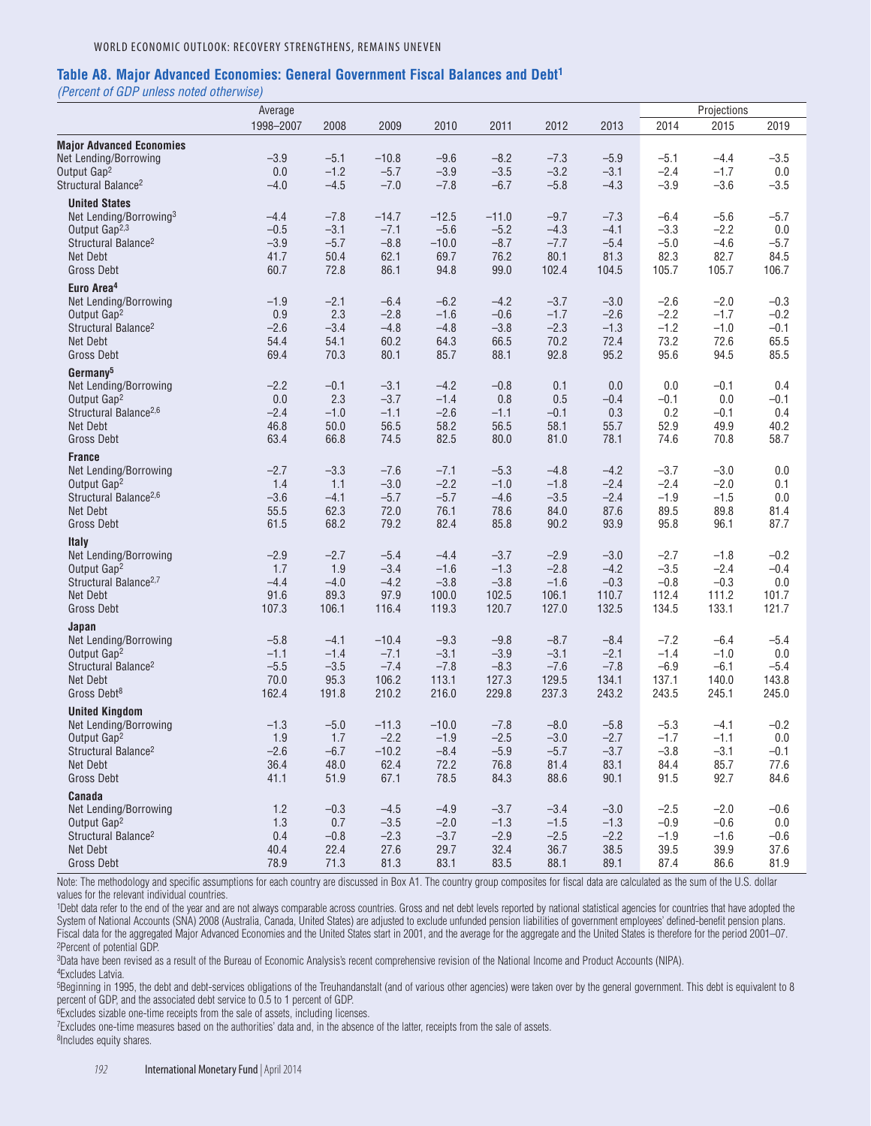#### **Table A8. Major Advanced Economies: General Government Fiscal Balances and Debt1**

*(Percent of GDP unless noted otherwise)*

|                                                            | Average       |               |                   | Projections      |                  |                  |                  |                  |                  |                |
|------------------------------------------------------------|---------------|---------------|-------------------|------------------|------------------|------------------|------------------|------------------|------------------|----------------|
|                                                            | 1998-2007     | 2008          | 2009              | 2010             | 2011             | 2012             | 2013             | 2014             | 2015             | 2019           |
| <b>Major Advanced Economies</b>                            |               |               |                   |                  |                  |                  |                  |                  |                  |                |
| Net Lending/Borrowing                                      | $-3.9$        | $-5.1$        | $-10.8$           | $-9.6$           | $-8.2$           | $-7.3$           | $-5.9$           | $-5.1$           | $-4.4$           | $-3.5$         |
| Output Gap <sup>2</sup>                                    | 0.0           | $-1.2$        | $-5.7$            | $-3.9$           | $-3.5$           | $-3.2$           | $-3.1$           | $-2.4$           | $-1.7$           | 0.0            |
| Structural Balance <sup>2</sup>                            | $-4.0$        | $-4.5$        | $-7.0$            | $-7.8$           | $-6.7$           | $-5.8$           | $-4.3$           | $-3.9$           | $-3.6$           | $-3.5$         |
| <b>United States</b>                                       |               |               |                   |                  |                  |                  |                  |                  |                  |                |
| Net Lending/Borrowing <sup>3</sup>                         | $-4.4$        | $-7.8$        | $-14.7$           | $-12.5$          | $-11.0$          | $-9.7$           | $-7.3$           | $-6.4$           | $-5.6$           | $-5.7$         |
| Output Gap <sup>2,3</sup>                                  | $-0.5$        | $-3.1$        | $-7.1$            | $-5.6$           | $-5.2$           | $-4.3$           | $-4.1$           | $-3.3$           | $-2.2$           | 0.0            |
| Structural Balance <sup>2</sup>                            | $-3.9$        | $-5.7$        | $-8.8$            | $-10.0$          | $-8.7$           | $-7.7$           | $-5.4$           | $-5.0$           | $-4.6$           | $-5.7$         |
| Net Debt                                                   | 41.7          | 50.4          | 62.1              | 69.7             | 76.2             | 80.1             | 81.3             | 82.3             | 82.7             | 84.5           |
| <b>Gross Debt</b>                                          | 60.7          | 72.8          | 86.1              | 94.8             | 99.0             | 102.4            | 104.5            | 105.7            | 105.7            | 106.7          |
| Euro Area <sup>4</sup>                                     |               |               |                   |                  |                  |                  |                  |                  |                  |                |
| Net Lending/Borrowing                                      | $-1.9$        | $-2.1$        | $-6.4$            | $-6.2$           | $-4.2$           | $-3.7$           | $-3.0$           | $-2.6$           | $-2.0$           | $-0.3$         |
| Output Gap <sup>2</sup>                                    | 0.9           | 2.3           | $-2.8$            | $-1.6$           | $-0.6$           | $-1.7$           | $-2.6$           | $-2.2$           | $-1.7$           | $-0.2$         |
| Structural Balance <sup>2</sup>                            | $-2.6$        | $-3.4$        | $-4.8$            | $-4.8$           | $-3.8$           | $-2.3$           | $-1.3$           | $-1.2$           | $-1.0$           | $-0.1$         |
| Net Debt                                                   | 54.4          | 54.1          | 60.2              | 64.3             | 66.5             | 70.2             | 72.4             | 73.2             | 72.6             | 65.5           |
| <b>Gross Debt</b>                                          | 69.4          | 70.3          | 80.1              | 85.7             | 88.1             | 92.8             | 95.2             | 95.6             | 94.5             | 85.5           |
| Germany <sup>5</sup>                                       |               |               |                   |                  |                  |                  |                  |                  |                  |                |
| Net Lending/Borrowing                                      | $-2.2$        | $-0.1$        | $-3.1$            | $-4.2$           | $-0.8$           | 0.1              | 0.0              | 0.0              | $-0.1$           | 0.4            |
| Output Gap <sup>2</sup>                                    | 0.0           | 2.3           | $-3.7$            | $-1.4$           | 0.8              | 0.5              | $-0.4$           | $-0.1$           | 0.0              | $-0.1$         |
| Structural Balance <sup>2,6</sup>                          | $-2.4$        | $-1.0$        | $-1.1$            | $-2.6$           | $-1.1$           | $-0.1$           | 0.3              | 0.2              | $-0.1$           | 0.4            |
| Net Debt                                                   | 46.8          | 50.0          | 56.5              | 58.2             | 56.5             | 58.1             | 55.7             | 52.9             | 49.9             | 40.2           |
| <b>Gross Debt</b>                                          | 63.4          | 66.8          | 74.5              | 82.5             | 80.0             | 81.0             | 78.1             | 74.6             | 70.8             | 58.7           |
| <b>France</b>                                              |               |               |                   |                  |                  |                  |                  |                  |                  |                |
| Net Lending/Borrowing                                      | $-2.7$        | $-3.3$        | $-7.6$            | $-7.1$           | $-5.3$           | $-4.8$           | $-4.2$           | $-3.7$           | $-3.0$           | 0.0            |
| Output Gap <sup>2</sup>                                    | 1.4           | 1.1           | $-3.0$            | $-2.2$           | $-1.0$           | $-1.8$           | $-2.4$           | $-2.4$           | $-2.0$           | 0.1            |
| Structural Balance <sup>2,6</sup>                          | $-3.6$        | $-4.1$        | $-5.7$            | $-5.7$           | $-4.6$           | $-3.5$           | $-2.4$           | $-1.9$           | $-1.5$           | 0.0            |
| Net Debt                                                   | 55.5          | 62.3          | 72.0              | 76.1             | 78.6             | 84.0             | 87.6             | 89.5             | 89.8             | 81.4           |
| <b>Gross Debt</b>                                          | 61.5          | 68.2          | 79.2              | 82.4             | 85.8             | 90.2             | 93.9             | 95.8             | 96.1             | 87.7           |
| <b>Italy</b>                                               |               |               |                   |                  |                  |                  |                  |                  |                  |                |
| Net Lending/Borrowing                                      | $-2.9$        | $-2.7$        | $-5.4$            | $-4.4$           | $-3.7$           | $-2.9$           | $-3.0$           | $-2.7$           | $-1.8$           | $-0.2$         |
| Output Gap <sup>2</sup>                                    | 1.7           | 1.9           | $-3.4$            | $-1.6$           | $-1.3$           | $-2.8$           | $-4.2$           | $-3.5$           | $-2.4$           | $-0.4$         |
| Structural Balance <sup>2,7</sup>                          | $-4.4$        | $-4.0$        | $-4.2$            | $-3.8$           | $-3.8$           | $-1.6$           | $-0.3$           | $-0.8$           | $-0.3$           | 0.0            |
| Net Debt                                                   | 91.6          | 89.3          | 97.9              | 100.0            | 102.5            | 106.1            | 110.7            | 112.4            | 111.2            | 101.7          |
| <b>Gross Debt</b>                                          | 107.3         | 106.1         | 116.4             | 119.3            | 120.7            | 127.0            | 132.5            | 134.5            | 133.1            | 121.7          |
| Japan                                                      |               |               |                   |                  |                  |                  |                  |                  |                  |                |
| Net Lending/Borrowing                                      | $-5.8$        | $-4.1$        | $-10.4$           | $-9.3$           | $-9.8$           | $-8.7$           | $-8.4$           | $-7.2$           | $-6.4$           | $-5.4$         |
| Output Gap <sup>2</sup>                                    | $-1.1$        | $-1.4$        | $-7.1$            | $-3.1$           | $-3.9$           | $-3.1$           | $-2.1$           | $-1.4$           | $-1.0$           | 0.0            |
| Structural Balance <sup>2</sup>                            | $-5.5$        | $-3.5$        | $-7.4$            | $-7.8$           | $-8.3$           | $-7.6$           | $-7.8$           | $-6.9$           | $-6.1$           | $-5.4$         |
| Net Debt<br>Gross Debt <sup>8</sup>                        | 70.0          | 95.3          | 106.2             | 113.1            | 127.3            | 129.5            | 134.1            | 137.1            | 140.0            | 143.8<br>245.0 |
|                                                            | 162.4         | 191.8         | 210.2             | 216.0            | 229.8            | 237.3            | 243.2            | 243.5            | 245.1            |                |
| <b>United Kingdom</b>                                      |               |               |                   |                  |                  |                  |                  |                  |                  |                |
| Net Lending/Borrowing                                      | $-1.3$        | $-5.0$        | $-11.3$           | $-10.0$          | $-7.8$<br>$-2.5$ | $-8.0$           | $-5.8$           | $-5.3$<br>$-1.7$ | $-4.1$           | $-0.2$         |
| Output Gap <sup>2</sup><br>Structural Balance <sup>2</sup> | 1.9<br>$-2.6$ | 1.7<br>$-6.7$ | $-2.2$<br>$-10.2$ | $-1.9$<br>$-8.4$ | $-5.9$           | $-3.0$<br>$-5.7$ | $-2.7$<br>$-3.7$ | $-3.8$           | $-1.1$<br>$-3.1$ | 0.0<br>$-0.1$  |
| Net Debt                                                   | 36.4          | 48.0          | 62.4              | 72.2             | 76.8             | 81.4             | 83.1             | 84.4             | 85.7             | 77.6           |
| Gross Debt                                                 | 41.1          | 51.9          | 67.1              | 78.5             | 84.3             | 88.6             | 90.1             | 91.5             | 92.7             | 84.6           |
| Canada                                                     |               |               |                   |                  |                  |                  |                  |                  |                  |                |
| Net Lending/Borrowing                                      | 1.2           | $-0.3$        | $-4.5$            | $-4.9$           | $-3.7$           | $-3.4$           | $-3.0$           | $-2.5$           | $-2.0$           | $-0.6$         |
| Output Gap <sup>2</sup>                                    | 1.3           | 0.7           | $-3.5$            | $-2.0$           | $-1.3$           | $-1.5$           | $-1.3$           | $-0.9$           | $-0.6$           | 0.0            |
| Structural Balance <sup>2</sup>                            | 0.4           | $-0.8$        | $-2.3$            | $-3.7$           | $-2.9$           | $-2.5$           | $-2.2$           | $-1.9$           | $-1.6$           | $-0.6$         |
| Net Debt                                                   | 40.4          | 22.4          | 27.6              | 29.7             | 32.4             | 36.7             | 38.5             | 39.5             | 39.9             | 37.6           |
| Gross Debt                                                 | 78.9          | 71.3          | 81.3              | 83.1             | 83.5             | 88.1             | 89.1             | 87.4             | 86.6             | 81.9           |

Note: The methodology and specific assumptions for each country are discussed in Box A1. The country group composites for fiscal data are calculated as the sum of the U.S. dollar values for the relevant individual countries.

1Debt data refer to the end of the year and are not always comparable across countries. Gross and net debt levels reported by national statistical agencies for countries that have adopted the System of National Accounts (SNA) 2008 (Australia, Canada, United States) are adjusted to exclude unfunded pension liabilities of government employees' defined-benefit pension plans. Fiscal data for the aggregated Major Advanced Economies and the United States start in 2001, and the average for the aggregate and the United States is therefore for the period 2001–07. 2Percent of potential GDP.

3Data have been revised as a result of the Bureau of Economic Analysis's recent comprehensive revision of the National Income and Product Accounts (NIPA). 4Excludes Latvia.

5Beginning in 1995, the debt and debt-services obligations of the Treuhandanstalt (and of various other agencies) were taken over by the general government. This debt is equivalent to 8 percent of GDP, and the associated debt service to 0.5 to 1 percent of GDP.

6Excludes sizable one-time receipts from the sale of assets, including licenses.

7Excludes one-time measures based on the authorities' data and, in the absence of the latter, receipts from the sale of assets.

<sup>8</sup>Includes equity shares.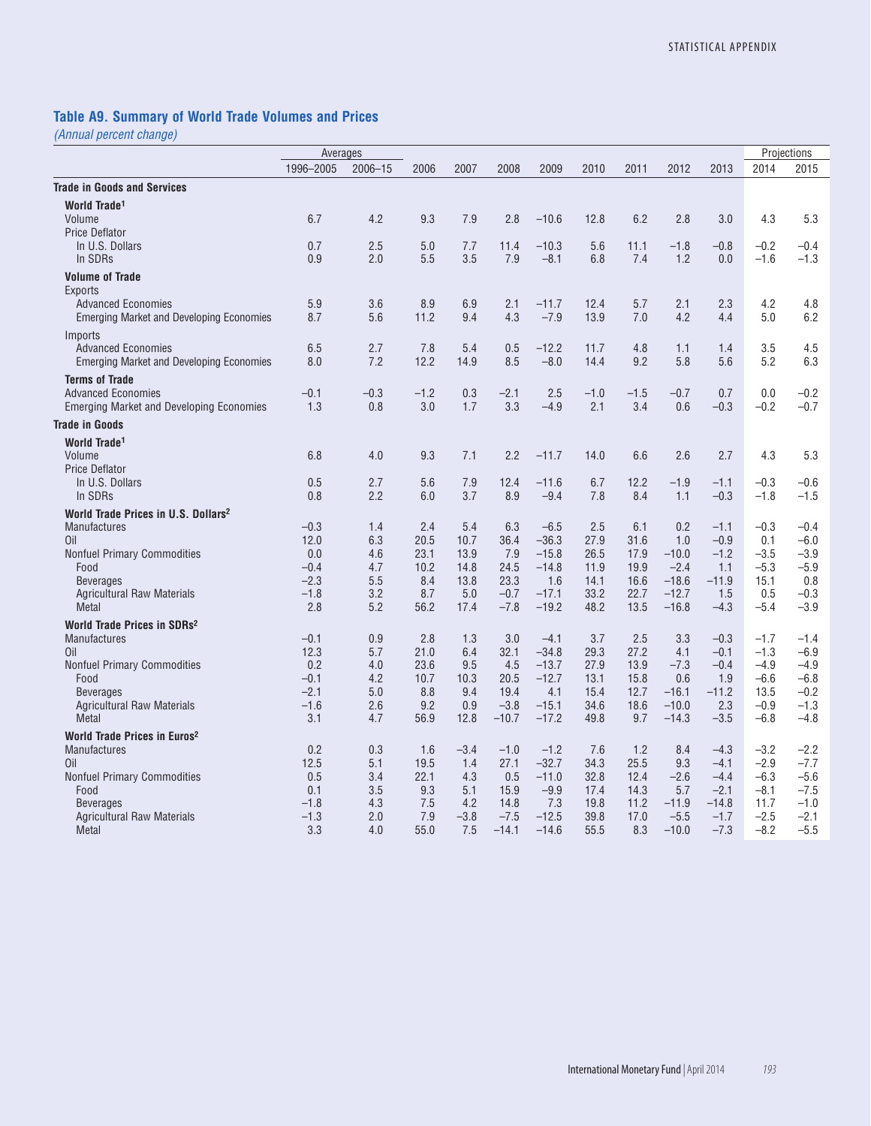### **Table A9. Summary of World Trade Volumes and Prices**

|                                                 | Averages       |             |             |               |                   |                    |              |             |                    |                  |                  | Projections      |
|-------------------------------------------------|----------------|-------------|-------------|---------------|-------------------|--------------------|--------------|-------------|--------------------|------------------|------------------|------------------|
|                                                 | 1996-2005      | $2006 - 15$ | 2006        | 2007          | 2008              | 2009               | 2010         | 2011        | 2012               | 2013             | 2014             | 2015             |
| <b>Trade in Goods and Services</b>              |                |             |             |               |                   |                    |              |             |                    |                  |                  |                  |
| World Trade <sup>1</sup>                        |                |             |             |               |                   |                    |              |             |                    |                  |                  |                  |
| Volume                                          | 6.7            | 4.2         | 9.3         | 7.9           | 2.8               | $-10.6$            | 12.8         | 6.2         | 2.8                | 3.0              | 4.3              | 5.3              |
| <b>Price Deflator</b>                           |                |             |             |               |                   |                    |              |             |                    |                  |                  |                  |
| In U.S. Dollars                                 | 0.7            | 2.5         | 5.0         | 7.7           | 11.4              | $-10.3$            | 5.6          | 11.1        | $-1.8$             | $-0.8$           | $-0.2$           | $-0.4$           |
| In SDRs                                         | 0.9            | 2.0         | 5.5         | 3.5           | 7.9               | $-8.1$             | 6.8          | 7.4         | 1.2                | 0.0              | $-1.6$           | $-1.3$           |
| <b>Volume of Trade</b>                          |                |             |             |               |                   |                    |              |             |                    |                  |                  |                  |
| <b>Exports</b>                                  |                |             |             |               |                   |                    |              |             |                    |                  |                  |                  |
| <b>Advanced Economies</b>                       | 5.9            | 3.6         | 8.9         | 6.9           | 2.1               | $-11.7$            | 12.4         | 5.7         | 2.1                | 2.3              | 4.2              | 4.8              |
| <b>Emerging Market and Developing Economies</b> | 8.7            | 5.6         | 11.2        | 9.4           | 4.3               | $-7.9$             | 13.9         | 7.0         | 4.2                | 4.4              | 5.0              | 6.2              |
| Imports                                         |                |             |             |               |                   |                    |              |             |                    |                  |                  |                  |
| <b>Advanced Economies</b>                       | 6.5            | 2.7         | 7.8         | 5.4           | 0.5               | $-12.2$            | 11.7         | 4.8         | 1.1                | 1.4              | 3.5              | 4.5              |
| <b>Emerging Market and Developing Economies</b> | 8.0            | 7.2         | 12.2        | 14.9          | 8.5               | $-8.0$             | 14.4         | 9.2         | 5.8                | 5.6              | 5.2              | 6.3              |
| <b>Terms of Trade</b>                           |                |             |             |               |                   |                    |              |             |                    |                  |                  |                  |
| <b>Advanced Economies</b>                       | $-0.1$         | $-0.3$      | $-1.2$      | 0.3           | $-2.1$            | 2.5                | $-1.0$       | $-1.5$      | $-0.7$             | 0.7              | 0.0              | $-0.2$           |
| <b>Emerging Market and Developing Economies</b> | 1.3            | 0.8         | 3.0         | 1.7           | 3.3               | $-4.9$             | 2.1          | 3.4         | 0.6                | $-0.3$           | $-0.2$           | $-0.7$           |
| <b>Trade in Goods</b>                           |                |             |             |               |                   |                    |              |             |                    |                  |                  |                  |
| World Trade <sup>1</sup>                        |                |             |             |               |                   |                    |              |             |                    |                  |                  |                  |
| Volume                                          | 6.8            | 4.0         | 9.3         | 7.1           | 2.2               | $-11.7$            | 14.0         | 6.6         | 2.6                | 2.7              | 4.3              | 5.3              |
| <b>Price Deflator</b>                           |                |             |             |               |                   |                    |              |             |                    |                  |                  |                  |
| In U.S. Dollars                                 | 0.5<br>0.8     | 2.7<br>2.2  | 5.6<br>6.0  | 7.9<br>3.7    | 12.4<br>8.9       | $-11.6$<br>$-9.4$  | 6.7          | 12.2<br>8.4 | $-1.9$             | $-1.1$<br>$-0.3$ | $-0.3$           | $-0.6$<br>$-1.5$ |
| In SDRs                                         |                |             |             |               |                   |                    | 7.8          |             | 1.1                |                  | $-1.8$           |                  |
| World Trade Prices in U.S. Dollars <sup>2</sup> |                |             |             |               |                   |                    |              |             |                    |                  |                  |                  |
| <b>Manufactures</b><br>Oil                      | $-0.3$<br>12.0 | 1.4<br>6.3  | 2.4<br>20.5 | 5.4<br>10.7   | 6.3<br>36.4       | $-6.5$<br>$-36.3$  | 2.5<br>27.9  | 6.1<br>31.6 | 0.2<br>1.0         | $-1.1$<br>$-0.9$ | $-0.3$<br>0.1    | $-0.4$<br>$-6.0$ |
| <b>Nonfuel Primary Commodities</b>              | 0.0            | 4.6         | 23.1        | 13.9          | 7.9               | $-15.8$            | 26.5         | 17.9        | $-10.0$            | $-1.2$           | $-3.5$           | $-3.9$           |
| Food                                            | $-0.4$         | 4.7         | 10.2        | 14.8          | 24.5              | $-14.8$            | 11.9         | 19.9        | $-2.4$             | 1.1              | $-5.3$           | $-5.9$           |
| <b>Beverages</b>                                | $-2.3$         | 5.5         | 8.4         | 13.8          | 23.3              | 1.6                | 14.1         | 16.6        | $-18.6$            | $-11.9$          | 15.1             | 0.8              |
| <b>Agricultural Raw Materials</b>               | $-1.8$         | 3.2         | 8.7         | 5.0           | $-0.7$            | $-17.1$            | 33.2         | 22.7        | $-12.7$            | 1.5              | 0.5              | $-0.3$           |
| Metal                                           | 2.8            | 5.2         | 56.2        | 17.4          | $-7.8$            | $-19.2$            | 48.2         | 13.5        | $-16.8$            | $-4.3$           | $-5.4$           | $-3.9$           |
| World Trade Prices in SDRs <sup>2</sup>         |                |             |             |               |                   |                    |              |             |                    |                  |                  |                  |
| <b>Manufactures</b>                             | $-0.1$         | 0.9         | 2.8         | 1.3           | 3.0               | $-4.1$             | 3.7          | 2.5         | 3.3                | $-0.3$           | $-1.7$           | $-1.4$           |
| Oil                                             | 12.3           | 5.7         | 21.0        | 6.4           | 32.1              | $-34.8$            | 29.3         | 27.2        | 4.1                | $-0.1$           | $-1.3$           | $-6.9$           |
| <b>Nonfuel Primary Commodities</b>              | 0.2            | 4.0         | 23.6        | 9.5           | 4.5               | $-13.7$            | 27.9         | 13.9        | $-7.3$             | $-0.4$           | $-4.9$           | $-4.9$           |
| Food                                            | $-0.1$         | 4.2         | 10.7        | 10.3          | 20.5              | $-12.7$            | 13.1         | 15.8        | 0.6                | 1.9              | $-6.6$           | $-6.8$           |
| <b>Beverages</b>                                | $-2.1$         | 5.0         | 8.8         | 9.4           | 19.4              | 4.1                | 15.4         | 12.7        | $-16.1$            | $-11.2$          | 13.5             | $-0.2$           |
| <b>Agricultural Raw Materials</b>               | $-1.6$<br>3.1  | 2.6<br>4.7  | 9.2         | 0.9<br>12.8   | $-3.8$<br>$-10.7$ | $-15.1$<br>$-17.2$ | 34.6<br>49.8 | 18.6<br>9.7 | $-10.0$<br>$-14.3$ | 2.3              | $-0.9$<br>$-6.8$ | $-1.3$<br>$-4.8$ |
| <b>Metal</b>                                    |                |             | 56.9        |               |                   |                    |              |             |                    | $-3.5$           |                  |                  |
| World Trade Prices in Euros <sup>2</sup>        |                |             |             |               |                   |                    |              |             |                    |                  |                  |                  |
| <b>Manufactures</b><br>Oil                      | 0.2<br>12.5    | 0.3<br>5.1  | 1.6<br>19.5 | $-3.4$<br>1.4 | $-1.0$<br>27.1    | $-1.2$<br>$-32.7$  | 7.6<br>34.3  | 1.2<br>25.5 | 8.4<br>9.3         | $-4.3$<br>$-4.1$ | $-3.2$<br>$-2.9$ | $-2.2$<br>$-7.7$ |
| <b>Nonfuel Primary Commodities</b>              | 0.5            | 3.4         | 22.1        | 4.3           | 0.5               | $-11.0$            | 32.8         | 12.4        | $-2.6$             | $-4.4$           | $-6.3$           | $-5.6$           |
| Food                                            | 0.1            | 3.5         | 9.3         | 5.1           | 15.9              | $-9.9$             | 17.4         | 14.3        | 5.7                | $-2.1$           | $-8.1$           | $-7.5$           |
| <b>Beverages</b>                                | $-1.8$         | 4.3         | 7.5         | 4.2           | 14.8              | 7.3                | 19.8         | 11.2        | $-11.9$            | $-14.8$          | 11.7             | $-1.0$           |
| <b>Agricultural Raw Materials</b>               | $-1.3$         | 2.0         | 7.9         | $-3.8$        | $-7.5$            | $-12.5$            | 39.8         | 17.0        | $-5.5$             | $-1.7$           | $-2.5$           | $-2.1$           |
| <b>Metal</b>                                    | 3.3            | 4.0         | 55.0        | 7.5           | $-14.1$           | $-14.6$            | 55.5         | 8.3         | $-10.0$            | $-7.3$           | $-8.2$           | $-5.5$           |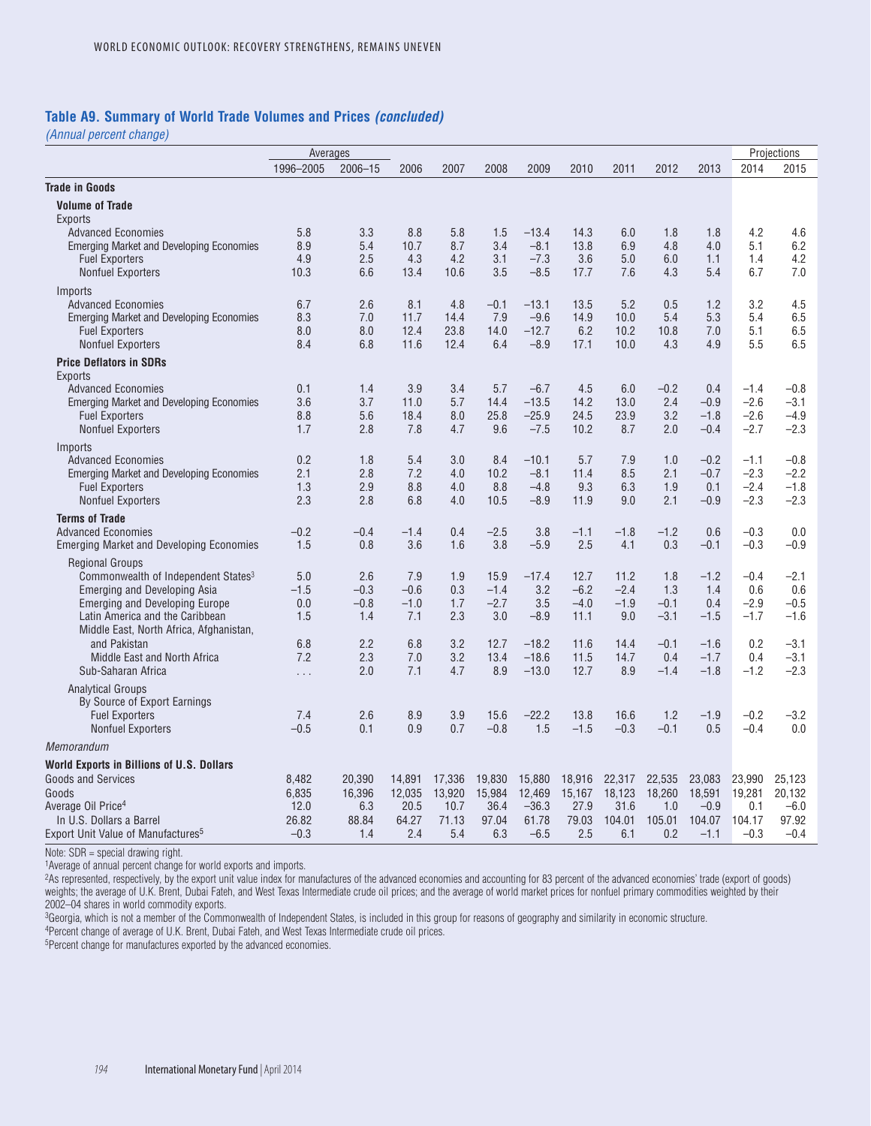#### **Table A9. Summary of World Trade Volumes and Prices** *(concluded)*

*(Annual percent change)*

|                                                                          | Averages   |             |            |            |             |                    |              |             |               |                  |                  | Projections      |
|--------------------------------------------------------------------------|------------|-------------|------------|------------|-------------|--------------------|--------------|-------------|---------------|------------------|------------------|------------------|
|                                                                          | 1996-2005  | $2006 - 15$ | 2006       | 2007       | 2008        | 2009               | 2010         | 2011        | 2012          | 2013             | 2014             | 2015             |
| <b>Trade in Goods</b>                                                    |            |             |            |            |             |                    |              |             |               |                  |                  |                  |
| <b>Volume of Trade</b><br><b>Exports</b>                                 |            |             |            |            |             |                    |              |             |               |                  |                  |                  |
| <b>Advanced Economies</b>                                                | 5.8        | 3.3         | 8.8        | 5.8        | 1.5         | $-13.4$            | 14.3         | 6.0         | 1.8           | 1.8              | 4.2              | 4.6              |
| <b>Emerging Market and Developing Economies</b>                          | 8.9        | 5.4         | 10.7       | 8.7        | 3.4         | $-8.1$             | 13.8         | 6.9         | 4.8           | 4.0              | 5.1              | 6.2              |
| <b>Fuel Exporters</b>                                                    | 4.9        | 2.5         | 4.3        | 4.2        | 3.1         | $-7.3$             | 3.6          | 5.0         | 6.0           | 1.1              | 1.4              | 4.2              |
| <b>Nonfuel Exporters</b>                                                 | 10.3       | 6.6         | 13.4       | 10.6       | 3.5         | $-8.5$             | 17.7         | 7.6         | 4.3           | 5.4              | 6.7              | 7.0              |
| Imports                                                                  |            |             |            |            |             |                    |              |             |               |                  |                  |                  |
| <b>Advanced Economies</b>                                                | 6.7        | 2.6         | 8.1        | 4.8        | $-0.1$      | $-13.1$            | 13.5         | 5.2         | 0.5           | 1.2              | 3.2              | 4.5              |
| <b>Emerging Market and Developing Economies</b>                          | 8.3        | 7.0         | 11.7       | 14.4       | 7.9         | $-9.6$             | 14.9         | 10.0        | 5.4           | 5.3              | 5.4              | 6.5              |
| <b>Fuel Exporters</b>                                                    | 8.0<br>8.4 | 8.0         | 12.4       | 23.8       | 14.0        | $-12.7$            | 6.2          | 10.2        | 10.8          | 7.0              | 5.1              | 6.5              |
| <b>Nonfuel Exporters</b>                                                 |            | 6.8         | 11.6       | 12.4       | 6.4         | $-8.9$             | 17.1         | 10.0        | 4.3           | 4.9              | 5.5              | 6.5              |
| <b>Price Deflators in SDRs</b><br><b>Exports</b>                         |            |             |            |            |             |                    |              |             |               |                  |                  |                  |
| <b>Advanced Economies</b>                                                | 0.1        | 1.4         | 3.9        | 3.4        | 5.7         | $-6.7$             | 4.5          | 6.0         | $-0.2$        | 0.4              | $-1.4$           | $-0.8$           |
| <b>Emerging Market and Developing Economies</b>                          | 3.6        | 3.7         | 11.0       | 5.7        | 14.4        | $-13.5$            | 14.2         | 13.0        | 2.4           | $-0.9$           | $-2.6$           | $-3.1$           |
| <b>Fuel Exporters</b>                                                    | 8.8        | 5.6         | 18.4       | 8.0        | 25.8        | $-25.9$            | 24.5         | 23.9        | 3.2           | $-1.8$           | $-2.6$           | $-4.9$           |
| <b>Nonfuel Exporters</b>                                                 | 1.7        | 2.8         | 7.8        | 4.7        | 9.6         | $-7.5$             | 10.2         | 8.7         | 2.0           | $-0.4$           | $-2.7$           | $-2.3$           |
| Imports                                                                  |            |             |            |            |             |                    |              |             |               |                  |                  |                  |
| <b>Advanced Economies</b>                                                | 0.2        | 1.8         | 5.4        | 3.0        | 8.4         | $-10.1$            | 5.7          | 7.9         | 1.0           | $-0.2$           | $-1.1$           | $-0.8$           |
| <b>Emerging Market and Developing Economies</b><br><b>Fuel Exporters</b> | 2.1<br>1.3 | 2.8<br>2.9  | 7.2<br>8.8 | 4.0<br>4.0 | 10.2<br>8.8 | $-8.1$<br>$-4.8$   | 11.4<br>9.3  | 8.5<br>6.3  | 2.1<br>1.9    | $-0.7$<br>0.1    | $-2.3$<br>$-2.4$ | $-2.2$<br>$-1.8$ |
| <b>Nonfuel Exporters</b>                                                 | 2.3        | 2.8         | 6.8        | 4.0        | 10.5        | $-8.9$             | 11.9         | 9.0         | 2.1           | $-0.9$           | $-2.3$           | $-2.3$           |
| <b>Terms of Trade</b>                                                    |            |             |            |            |             |                    |              |             |               |                  |                  |                  |
| <b>Advanced Economies</b>                                                | $-0.2$     | $-0.4$      | $-1.4$     | 0.4        | $-2.5$      | 3.8                | $-1.1$       | $-1.8$      | $-1.2$        | 0.6              | $-0.3$           | 0.0              |
| <b>Emerging Market and Developing Economies</b>                          | 1.5        | 0.8         | 3.6        | 1.6        | 3.8         | $-5.9$             | 2.5          | 4.1         | 0.3           | $-0.1$           | $-0.3$           | $-0.9$           |
| <b>Regional Groups</b>                                                   |            |             |            |            |             |                    |              |             |               |                  |                  |                  |
| Commonwealth of Independent States <sup>3</sup>                          | 5.0        | 2.6         | 7.9        | 1.9        | 15.9        | $-17.4$            | 12.7         | 11.2        | 1.8           | $-1.2$           | $-0.4$           | $-2.1$           |
| <b>Emerging and Developing Asia</b>                                      | $-1.5$     | $-0.3$      | $-0.6$     | 0.3        | $-1.4$      | 3.2                | $-6.2$       | $-2.4$      | 1.3           | 1.4              | 0.6              | 0.6              |
| <b>Emerging and Developing Europe</b>                                    | 0.0        | $-0.8$      | $-1.0$     | 1.7        | $-2.7$      | 3.5                | $-4.0$       | $-1.9$      | $-0.1$        | 0.4              | $-2.9$           | $-0.5$           |
| Latin America and the Caribbean                                          | 1.5        | 1.4         | 7.1        | 2.3        | 3.0         | $-8.9$             | 11.1         | 9.0         | $-3.1$        | $-1.5$           | $-1.7$           | $-1.6$           |
| Middle East, North Africa, Afghanistan,                                  |            |             |            |            |             |                    |              |             |               |                  |                  |                  |
| and Pakistan                                                             | 6.8        | 2.2         | 6.8        | 3.2        | 12.7        | $-18.2$            | 11.6         | 14.4        | $-0.1$        | $-1.6$           | 0.2              | $-3.1$           |
| Middle East and North Africa<br>Sub-Saharan Africa                       | 7.2        | 2.3<br>2.0  | 7.0<br>7.1 | 3.2<br>4.7 | 13.4<br>8.9 | $-18.6$<br>$-13.0$ | 11.5<br>12.7 | 14.7<br>8.9 | 0.4<br>$-1.4$ | $-1.7$<br>$-1.8$ | 0.4<br>$-1.2$    | $-3.1$<br>$-2.3$ |
|                                                                          | .          |             |            |            |             |                    |              |             |               |                  |                  |                  |
| <b>Analytical Groups</b><br>By Source of Export Earnings                 |            |             |            |            |             |                    |              |             |               |                  |                  |                  |
| <b>Fuel Exporters</b>                                                    | 7.4        | 2.6         | 8.9        | 3.9        | 15.6        | $-22.2$            | 13.8         | 16.6        | 1.2           | $-1.9$           | $-0.2$           | $-3.2$           |
| <b>Nonfuel Exporters</b>                                                 | $-0.5$     | 0.1         | 0.9        | 0.7        | $-0.8$      | 1.5                | $-1.5$       | $-0.3$      | $-0.1$        | 0.5              | $-0.4$           | 0.0              |
| Memorandum                                                               |            |             |            |            |             |                    |              |             |               |                  |                  |                  |
| World Exports in Billions of U.S. Dollars                                |            |             |            |            |             |                    |              |             |               |                  |                  |                  |
| <b>Goods and Services</b>                                                | 8,482      | 20,390      | 14,891     | 17,336     | 19,830      | 15,880             | 18,916       | 22,317      | 22,535        | 23,083           | 23,990           | 25,123           |
| Goods                                                                    | 6,835      | 16,396      | 12,035     | 13,920     | 15,984      | 12,469             | 15,167       | 18,123      | 18,260        | 18,591           | 19,281           | 20,132           |
| Average Oil Price <sup>4</sup>                                           | 12.0       | 6.3         | 20.5       | 10.7       | 36.4        | $-36.3$            | 27.9         | 31.6        | 1.0           | $-0.9$           | 0.1              | $-6.0$           |
| In U.S. Dollars a Barrel                                                 | 26.82      | 88.84       | 64.27      | 71.13      | 97.04       | 61.78              | 79.03        | 104.01      | 105.01        | 104.07           | 104.17           | 97.92            |
| Export Unit Value of Manufactures <sup>5</sup>                           | $-0.3$     | 1.4         | 2.4        | 5.4        | 6.3         | $-6.5$             | 2.5          | 6.1         | 0.2           | $-1.1$           | $-0.3$           | $-0.4$           |

Note: SDR = special drawing right.

1Average of annual percent change for world exports and imports.

2As represented, respectively, by the export unit value index for manufactures of the advanced economies and accounting for 83 percent of the advanced economies' trade (export of goods) weights; the average of U.K. Brent, Dubai Fateh, and West Texas Intermediate crude oil prices; and the average of world market prices for nonfuel primary commodities weighted by their weighted by their 2002–04 shares in world commodity exports.

3Georgia, which is not a member of the Commonwealth of Independent States, is included in this group for reasons of geography and similarity in economic structure.

4Percent change of average of U.K. Brent, Dubai Fateh, and West Texas Intermediate crude oil prices.

5Percent change for manufactures exported by the advanced economies.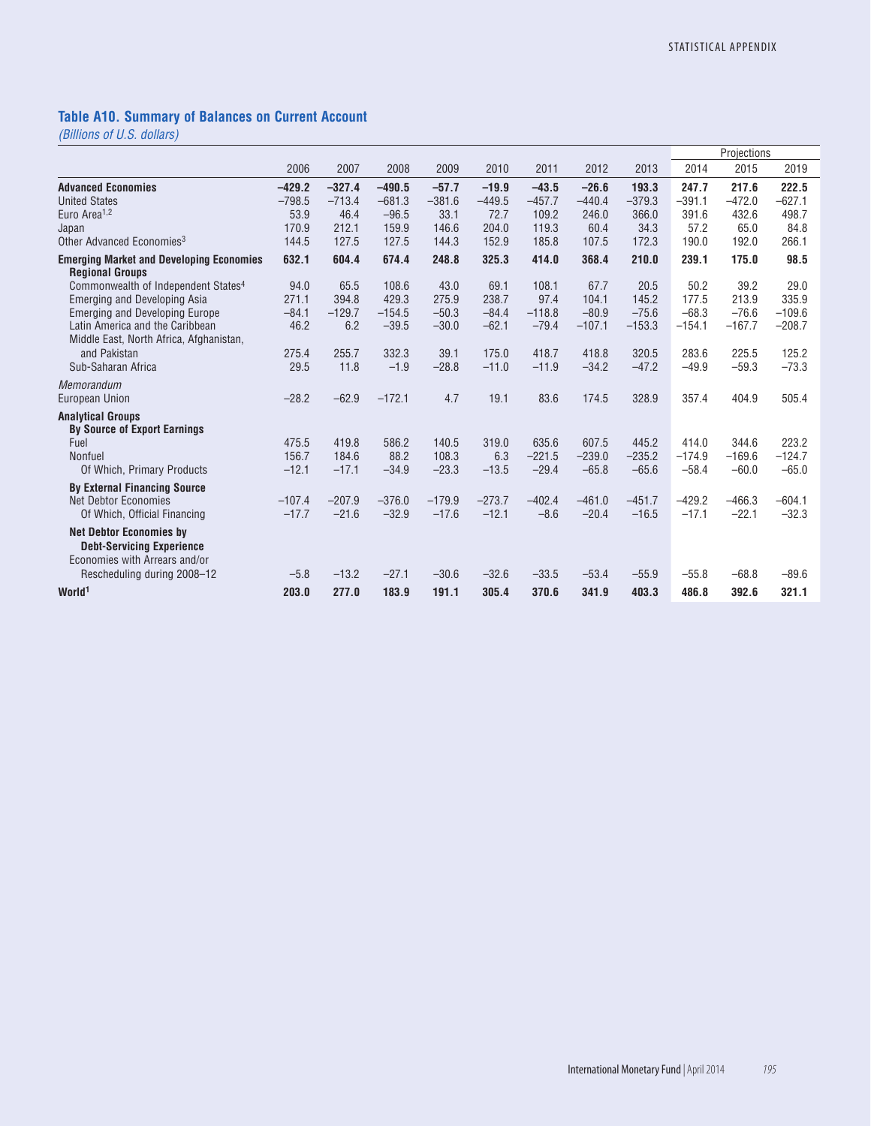### **Table A10. Summary of Balances on Current Account**

*(Billions of U.S. dollars)*

|                                                                          |                      |                      |                      |                     |                     |                     |                     |                   |                   | Projections       |                      |
|--------------------------------------------------------------------------|----------------------|----------------------|----------------------|---------------------|---------------------|---------------------|---------------------|-------------------|-------------------|-------------------|----------------------|
|                                                                          | 2006                 | 2007                 | 2008                 | 2009                | 2010                | 2011                | 2012                | 2013              | 2014              | 2015              | 2019                 |
| <b>Advanced Economies</b><br><b>United States</b>                        | $-429.2$<br>$-798.5$ | $-327.4$<br>$-713.4$ | $-490.5$<br>$-681.3$ | $-57.7$<br>$-381.6$ | $-19.9$<br>$-449.5$ | $-43.5$<br>$-457.7$ | $-26.6$<br>$-440.4$ | 193.3<br>$-379.3$ | 247.7<br>$-391.1$ | 217.6<br>$-472.0$ | 222.5<br>$-627.1$    |
| Euro Area <sup>1,2</sup>                                                 | 53.9                 | 46.4                 | $-96.5$              | 33.1                | 72.7                | 109.2               | 246.0               | 366.0             | 391.6             | 432.6             | 498.7                |
| Japan                                                                    | 170.9                | 212.1                | 159.9                | 146.6               | 204.0               | 119.3               | 60.4                | 34.3              | 57.2              | 65.0              | 84.8                 |
| Other Advanced Economies <sup>3</sup>                                    | 144.5                | 127.5                | 127.5                | 144.3               | 152.9               | 185.8               | 107.5               | 172.3             | 190.0             | 192.0             | 266.1                |
| <b>Emerging Market and Developing Economies</b>                          | 632.1                | 604.4                | 674.4                | 248.8               | 325.3               | 414.0               | 368.4               | 210.0             | 239.1             | 175.0             | 98.5                 |
| <b>Regional Groups</b>                                                   |                      |                      |                      |                     |                     |                     |                     |                   |                   |                   |                      |
| Commonwealth of Independent States <sup>4</sup>                          | 94.0                 | 65.5                 | 108.6                | 43.0                | 69.1                | 108.1               | 67.7                | 20.5              | 50.2              | 39.2              | 29.0                 |
| Emerging and Developing Asia                                             | 271.1                | 394.8                | 429.3                | 275.9               | 238.7               | 97.4                | 104.1               | 145.2             | 177.5             | 213.9             | 335.9                |
| <b>Emerging and Developing Europe</b><br>Latin America and the Caribbean | $-84.1$<br>46.2      | $-129.7$<br>6.2      | $-154.5$             | $-50.3$             | $-84.4$<br>$-62.1$  | $-118.8$            | $-80.9$             | $-75.6$           | $-68.3$           | $-76.6$           | $-109.6$<br>$-208.7$ |
| Middle East, North Africa, Afghanistan,                                  |                      |                      | $-39.5$              | $-30.0$             |                     | $-79.4$             | $-107.1$            | $-153.3$          | $-154.1$          | $-167.7$          |                      |
| and Pakistan                                                             | 275.4                | 255.7                | 332.3                | 39.1                | 175.0               | 418.7               | 418.8               | 320.5             | 283.6             | 225.5             | 125.2                |
| Sub-Saharan Africa                                                       | 29.5                 | 11.8                 | $-1.9$               | $-28.8$             | $-11.0$             | $-11.9$             | $-34.2$             | $-47.2$           | $-49.9$           | $-59.3$           | $-73.3$              |
| Memorandum                                                               |                      |                      |                      |                     |                     |                     |                     |                   |                   |                   |                      |
| <b>European Union</b>                                                    | $-28.2$              | $-62.9$              | $-172.1$             | 4.7                 | 19.1                | 83.6                | 174.5               | 328.9             | 357.4             | 404.9             | 505.4                |
| <b>Analytical Groups</b><br><b>By Source of Export Earnings</b>          |                      |                      |                      |                     |                     |                     |                     |                   |                   |                   |                      |
| Fuel                                                                     | 475.5                | 419.8                | 586.2                | 140.5               | 319.0               | 635.6               | 607.5               | 445.2             | 414.0             | 344.6             | 223.2                |
| <b>Nonfuel</b>                                                           | 156.7                | 184.6                | 88.2                 | 108.3               | 6.3                 | $-221.5$            | $-239.0$            | $-235.2$          | $-174.9$          | $-169.6$          | $-124.7$             |
| Of Which, Primary Products                                               | $-12.1$              | $-17.1$              | $-34.9$              | $-23.3$             | $-13.5$             | $-29.4$             | $-65.8$             | $-65.6$           | $-58.4$           | $-60.0$           | $-65.0$              |
| <b>By External Financing Source</b>                                      |                      |                      |                      |                     |                     |                     |                     |                   |                   |                   |                      |
| Net Debtor Economies                                                     | $-107.4$             | $-207.9$             | $-376.0$             | $-179.9$            | $-273.7$            | $-402.4$            | $-461.0$            | $-451.7$          | $-429.2$          | $-466.3$          | $-604.1$             |
| Of Which, Official Financing                                             | $-17.7$              | $-21.6$              | $-32.9$              | $-17.6$             | $-12.1$             | $-8.6$              | $-20.4$             | $-16.5$           | $-17.1$           | $-22.1$           | $-32.3$              |
| <b>Net Debtor Economies by</b><br><b>Debt-Servicing Experience</b>       |                      |                      |                      |                     |                     |                     |                     |                   |                   |                   |                      |
| Economies with Arrears and/or                                            | $-5.8$               | $-13.2$              | $-27.1$              | $-30.6$             | $-32.6$             | $-33.5$             | $-53.4$             | $-55.9$           | $-55.8$           | $-68.8$           | $-89.6$              |
| Rescheduling during 2008-12                                              |                      |                      |                      |                     |                     |                     |                     |                   |                   |                   |                      |
| World <sup>1</sup>                                                       | 203.0                | 277.0                | 183.9                | 191.1               | 305.4               | 370.6               | 341.9               | 403.3             | 486.8             | 392.6             | 321.1                |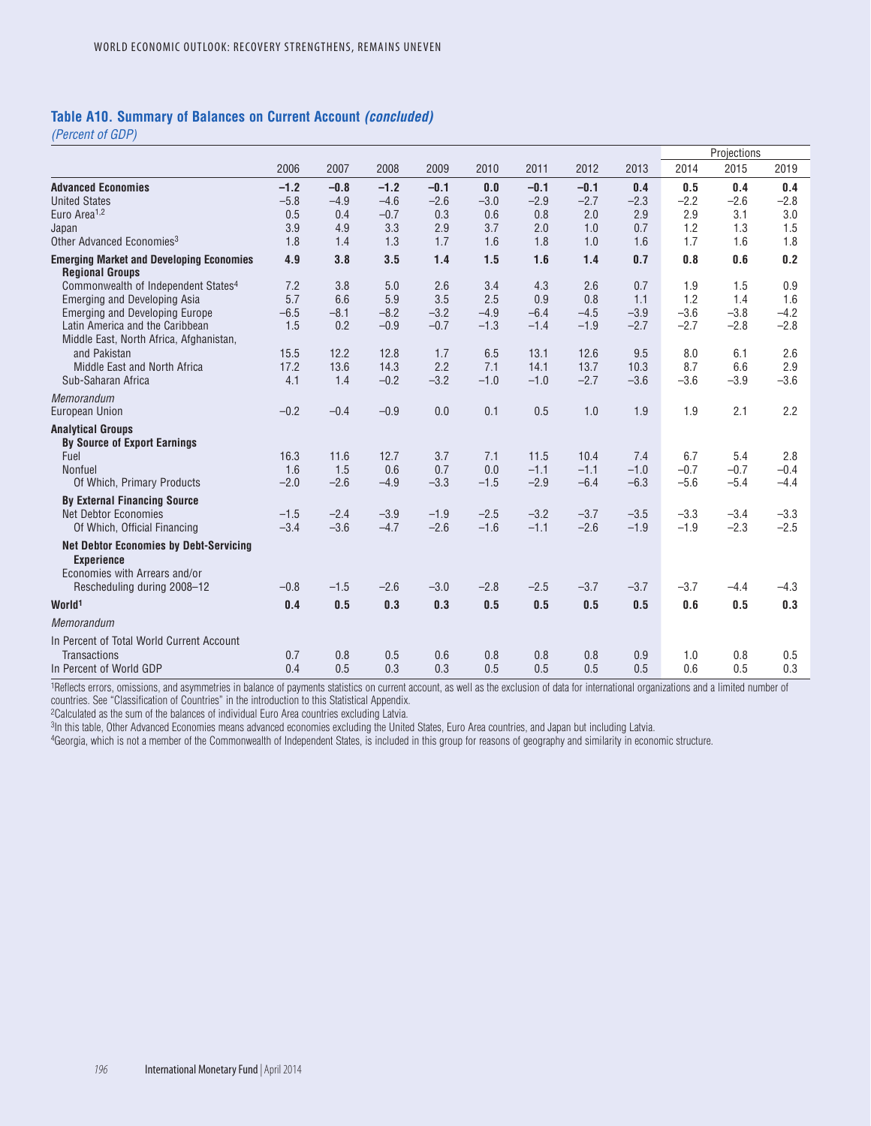#### **Table A10. Summary of Balances on Current Account** *(concluded)*

*(Percent of GDP)*

|                                                                            |        |        |        |        |        |        |        |        |        | Projections |        |
|----------------------------------------------------------------------------|--------|--------|--------|--------|--------|--------|--------|--------|--------|-------------|--------|
|                                                                            | 2006   | 2007   | 2008   | 2009   | 2010   | 2011   | 2012   | 2013   | 2014   | 2015        | 2019   |
| <b>Advanced Economies</b>                                                  | $-1.2$ | $-0.8$ | $-1.2$ | $-0.1$ | 0.0    | $-0.1$ | $-0.1$ | 0.4    | 0.5    | 0.4         | 0.4    |
| <b>United States</b>                                                       | $-5.8$ | $-4.9$ | $-4.6$ | $-2.6$ | $-3.0$ | $-2.9$ | $-2.7$ | $-2.3$ | $-2.2$ | $-2.6$      | $-2.8$ |
| Euro Area <sup>1,2</sup>                                                   | 0.5    | 0.4    | $-0.7$ | 0.3    | 0.6    | 0.8    | 2.0    | 2.9    | 2.9    | 3.1         | 3.0    |
| Japan                                                                      | 3.9    | 4.9    | 3.3    | 2.9    | 3.7    | 2.0    | 1.0    | 0.7    | 1.2    | 1.3         | 1.5    |
| Other Advanced Economies <sup>3</sup>                                      | 1.8    | 1.4    | 1.3    | 1.7    | 1.6    | 1.8    | 1.0    | 1.6    | 1.7    | 1.6         | 1.8    |
| <b>Emerging Market and Developing Economies</b><br><b>Regional Groups</b>  | 4.9    | 3.8    | 3.5    | 1.4    | 1.5    | 1.6    | 1.4    | 0.7    | 0.8    | 0.6         | 0.2    |
| Commonwealth of Independent States <sup>4</sup>                            | 7.2    | 3.8    | 5.0    | 2.6    | 3.4    | 4.3    | 2.6    | 0.7    | 1.9    | 1.5         | 0.9    |
| <b>Emerging and Developing Asia</b>                                        | 5.7    | 6.6    | 5.9    | 3.5    | 2.5    | 0.9    | 0.8    | 1.1    | 1.2    | 1.4         | 1.6    |
| <b>Emerging and Developing Europe</b>                                      | $-6.5$ | $-8.1$ | $-8.2$ | $-3.2$ | $-4.9$ | $-6.4$ | $-4.5$ | $-3.9$ | $-3.6$ | $-3.8$      | $-4.2$ |
| Latin America and the Caribbean<br>Middle East, North Africa, Afghanistan, | 1.5    | 0.2    | $-0.9$ | $-0.7$ | $-1.3$ | $-1.4$ | $-1.9$ | $-2.7$ | $-2.7$ | $-2.8$      | $-2.8$ |
| and Pakistan                                                               | 15.5   | 12.2   | 12.8   | 1.7    | 6.5    | 13.1   | 12.6   | 9.5    | 8.0    | 6.1         | 2.6    |
| Middle East and North Africa                                               | 17.2   | 13.6   | 14.3   | 2.2    | 7.1    | 14.1   | 13.7   | 10.3   | 8.7    | 6.6         | 2.9    |
| Sub-Saharan Africa                                                         | 4.1    | 1.4    | $-0.2$ | $-3.2$ | $-1.0$ | $-1.0$ | $-2.7$ | $-3.6$ | $-3.6$ | $-3.9$      | $-3.6$ |
| Memorandum                                                                 |        |        |        |        |        |        |        |        |        |             |        |
| <b>European Union</b>                                                      | $-0.2$ | $-0.4$ | $-0.9$ | 0.0    | 0.1    | 0.5    | 1.0    | 1.9    | 1.9    | 2.1         | 2.2    |
| <b>Analytical Groups</b><br><b>By Source of Export Earnings</b>            |        |        |        |        |        |        |        |        |        |             |        |
| Fuel                                                                       | 16.3   | 11.6   | 12.7   | 3.7    | 7.1    | 11.5   | 10.4   | 7.4    | 6.7    | 5.4         | 2.8    |
| Nonfuel                                                                    | 1.6    | 1.5    | 0.6    | 0.7    | 0.0    | $-1.1$ | $-1.1$ | $-1.0$ | $-0.7$ | $-0.7$      | $-0.4$ |
| Of Which, Primary Products                                                 | $-2.0$ | $-2.6$ | $-4.9$ | $-3.3$ | $-1.5$ | $-2.9$ | $-6.4$ | $-6.3$ | $-5.6$ | $-5.4$      | $-4.4$ |
| <b>By External Financing Source</b>                                        |        |        |        |        |        |        |        |        |        |             |        |
| <b>Net Debtor Economies</b>                                                | $-1.5$ | $-2.4$ | $-3.9$ | $-1.9$ | $-2.5$ | $-3.2$ | $-3.7$ | $-3.5$ | $-3.3$ | $-3.4$      | $-3.3$ |
| Of Which, Official Financing                                               | $-3.4$ | $-3.6$ | $-4.7$ | $-2.6$ | $-1.6$ | $-1.1$ | $-2.6$ | $-1.9$ | $-1.9$ | $-2.3$      | $-2.5$ |
| <b>Net Debtor Economies by Debt-Servicing</b><br><b>Experience</b>         |        |        |        |        |        |        |        |        |        |             |        |
| Economies with Arrears and/or                                              |        |        |        |        |        |        |        |        |        |             |        |
| Rescheduling during 2008-12                                                | $-0.8$ | $-1.5$ | $-2.6$ | $-3.0$ | $-2.8$ | $-2.5$ | $-3.7$ | $-3.7$ | $-3.7$ | $-4.4$      | $-4.3$ |
| World <sup>1</sup>                                                         | 0.4    | 0.5    | 0.3    | 0.3    | 0.5    | 0.5    | 0.5    | 0.5    | 0.6    | 0.5         | 0.3    |
| Memorandum                                                                 |        |        |        |        |        |        |        |        |        |             |        |
| In Percent of Total World Current Account                                  |        |        |        |        |        |        |        |        |        |             |        |
| <b>Transactions</b>                                                        | 0.7    | 0.8    | 0.5    | 0.6    | 0.8    | 0.8    | 0.8    | 0.9    | 1.0    | 0.8         | 0.5    |
| In Percent of World GDP                                                    | 0.4    | 0.5    | 0.3    | 0.3    | 0.5    | 0.5    | 0.5    | 0.5    | 0.6    | 0.5         | 0.3    |

1Reflects errors, omissions, and asymmetries in balance of payments statistics on current account, as well as the exclusion of data for international organizations and a limited number of countries. See "Classification of Countries" in the introduction to this Statistical Appendix.

2Calculated as the sum of the balances of individual Euro Area countries excluding Latvia.

3In this table, Other Advanced Economies means advanced economies excluding the United States, Euro Area countries, and Japan but including Latvia.

4Georgia, which is not a member of the Commonwealth of Independent States, is included in this group for reasons of geography and similarity in economic structure.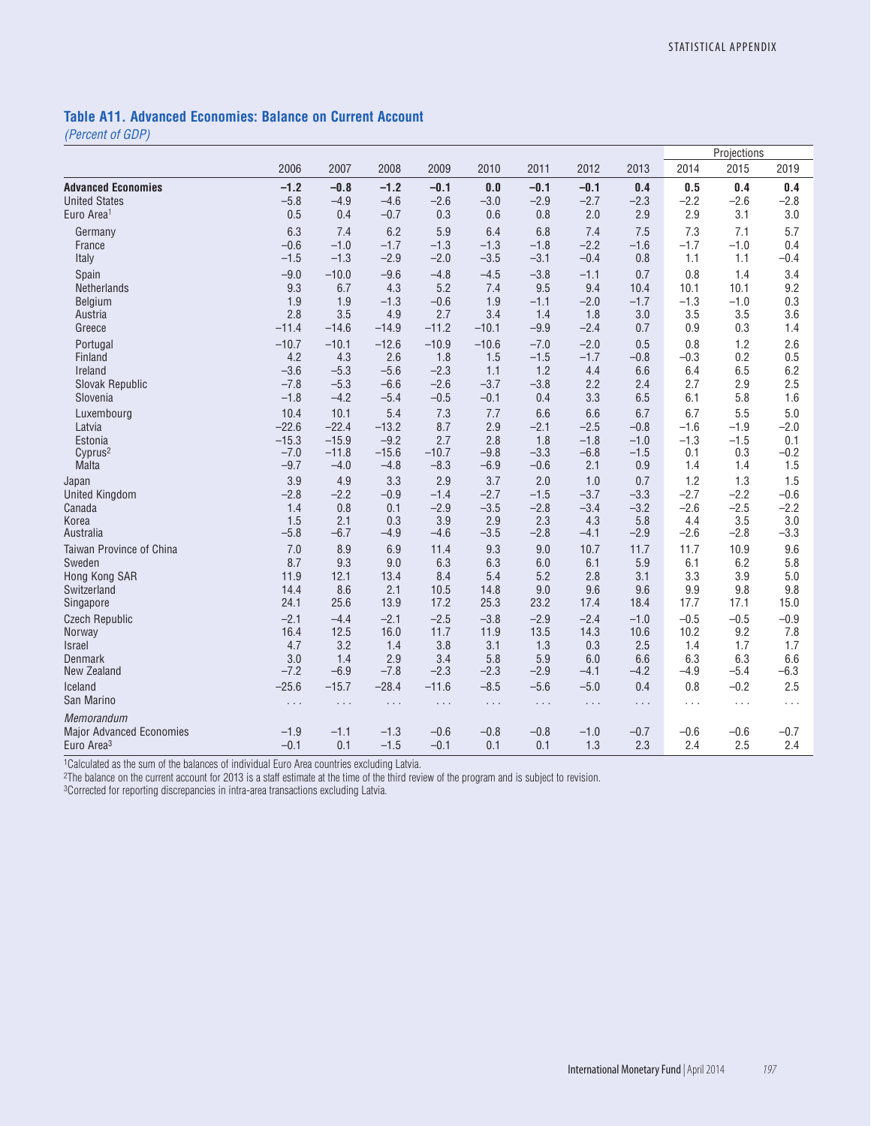### **Table A11. Advanced Economies: Balance on Current Account**

*(Percent of GDP)*

| 2014<br>2015<br>2019<br>2006<br>2007<br>2008<br>2009<br>2010<br>2011<br>2012<br>2013<br>$-1.2$<br>$-1.2$<br>$-0.1$<br>$-0.1$<br>$-0.1$<br>0.5<br>0.4<br>0.4<br>$-0.8$<br>0.0<br>0.4<br>$-5.8$<br>$-2.6$<br>$-2.6$<br>$-2.8$<br>$-4.9$<br>$-4.6$<br>$-3.0$<br>$-2.9$<br>$-2.7$<br>$-2.3$<br>$-2.2$<br>3.1<br>0.5<br>2.0<br>2.9<br>2.9<br>3.0<br>0.4<br>$-0.7$<br>0.3<br>0.6<br>0.8<br>6.3<br>6.2<br>5.9<br>6.8<br>7.3<br>7.1<br>6.4<br>7.4<br>7.5<br>5.7<br>7.4<br>Germany<br>$-0.6$<br>$-1.0$<br>$-1.7$<br>$-1.3$<br>$-1.3$<br>$-1.8$<br>$-2.2$<br>$-1.6$<br>$-1.7$<br>$-1.0$<br>0.4<br>France<br>$-1.5$<br>$-1.3$<br>$-2.9$<br>$-2.0$<br>$-3.5$<br>$-3.1$<br>0.8<br>$-0.4$<br>1.1<br>1.1<br>$-0.4$<br>Italy<br>$-9.0$<br>$-10.0$<br>$-9.6$<br>$-4.8$<br>$-4.5$<br>$-3.8$<br>0.7<br>0.8<br>1.4<br>3.4<br>Spain<br>$-1.1$<br>9.3<br>6.7<br>4.3<br>5.2<br>9.5<br>9.2<br><b>Netherlands</b><br>7.4<br>9.4<br>10.4<br>10.1<br>10.1<br>1.9<br>1.9<br>$-1.3$<br>$-0.6$<br>1.9<br>$-2.0$<br>$-1.7$<br>$-1.3$<br>$-1.0$<br>0.3<br>$-1.1$<br>Belgium<br>2.8<br>3.4<br>3.0<br>3.5<br>Austria<br>3.5<br>4.9<br>2.7<br>1.4<br>1.8<br>3.5<br>3.6<br>$-11.4$<br>$-14.6$<br>$-11.2$<br>$-9.9$<br>$-2.4$<br>0.3<br>$-10.1$<br>0.7<br>0.9<br>1.4<br>Greece<br>$-14.9$<br>$-10.7$<br>$-10.1$<br>$-12.6$<br>$-10.9$<br>$-10.6$<br>$-7.0$<br>$-2.0$<br>0.5<br>0.8<br>1.2<br>2.6<br>Portugal<br>4.2<br>4.3<br>2.6<br>1.8<br>1.5<br>$-1.5$<br>$-1.7$<br>$-0.8$<br>$-0.3$<br>0.2<br>0.5<br>Finland<br>6.5<br>6.2<br>$-3.6$<br>$-5.3$<br>$-5.6$<br>$-2.3$<br>1.2<br>6.6<br>6.4<br>Ireland<br>1.1<br>4.4<br>$-3.7$<br>Slovak Republic<br>$-7.8$<br>$-5.3$<br>$-6.6$<br>$-2.6$<br>$-3.8$<br>2.2<br>2.4<br>2.7<br>2.9<br>2.5<br>$-4.2$<br>5.8<br>$-1.8$<br>$-5.4$<br>$-0.5$<br>$-0.1$<br>0.4<br>3.3<br>6.5<br>6.1<br>1.6<br>Slovenia<br>7.3<br>6.6<br>5.5<br>10.4<br>10.1<br>5.4<br>6.6<br>6.7<br>6.7<br>5.0<br>Luxembourg<br>7.7<br>2.9<br>$-22.6$<br>$-22.4$<br>$-13.2$<br>8.7<br>$-2.1$<br>$-2.5$<br>$-0.8$<br>$-1.6$<br>$-1.9$<br>Latvia<br>$-2.0$<br>2.8<br>$-15.3$<br>$-15.9$<br>$-9.2$<br>2.7<br>1.8<br>$-1.8$<br>$-1.0$<br>$-1.3$<br>$-1.5$<br>0.1<br>Estonia<br>$-10.7$<br>0.3<br>Cyprus <sup>2</sup><br>$-7.0$<br>$-11.8$<br>$-15.6$<br>$-9.8$<br>$-3.3$<br>$-6.8$<br>$-1.5$<br>0.1<br>$-0.2$<br>$-9.7$<br>$-8.3$<br>1.4<br>1.5<br>Malta<br>$-4.0$<br>$-4.8$<br>$-6.9$<br>$-0.6$<br>2.1<br>0.9<br>1.4<br>3.9<br>4.9<br>2.9<br>3.7<br>3.3<br>2.0<br>1.0<br>0.7<br>1.2<br>1.3<br>1.5<br>Japan<br>$-2.8$<br>$-2.2$<br>$-0.9$<br>$-3.3$<br>$-2.2$<br><b>United Kingdom</b><br>$-1.4$<br>$-2.7$<br>$-1.5$<br>$-3.7$<br>$-2.7$<br>$-0.6$<br>1.4<br>0.8<br>0.1<br>$-2.9$<br>$-3.5$<br>$-2.8$<br>$-3.4$<br>$-3.2$<br>$-2.6$<br>$-2.5$<br>$-2.2$<br>Canada<br>1.5<br>0.3<br>3.9<br>2.9<br>2.3<br>4.3<br>5.8<br>4.4<br>3.5<br>3.0<br>Korea<br>2.1<br>$-5.8$<br>$-6.7$<br>$-4.9$<br>$-4.6$<br>$-3.5$<br>$-2.8$<br>$-2.9$<br>$-2.8$<br>Australia<br>$-4.1$<br>$-2.6$<br>$-3.3$<br>7.0<br>8.9<br>6.9<br>9.3<br>11.4<br>9.0<br>10.7<br>11.7<br>11.7<br>10.9<br>9.6<br>Taiwan Province of China<br>8.7<br>9.3<br>5.9<br>6.1<br>6.2<br>5.8<br>Sweden<br>9.0<br>6.3<br>6.3<br>6.0<br>6.1<br>11.9<br>12.1<br>8.4<br>5.4<br>5.2<br>2.8<br>3.1<br>3.3<br>3.9<br>5.0<br>Hong Kong SAR<br>13.4<br>14.4<br>8.6<br>2.1<br>9.0<br>9.6<br>9.6<br>9.8<br>10.5<br>14.8<br>9.9<br>9.8<br>24.1<br>17.2<br>25.6<br>13.9<br>25.3<br>23.2<br>17.7<br>17.1<br>15.0<br>17.4<br>18.4<br>$-2.1$<br>$-2.1$<br>$-2.5$<br>$-2.9$<br>$-0.5$<br>$-0.5$<br>$-4.4$<br>$-3.8$<br>$-2.4$<br>$-1.0$<br>$-0.9$<br><b>Czech Republic</b><br>16.4<br>9.2<br>12.5<br>16.0<br>11.7<br>11.9<br>13.5<br>14.3<br>10.6<br>10.2<br>7.8<br>4.7<br>3.2<br>3.8<br>1.3<br>1.7<br>1.4<br>3.1<br>0.3<br>2.5<br>1.4<br>1.7<br><b>Israel</b> |                                 |     |     |     |     |     |     |     |     |     | Projections |     |
|------------------------------------------------------------------------------------------------------------------------------------------------------------------------------------------------------------------------------------------------------------------------------------------------------------------------------------------------------------------------------------------------------------------------------------------------------------------------------------------------------------------------------------------------------------------------------------------------------------------------------------------------------------------------------------------------------------------------------------------------------------------------------------------------------------------------------------------------------------------------------------------------------------------------------------------------------------------------------------------------------------------------------------------------------------------------------------------------------------------------------------------------------------------------------------------------------------------------------------------------------------------------------------------------------------------------------------------------------------------------------------------------------------------------------------------------------------------------------------------------------------------------------------------------------------------------------------------------------------------------------------------------------------------------------------------------------------------------------------------------------------------------------------------------------------------------------------------------------------------------------------------------------------------------------------------------------------------------------------------------------------------------------------------------------------------------------------------------------------------------------------------------------------------------------------------------------------------------------------------------------------------------------------------------------------------------------------------------------------------------------------------------------------------------------------------------------------------------------------------------------------------------------------------------------------------------------------------------------------------------------------------------------------------------------------------------------------------------------------------------------------------------------------------------------------------------------------------------------------------------------------------------------------------------------------------------------------------------------------------------------------------------------------------------------------------------------------------------------------------------------------------------------------------------------------------------------------------------------------------------------------------------------------------------------------------------------------------------------------------------------------------------------------------------------------------------------------------------------------------------------------------------------------------------------------------------------------------------------------------------------------------------------------------------------------------------------------------------------------------------------------|---------------------------------|-----|-----|-----|-----|-----|-----|-----|-----|-----|-------------|-----|
|                                                                                                                                                                                                                                                                                                                                                                                                                                                                                                                                                                                                                                                                                                                                                                                                                                                                                                                                                                                                                                                                                                                                                                                                                                                                                                                                                                                                                                                                                                                                                                                                                                                                                                                                                                                                                                                                                                                                                                                                                                                                                                                                                                                                                                                                                                                                                                                                                                                                                                                                                                                                                                                                                                                                                                                                                                                                                                                                                                                                                                                                                                                                                                                                                                                                                                                                                                                                                                                                                                                                                                                                                                                                                                                                                            |                                 |     |     |     |     |     |     |     |     |     |             |     |
|                                                                                                                                                                                                                                                                                                                                                                                                                                                                                                                                                                                                                                                                                                                                                                                                                                                                                                                                                                                                                                                                                                                                                                                                                                                                                                                                                                                                                                                                                                                                                                                                                                                                                                                                                                                                                                                                                                                                                                                                                                                                                                                                                                                                                                                                                                                                                                                                                                                                                                                                                                                                                                                                                                                                                                                                                                                                                                                                                                                                                                                                                                                                                                                                                                                                                                                                                                                                                                                                                                                                                                                                                                                                                                                                                            | <b>Advanced Economies</b>       |     |     |     |     |     |     |     |     |     |             |     |
|                                                                                                                                                                                                                                                                                                                                                                                                                                                                                                                                                                                                                                                                                                                                                                                                                                                                                                                                                                                                                                                                                                                                                                                                                                                                                                                                                                                                                                                                                                                                                                                                                                                                                                                                                                                                                                                                                                                                                                                                                                                                                                                                                                                                                                                                                                                                                                                                                                                                                                                                                                                                                                                                                                                                                                                                                                                                                                                                                                                                                                                                                                                                                                                                                                                                                                                                                                                                                                                                                                                                                                                                                                                                                                                                                            | <b>United States</b>            |     |     |     |     |     |     |     |     |     |             |     |
|                                                                                                                                                                                                                                                                                                                                                                                                                                                                                                                                                                                                                                                                                                                                                                                                                                                                                                                                                                                                                                                                                                                                                                                                                                                                                                                                                                                                                                                                                                                                                                                                                                                                                                                                                                                                                                                                                                                                                                                                                                                                                                                                                                                                                                                                                                                                                                                                                                                                                                                                                                                                                                                                                                                                                                                                                                                                                                                                                                                                                                                                                                                                                                                                                                                                                                                                                                                                                                                                                                                                                                                                                                                                                                                                                            | Euro Area <sup>1</sup>          |     |     |     |     |     |     |     |     |     |             |     |
|                                                                                                                                                                                                                                                                                                                                                                                                                                                                                                                                                                                                                                                                                                                                                                                                                                                                                                                                                                                                                                                                                                                                                                                                                                                                                                                                                                                                                                                                                                                                                                                                                                                                                                                                                                                                                                                                                                                                                                                                                                                                                                                                                                                                                                                                                                                                                                                                                                                                                                                                                                                                                                                                                                                                                                                                                                                                                                                                                                                                                                                                                                                                                                                                                                                                                                                                                                                                                                                                                                                                                                                                                                                                                                                                                            |                                 |     |     |     |     |     |     |     |     |     |             |     |
|                                                                                                                                                                                                                                                                                                                                                                                                                                                                                                                                                                                                                                                                                                                                                                                                                                                                                                                                                                                                                                                                                                                                                                                                                                                                                                                                                                                                                                                                                                                                                                                                                                                                                                                                                                                                                                                                                                                                                                                                                                                                                                                                                                                                                                                                                                                                                                                                                                                                                                                                                                                                                                                                                                                                                                                                                                                                                                                                                                                                                                                                                                                                                                                                                                                                                                                                                                                                                                                                                                                                                                                                                                                                                                                                                            |                                 |     |     |     |     |     |     |     |     |     |             |     |
|                                                                                                                                                                                                                                                                                                                                                                                                                                                                                                                                                                                                                                                                                                                                                                                                                                                                                                                                                                                                                                                                                                                                                                                                                                                                                                                                                                                                                                                                                                                                                                                                                                                                                                                                                                                                                                                                                                                                                                                                                                                                                                                                                                                                                                                                                                                                                                                                                                                                                                                                                                                                                                                                                                                                                                                                                                                                                                                                                                                                                                                                                                                                                                                                                                                                                                                                                                                                                                                                                                                                                                                                                                                                                                                                                            |                                 |     |     |     |     |     |     |     |     |     |             |     |
|                                                                                                                                                                                                                                                                                                                                                                                                                                                                                                                                                                                                                                                                                                                                                                                                                                                                                                                                                                                                                                                                                                                                                                                                                                                                                                                                                                                                                                                                                                                                                                                                                                                                                                                                                                                                                                                                                                                                                                                                                                                                                                                                                                                                                                                                                                                                                                                                                                                                                                                                                                                                                                                                                                                                                                                                                                                                                                                                                                                                                                                                                                                                                                                                                                                                                                                                                                                                                                                                                                                                                                                                                                                                                                                                                            |                                 |     |     |     |     |     |     |     |     |     |             |     |
|                                                                                                                                                                                                                                                                                                                                                                                                                                                                                                                                                                                                                                                                                                                                                                                                                                                                                                                                                                                                                                                                                                                                                                                                                                                                                                                                                                                                                                                                                                                                                                                                                                                                                                                                                                                                                                                                                                                                                                                                                                                                                                                                                                                                                                                                                                                                                                                                                                                                                                                                                                                                                                                                                                                                                                                                                                                                                                                                                                                                                                                                                                                                                                                                                                                                                                                                                                                                                                                                                                                                                                                                                                                                                                                                                            |                                 |     |     |     |     |     |     |     |     |     |             |     |
|                                                                                                                                                                                                                                                                                                                                                                                                                                                                                                                                                                                                                                                                                                                                                                                                                                                                                                                                                                                                                                                                                                                                                                                                                                                                                                                                                                                                                                                                                                                                                                                                                                                                                                                                                                                                                                                                                                                                                                                                                                                                                                                                                                                                                                                                                                                                                                                                                                                                                                                                                                                                                                                                                                                                                                                                                                                                                                                                                                                                                                                                                                                                                                                                                                                                                                                                                                                                                                                                                                                                                                                                                                                                                                                                                            |                                 |     |     |     |     |     |     |     |     |     |             |     |
|                                                                                                                                                                                                                                                                                                                                                                                                                                                                                                                                                                                                                                                                                                                                                                                                                                                                                                                                                                                                                                                                                                                                                                                                                                                                                                                                                                                                                                                                                                                                                                                                                                                                                                                                                                                                                                                                                                                                                                                                                                                                                                                                                                                                                                                                                                                                                                                                                                                                                                                                                                                                                                                                                                                                                                                                                                                                                                                                                                                                                                                                                                                                                                                                                                                                                                                                                                                                                                                                                                                                                                                                                                                                                                                                                            |                                 |     |     |     |     |     |     |     |     |     |             |     |
|                                                                                                                                                                                                                                                                                                                                                                                                                                                                                                                                                                                                                                                                                                                                                                                                                                                                                                                                                                                                                                                                                                                                                                                                                                                                                                                                                                                                                                                                                                                                                                                                                                                                                                                                                                                                                                                                                                                                                                                                                                                                                                                                                                                                                                                                                                                                                                                                                                                                                                                                                                                                                                                                                                                                                                                                                                                                                                                                                                                                                                                                                                                                                                                                                                                                                                                                                                                                                                                                                                                                                                                                                                                                                                                                                            |                                 |     |     |     |     |     |     |     |     |     |             |     |
|                                                                                                                                                                                                                                                                                                                                                                                                                                                                                                                                                                                                                                                                                                                                                                                                                                                                                                                                                                                                                                                                                                                                                                                                                                                                                                                                                                                                                                                                                                                                                                                                                                                                                                                                                                                                                                                                                                                                                                                                                                                                                                                                                                                                                                                                                                                                                                                                                                                                                                                                                                                                                                                                                                                                                                                                                                                                                                                                                                                                                                                                                                                                                                                                                                                                                                                                                                                                                                                                                                                                                                                                                                                                                                                                                            |                                 |     |     |     |     |     |     |     |     |     |             |     |
|                                                                                                                                                                                                                                                                                                                                                                                                                                                                                                                                                                                                                                                                                                                                                                                                                                                                                                                                                                                                                                                                                                                                                                                                                                                                                                                                                                                                                                                                                                                                                                                                                                                                                                                                                                                                                                                                                                                                                                                                                                                                                                                                                                                                                                                                                                                                                                                                                                                                                                                                                                                                                                                                                                                                                                                                                                                                                                                                                                                                                                                                                                                                                                                                                                                                                                                                                                                                                                                                                                                                                                                                                                                                                                                                                            |                                 |     |     |     |     |     |     |     |     |     |             |     |
|                                                                                                                                                                                                                                                                                                                                                                                                                                                                                                                                                                                                                                                                                                                                                                                                                                                                                                                                                                                                                                                                                                                                                                                                                                                                                                                                                                                                                                                                                                                                                                                                                                                                                                                                                                                                                                                                                                                                                                                                                                                                                                                                                                                                                                                                                                                                                                                                                                                                                                                                                                                                                                                                                                                                                                                                                                                                                                                                                                                                                                                                                                                                                                                                                                                                                                                                                                                                                                                                                                                                                                                                                                                                                                                                                            |                                 |     |     |     |     |     |     |     |     |     |             |     |
|                                                                                                                                                                                                                                                                                                                                                                                                                                                                                                                                                                                                                                                                                                                                                                                                                                                                                                                                                                                                                                                                                                                                                                                                                                                                                                                                                                                                                                                                                                                                                                                                                                                                                                                                                                                                                                                                                                                                                                                                                                                                                                                                                                                                                                                                                                                                                                                                                                                                                                                                                                                                                                                                                                                                                                                                                                                                                                                                                                                                                                                                                                                                                                                                                                                                                                                                                                                                                                                                                                                                                                                                                                                                                                                                                            |                                 |     |     |     |     |     |     |     |     |     |             |     |
|                                                                                                                                                                                                                                                                                                                                                                                                                                                                                                                                                                                                                                                                                                                                                                                                                                                                                                                                                                                                                                                                                                                                                                                                                                                                                                                                                                                                                                                                                                                                                                                                                                                                                                                                                                                                                                                                                                                                                                                                                                                                                                                                                                                                                                                                                                                                                                                                                                                                                                                                                                                                                                                                                                                                                                                                                                                                                                                                                                                                                                                                                                                                                                                                                                                                                                                                                                                                                                                                                                                                                                                                                                                                                                                                                            |                                 |     |     |     |     |     |     |     |     |     |             |     |
|                                                                                                                                                                                                                                                                                                                                                                                                                                                                                                                                                                                                                                                                                                                                                                                                                                                                                                                                                                                                                                                                                                                                                                                                                                                                                                                                                                                                                                                                                                                                                                                                                                                                                                                                                                                                                                                                                                                                                                                                                                                                                                                                                                                                                                                                                                                                                                                                                                                                                                                                                                                                                                                                                                                                                                                                                                                                                                                                                                                                                                                                                                                                                                                                                                                                                                                                                                                                                                                                                                                                                                                                                                                                                                                                                            |                                 |     |     |     |     |     |     |     |     |     |             |     |
|                                                                                                                                                                                                                                                                                                                                                                                                                                                                                                                                                                                                                                                                                                                                                                                                                                                                                                                                                                                                                                                                                                                                                                                                                                                                                                                                                                                                                                                                                                                                                                                                                                                                                                                                                                                                                                                                                                                                                                                                                                                                                                                                                                                                                                                                                                                                                                                                                                                                                                                                                                                                                                                                                                                                                                                                                                                                                                                                                                                                                                                                                                                                                                                                                                                                                                                                                                                                                                                                                                                                                                                                                                                                                                                                                            |                                 |     |     |     |     |     |     |     |     |     |             |     |
|                                                                                                                                                                                                                                                                                                                                                                                                                                                                                                                                                                                                                                                                                                                                                                                                                                                                                                                                                                                                                                                                                                                                                                                                                                                                                                                                                                                                                                                                                                                                                                                                                                                                                                                                                                                                                                                                                                                                                                                                                                                                                                                                                                                                                                                                                                                                                                                                                                                                                                                                                                                                                                                                                                                                                                                                                                                                                                                                                                                                                                                                                                                                                                                                                                                                                                                                                                                                                                                                                                                                                                                                                                                                                                                                                            |                                 |     |     |     |     |     |     |     |     |     |             |     |
|                                                                                                                                                                                                                                                                                                                                                                                                                                                                                                                                                                                                                                                                                                                                                                                                                                                                                                                                                                                                                                                                                                                                                                                                                                                                                                                                                                                                                                                                                                                                                                                                                                                                                                                                                                                                                                                                                                                                                                                                                                                                                                                                                                                                                                                                                                                                                                                                                                                                                                                                                                                                                                                                                                                                                                                                                                                                                                                                                                                                                                                                                                                                                                                                                                                                                                                                                                                                                                                                                                                                                                                                                                                                                                                                                            |                                 |     |     |     |     |     |     |     |     |     |             |     |
|                                                                                                                                                                                                                                                                                                                                                                                                                                                                                                                                                                                                                                                                                                                                                                                                                                                                                                                                                                                                                                                                                                                                                                                                                                                                                                                                                                                                                                                                                                                                                                                                                                                                                                                                                                                                                                                                                                                                                                                                                                                                                                                                                                                                                                                                                                                                                                                                                                                                                                                                                                                                                                                                                                                                                                                                                                                                                                                                                                                                                                                                                                                                                                                                                                                                                                                                                                                                                                                                                                                                                                                                                                                                                                                                                            |                                 |     |     |     |     |     |     |     |     |     |             |     |
|                                                                                                                                                                                                                                                                                                                                                                                                                                                                                                                                                                                                                                                                                                                                                                                                                                                                                                                                                                                                                                                                                                                                                                                                                                                                                                                                                                                                                                                                                                                                                                                                                                                                                                                                                                                                                                                                                                                                                                                                                                                                                                                                                                                                                                                                                                                                                                                                                                                                                                                                                                                                                                                                                                                                                                                                                                                                                                                                                                                                                                                                                                                                                                                                                                                                                                                                                                                                                                                                                                                                                                                                                                                                                                                                                            |                                 |     |     |     |     |     |     |     |     |     |             |     |
|                                                                                                                                                                                                                                                                                                                                                                                                                                                                                                                                                                                                                                                                                                                                                                                                                                                                                                                                                                                                                                                                                                                                                                                                                                                                                                                                                                                                                                                                                                                                                                                                                                                                                                                                                                                                                                                                                                                                                                                                                                                                                                                                                                                                                                                                                                                                                                                                                                                                                                                                                                                                                                                                                                                                                                                                                                                                                                                                                                                                                                                                                                                                                                                                                                                                                                                                                                                                                                                                                                                                                                                                                                                                                                                                                            |                                 |     |     |     |     |     |     |     |     |     |             |     |
|                                                                                                                                                                                                                                                                                                                                                                                                                                                                                                                                                                                                                                                                                                                                                                                                                                                                                                                                                                                                                                                                                                                                                                                                                                                                                                                                                                                                                                                                                                                                                                                                                                                                                                                                                                                                                                                                                                                                                                                                                                                                                                                                                                                                                                                                                                                                                                                                                                                                                                                                                                                                                                                                                                                                                                                                                                                                                                                                                                                                                                                                                                                                                                                                                                                                                                                                                                                                                                                                                                                                                                                                                                                                                                                                                            |                                 |     |     |     |     |     |     |     |     |     |             |     |
|                                                                                                                                                                                                                                                                                                                                                                                                                                                                                                                                                                                                                                                                                                                                                                                                                                                                                                                                                                                                                                                                                                                                                                                                                                                                                                                                                                                                                                                                                                                                                                                                                                                                                                                                                                                                                                                                                                                                                                                                                                                                                                                                                                                                                                                                                                                                                                                                                                                                                                                                                                                                                                                                                                                                                                                                                                                                                                                                                                                                                                                                                                                                                                                                                                                                                                                                                                                                                                                                                                                                                                                                                                                                                                                                                            |                                 |     |     |     |     |     |     |     |     |     |             |     |
|                                                                                                                                                                                                                                                                                                                                                                                                                                                                                                                                                                                                                                                                                                                                                                                                                                                                                                                                                                                                                                                                                                                                                                                                                                                                                                                                                                                                                                                                                                                                                                                                                                                                                                                                                                                                                                                                                                                                                                                                                                                                                                                                                                                                                                                                                                                                                                                                                                                                                                                                                                                                                                                                                                                                                                                                                                                                                                                                                                                                                                                                                                                                                                                                                                                                                                                                                                                                                                                                                                                                                                                                                                                                                                                                                            |                                 |     |     |     |     |     |     |     |     |     |             |     |
|                                                                                                                                                                                                                                                                                                                                                                                                                                                                                                                                                                                                                                                                                                                                                                                                                                                                                                                                                                                                                                                                                                                                                                                                                                                                                                                                                                                                                                                                                                                                                                                                                                                                                                                                                                                                                                                                                                                                                                                                                                                                                                                                                                                                                                                                                                                                                                                                                                                                                                                                                                                                                                                                                                                                                                                                                                                                                                                                                                                                                                                                                                                                                                                                                                                                                                                                                                                                                                                                                                                                                                                                                                                                                                                                                            |                                 |     |     |     |     |     |     |     |     |     |             |     |
|                                                                                                                                                                                                                                                                                                                                                                                                                                                                                                                                                                                                                                                                                                                                                                                                                                                                                                                                                                                                                                                                                                                                                                                                                                                                                                                                                                                                                                                                                                                                                                                                                                                                                                                                                                                                                                                                                                                                                                                                                                                                                                                                                                                                                                                                                                                                                                                                                                                                                                                                                                                                                                                                                                                                                                                                                                                                                                                                                                                                                                                                                                                                                                                                                                                                                                                                                                                                                                                                                                                                                                                                                                                                                                                                                            | Switzerland                     |     |     |     |     |     |     |     |     |     |             |     |
|                                                                                                                                                                                                                                                                                                                                                                                                                                                                                                                                                                                                                                                                                                                                                                                                                                                                                                                                                                                                                                                                                                                                                                                                                                                                                                                                                                                                                                                                                                                                                                                                                                                                                                                                                                                                                                                                                                                                                                                                                                                                                                                                                                                                                                                                                                                                                                                                                                                                                                                                                                                                                                                                                                                                                                                                                                                                                                                                                                                                                                                                                                                                                                                                                                                                                                                                                                                                                                                                                                                                                                                                                                                                                                                                                            | Singapore                       |     |     |     |     |     |     |     |     |     |             |     |
|                                                                                                                                                                                                                                                                                                                                                                                                                                                                                                                                                                                                                                                                                                                                                                                                                                                                                                                                                                                                                                                                                                                                                                                                                                                                                                                                                                                                                                                                                                                                                                                                                                                                                                                                                                                                                                                                                                                                                                                                                                                                                                                                                                                                                                                                                                                                                                                                                                                                                                                                                                                                                                                                                                                                                                                                                                                                                                                                                                                                                                                                                                                                                                                                                                                                                                                                                                                                                                                                                                                                                                                                                                                                                                                                                            |                                 |     |     |     |     |     |     |     |     |     |             |     |
|                                                                                                                                                                                                                                                                                                                                                                                                                                                                                                                                                                                                                                                                                                                                                                                                                                                                                                                                                                                                                                                                                                                                                                                                                                                                                                                                                                                                                                                                                                                                                                                                                                                                                                                                                                                                                                                                                                                                                                                                                                                                                                                                                                                                                                                                                                                                                                                                                                                                                                                                                                                                                                                                                                                                                                                                                                                                                                                                                                                                                                                                                                                                                                                                                                                                                                                                                                                                                                                                                                                                                                                                                                                                                                                                                            | Norway                          |     |     |     |     |     |     |     |     |     |             |     |
|                                                                                                                                                                                                                                                                                                                                                                                                                                                                                                                                                                                                                                                                                                                                                                                                                                                                                                                                                                                                                                                                                                                                                                                                                                                                                                                                                                                                                                                                                                                                                                                                                                                                                                                                                                                                                                                                                                                                                                                                                                                                                                                                                                                                                                                                                                                                                                                                                                                                                                                                                                                                                                                                                                                                                                                                                                                                                                                                                                                                                                                                                                                                                                                                                                                                                                                                                                                                                                                                                                                                                                                                                                                                                                                                                            |                                 |     |     |     |     |     |     |     |     |     |             |     |
|                                                                                                                                                                                                                                                                                                                                                                                                                                                                                                                                                                                                                                                                                                                                                                                                                                                                                                                                                                                                                                                                                                                                                                                                                                                                                                                                                                                                                                                                                                                                                                                                                                                                                                                                                                                                                                                                                                                                                                                                                                                                                                                                                                                                                                                                                                                                                                                                                                                                                                                                                                                                                                                                                                                                                                                                                                                                                                                                                                                                                                                                                                                                                                                                                                                                                                                                                                                                                                                                                                                                                                                                                                                                                                                                                            | Denmark                         | 3.0 | 1.4 | 2.9 | 3.4 | 5.8 | 5.9 | 6.0 | 6.6 | 6.3 | 6.3         | 6.6 |
| $-7.2$<br>$-6.9$<br>$-7.8$<br>$-2.3$<br>$-2.3$<br>$-2.9$<br>$-4.1$<br>$-4.2$<br>$-4.9$<br>$-5.4$<br>$-6.3$                                                                                                                                                                                                                                                                                                                                                                                                                                                                                                                                                                                                                                                                                                                                                                                                                                                                                                                                                                                                                                                                                                                                                                                                                                                                                                                                                                                                                                                                                                                                                                                                                                                                                                                                                                                                                                                                                                                                                                                                                                                                                                                                                                                                                                                                                                                                                                                                                                                                                                                                                                                                                                                                                                                                                                                                                                                                                                                                                                                                                                                                                                                                                                                                                                                                                                                                                                                                                                                                                                                                                                                                                                                 | New Zealand                     |     |     |     |     |     |     |     |     |     |             |     |
| $-15.7$<br>$-11.6$<br>$-5.6$<br>$-0.2$<br>2.5<br>$-25.6$<br>$-28.4$<br>$-8.5$<br>$-5.0$<br>0.4<br>0.8                                                                                                                                                                                                                                                                                                                                                                                                                                                                                                                                                                                                                                                                                                                                                                                                                                                                                                                                                                                                                                                                                                                                                                                                                                                                                                                                                                                                                                                                                                                                                                                                                                                                                                                                                                                                                                                                                                                                                                                                                                                                                                                                                                                                                                                                                                                                                                                                                                                                                                                                                                                                                                                                                                                                                                                                                                                                                                                                                                                                                                                                                                                                                                                                                                                                                                                                                                                                                                                                                                                                                                                                                                                      | Iceland                         |     |     |     |     |     |     |     |     |     |             |     |
| $\ldots$<br>$\ldots$<br>$\ldots$ .<br>$\sim$ $\sim$ $\sim$<br>$\ldots$ .<br>$\cdots$<br>$\sim$ $\sim$ $\sim$<br>$\ldots$<br>$\ldots$<br>$\cdots$<br>$\ldots$ .                                                                                                                                                                                                                                                                                                                                                                                                                                                                                                                                                                                                                                                                                                                                                                                                                                                                                                                                                                                                                                                                                                                                                                                                                                                                                                                                                                                                                                                                                                                                                                                                                                                                                                                                                                                                                                                                                                                                                                                                                                                                                                                                                                                                                                                                                                                                                                                                                                                                                                                                                                                                                                                                                                                                                                                                                                                                                                                                                                                                                                                                                                                                                                                                                                                                                                                                                                                                                                                                                                                                                                                             | San Marino                      |     |     |     |     |     |     |     |     |     |             |     |
|                                                                                                                                                                                                                                                                                                                                                                                                                                                                                                                                                                                                                                                                                                                                                                                                                                                                                                                                                                                                                                                                                                                                                                                                                                                                                                                                                                                                                                                                                                                                                                                                                                                                                                                                                                                                                                                                                                                                                                                                                                                                                                                                                                                                                                                                                                                                                                                                                                                                                                                                                                                                                                                                                                                                                                                                                                                                                                                                                                                                                                                                                                                                                                                                                                                                                                                                                                                                                                                                                                                                                                                                                                                                                                                                                            | Memorandum                      |     |     |     |     |     |     |     |     |     |             |     |
| $-1.9$<br>$-1.3$<br>$-0.6$<br>$-0.8$<br>$-0.8$<br>$-1.0$<br>$-0.6$<br>$-0.7$<br>$-1.1$<br>$-0.7$<br>$-0.6$                                                                                                                                                                                                                                                                                                                                                                                                                                                                                                                                                                                                                                                                                                                                                                                                                                                                                                                                                                                                                                                                                                                                                                                                                                                                                                                                                                                                                                                                                                                                                                                                                                                                                                                                                                                                                                                                                                                                                                                                                                                                                                                                                                                                                                                                                                                                                                                                                                                                                                                                                                                                                                                                                                                                                                                                                                                                                                                                                                                                                                                                                                                                                                                                                                                                                                                                                                                                                                                                                                                                                                                                                                                 | <b>Major Advanced Economies</b> |     |     |     |     |     |     |     |     |     |             |     |
| $-0.1$<br>$-1.5$<br>1.3<br>2.3<br>2.5<br>2.4<br>0.1<br>$-0.1$<br>0.1<br>0.1<br>2.4<br>$\sim$<br>the contract of the contract of the con-<br>$\sim$                                                                                                                                                                                                                                                                                                                                                                                                                                                                                                                                                                                                                                                                                                                                                                                                                                                                                                                                                                                                                                                                                                                                                                                                                                                                                                                                                                                                                                                                                                                                                                                                                                                                                                                                                                                                                                                                                                                                                                                                                                                                                                                                                                                                                                                                                                                                                                                                                                                                                                                                                                                                                                                                                                                                                                                                                                                                                                                                                                                                                                                                                                                                                                                                                                                                                                                                                                                                                                                                                                                                                                                                         | Euro Area <sup>3</sup>          |     |     |     |     |     |     |     |     |     |             |     |

<sup>1</sup>Calculated as the sum of the balances of individual Euro Area countries excluding Latvia.

2The balance on the current account for 2013 is a staff estimate at the time of the third review of the program and is subject to revision.

<sup>3</sup>Corrected for reporting discrepancies in intra-area transactions excluding Latvia.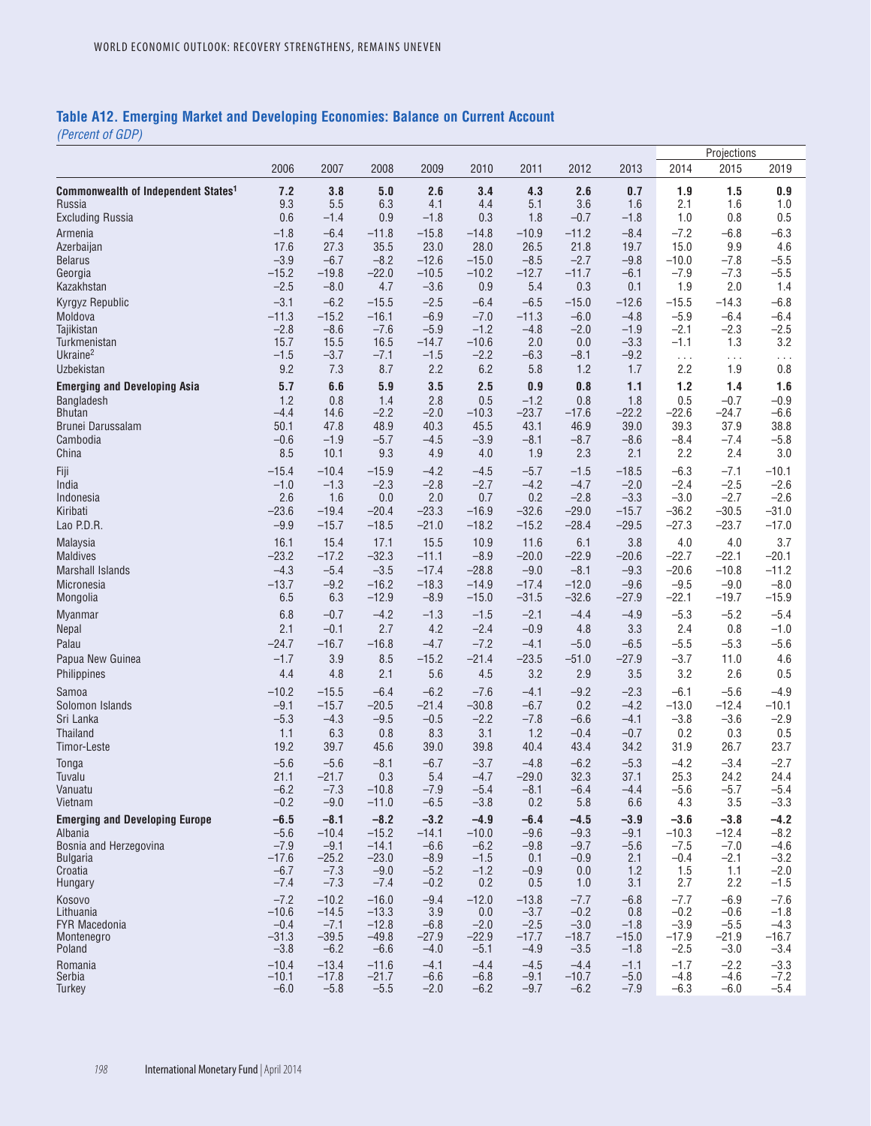### **Table A12. Emerging Market and Developing Economies: Balance on Current Account**

|                                                  |                   |                   |                   |                    |                   |                   |                   |                   |                    | Projections        |                    |  |
|--------------------------------------------------|-------------------|-------------------|-------------------|--------------------|-------------------|-------------------|-------------------|-------------------|--------------------|--------------------|--------------------|--|
|                                                  | 2006              | 2007              | 2008              | 2009               | 2010              | 2011              | 2012              | 2013              | 2014               | 2015               | 2019               |  |
| <b>Commonwealth of Independent States1</b>       | 7.2               | 3.8               | 5.0               | 2.6                | 3.4               | 4.3               | 2.6               | 0.7               | 1.9                | 1.5                | 0.9                |  |
| Russia                                           | 9.3               | 5.5               | 6.3               | 4.1                | 4.4               | 5.1               | 3.6               | 1.6               | 2.1                | 1.6                | 1.0                |  |
| <b>Excluding Russia</b>                          | 0.6               | $-1.4$            | 0.9               | $-1.8$             | 0.3               | 1.8               | $-0.7$            | $-1.8$            | 1.0                | 0.8                | 0.5                |  |
| Armenia                                          | $-1.8$            | $-6.4$            | $-11.8$           | $-15.8$            | $-14.8$           | $-10.9$           | $-11.2$           | $-8.4$            | $-7.2$             | $-6.8$             | $-6.3$             |  |
| Azerbaijan<br><b>Belarus</b>                     | 17.6<br>$-3.9$    | 27.3<br>$-6.7$    | 35.5<br>$-8.2$    | 23.0<br>$-12.6$    | 28.0<br>$-15.0$   | 26.5<br>$-8.5$    | 21.8<br>$-2.7$    | 19.7<br>$-9.8$    | 15.0<br>$-10.0$    | 9.9<br>$-7.8$      | 4.6<br>$-5.5$      |  |
| Georgia                                          | $-15.2$           | $-19.8$           | $-22.0$           | $-10.5$            | $-10.2$           | $-12.7$           | $-11.7$           | $-6.1$            | $-7.9$             | $-7.3$             | $-5.5$             |  |
| Kazakhstan                                       | $-2.5$            | $-8.0$            | 4.7               | $-3.6$             | 0.9               | 5.4               | 0.3               | 0.1               | 1.9                | 2.0                | 1.4                |  |
| Kyrgyz Republic                                  | $-3.1$            | $-6.2$            | $-15.5$           | $-2.5$             | $-6.4$            | $-6.5$            | $-15.0$           | $-12.6$           | $-15.5$            | $-14.3$            | $-6.8$             |  |
| Moldova                                          | $-11.3$           | $-15.2$           | $-16.1$           | $-6.9$             | $-7.0$            | $-11.3$           | $-6.0$            | $-4.8$            | $-5.9$             | $-6.4$             | $-6.4$             |  |
| Tajikistan<br>Turkmenistan                       | $-2.8$<br>15.7    | $-8.6$<br>15.5    | $-7.6$<br>16.5    | $-5.9$<br>$-14.7$  | $-1.2$<br>$-10.6$ | $-4.8$<br>2.0     | $-2.0$<br>0.0     | $-1.9$<br>$-3.3$  | $-2.1$<br>$-1.1$   | $-2.3$<br>1.3      | $-2.5$<br>3.2      |  |
| Ukraine <sup>2</sup>                             | $-1.5$            | $-3.7$            | $-7.1$            | $-1.5$             | $-2.2$            | $-6.3$            | $-8.1$            | $-9.2$            | $\ldots$           | $\cdots$           | .                  |  |
| Uzbekistan                                       | 9.2               | 7.3               | 8.7               | 2.2                | 6.2               | 5.8               | 1.2               | 1.7               | 2.2                | 1.9                | $0.8\,$            |  |
| <b>Emerging and Developing Asia</b>              | 5.7               | 6.6               | 5.9               | 3.5                | 2.5               | 0.9               | 0.8               | 1.1               | $1.2$              | 1.4                | 1.6                |  |
| Bangladesh                                       | 1.2               | 0.8               | 1.4               | 2.8                | 0.5               | $-1.2$            | 0.8               | 1.8               | 0.5                | $-0.7$             | $-0.9$             |  |
| <b>Bhutan</b>                                    | $-4.4$            | 14.6              | $-2.2$            | $-2.0$             | $-10.3$           | $-23.7$           | $-17.6$           | $-22.2$           | $-22.6$            | $-24.7$            | $-6.6$             |  |
| Brunei Darussalam<br>Cambodia                    | 50.1<br>$-0.6$    | 47.8<br>$-1.9$    | 48.9<br>$-5.7$    | 40.3<br>$-4.5$     | 45.5<br>$-3.9$    | 43.1<br>$-8.1$    | 46.9<br>$-8.7$    | 39.0<br>$-8.6$    | 39.3<br>$-8.4$     | 37.9<br>$-7.4$     | 38.8<br>$-5.8$     |  |
| China                                            | 8.5               | 10.1              | 9.3               | 4.9                | 4.0               | 1.9               | 2.3               | 2.1               | 2.2                | 2.4                | 3.0                |  |
| Fiji                                             | $-15.4$           | $-10.4$           | $-15.9$           | $-4.2$             | $-4.5$            | $-5.7$            | $-1.5$            | $-18.5$           | $-6.3$             | $-7.1$             | $-10.1$            |  |
| India                                            | $-1.0$            | $-1.3$            | $-2.3$            | $-2.8$             | $-2.7$            | $-4.2$            | $-4.7$            | $-2.0$            | $-2.4$             | $-2.5$             | $-2.6$             |  |
| Indonesia                                        | 2.6               | 1.6               | 0.0               | 2.0                | 0.7               | 0.2               | $-2.8$            | $-3.3$            | $-3.0$             | $-2.7$             | $-2.6$             |  |
| Kiribati                                         | $-23.6$           | $-19.4$           | $-20.4$           | $-23.3$            | $-16.9$           | $-32.6$           | $-29.0$           | $-15.7$           | $-36.2$            | $-30.5$            | $-31.0$            |  |
| Lao P.D.R.                                       | $-9.9$            | $-15.7$           | $-18.5$           | $-21.0$            | $-18.2$           | $-15.2$           | $-28.4$           | $-29.5$           | $-27.3$            | $-23.7$            | $-17.0$            |  |
| Malaysia                                         | 16.1              | 15.4              | 17.1              | 15.5               | 10.9              | 11.6              | 6.1               | 3.8               | 4.0                | 4.0                | 3.7                |  |
| <b>Maldives</b><br><b>Marshall Islands</b>       | $-23.2$<br>$-4.3$ | $-17.2$<br>$-5.4$ | $-32.3$<br>$-3.5$ | $-11.1$<br>$-17.4$ | $-8.9$<br>$-28.8$ | $-20.0$<br>$-9.0$ | $-22.9$<br>$-8.1$ | $-20.6$<br>$-9.3$ | $-22.7$<br>$-20.6$ | $-22.1$<br>$-10.8$ | $-20.1$<br>$-11.2$ |  |
| Micronesia                                       | $-13.7$           | $-9.2$            | $-16.2$           | $-18.3$            | $-14.9$           | $-17.4$           | $-12.0$           | $-9.6$            | $-9.5$             | $-9.0$             | $-8.0$             |  |
| Mongolia                                         | 6.5               | 6.3               | $-12.9$           | $-8.9$             | $-15.0$           | $-31.5$           | $-32.6$           | $-27.9$           | $-22.1$            | $-19.7$            | $-15.9$            |  |
| <b>Myanmar</b>                                   | 6.8               | $-0.7$            | $-4.2$            | $-1.3$             | $-1.5$            | $-2.1$            | $-4.4$            | $-4.9$            | $-5.3$             | $-5.2$             | $-5.4$             |  |
| Nepal                                            | 2.1               | $-0.1$            | 2.7               | 4.2                | $-2.4$            | $-0.9$            | 4.8               | 3.3               | 2.4                | 0.8                | $-1.0$             |  |
| Palau                                            | $-24.7$           | $-16.7$           | $-16.8$           | $-4.7$             | $-7.2$            | $-4.1$            | $-5.0$            | $-6.5$            | $-5.5$             | $-5.3$             | $-5.6$             |  |
| Papua New Guinea                                 | $-1.7$            | 3.9               | 8.5               | $-15.2$            | $-21.4$           | $-23.5$           | $-51.0$           | $-27.9$           | $-3.7$             | 11.0               | 4.6                |  |
| Philippines                                      | 4.4               | 4.8               | 2.1               | 5.6                | 4.5               | 3.2               | 2.9               | 3.5               | 3.2                | 2.6                | 0.5                |  |
| Samoa                                            | $-10.2$           | $-15.5$           | $-6.4$            | $-6.2$             | $-7.6$            | $-4.1$            | $-9.2$            | $-2.3$            | $-6.1$             | $-5.6$             | $-4.9$             |  |
| Solomon Islands                                  | $-9.1$            | $-15.7$           | $-20.5$           | $-21.4$            | $-30.8$           | $-6.7$            | 0.2               | $-4.2$            | $-13.0$            | $-12.4$            | $-10.1$            |  |
| Sri Lanka<br>Thailand                            | $-5.3$<br>1.1     | $-4.3$<br>6.3     | $-9.5$<br>0.8     | $-0.5$<br>8.3      | $-2.2$<br>3.1     | $-7.8$<br>1.2     | $-6.6$<br>$-0.4$  | $-4.1$<br>$-0.7$  | $-3.8$<br>0.2      | $-3.6$<br>0.3      | $-2.9$<br>0.5      |  |
| Timor-Leste                                      | 19.2              | 39.7              | 45.6              | 39.0               | 39.8              | 40.4              | 43.4              | 34.2              | 31.9               | 26.7               | 23.7               |  |
| Tonga                                            | $-5.6$            | $-5.6$            | $-8.1$            | $-6.7$             | $-3.7$            | $-4.8$            | $-6.2$            | $-5.3$            | $-4.2$             | $-3.4$             | $-2.7$             |  |
| Tuvalu                                           | 21.1              | $-21.7$           | 0.3               | 5.4                | $-4.7$            | $-29.0$           | 32.3              | 37.1              | 25.3               | 24.2               | 24.4               |  |
| Vanuatu                                          | $-6.2$            | $-7.3$            | $-10.8$           | $-7.9$             | $-5.4$            | $-8.1$            | $-6.4$            | $-4.4$            | $-5.6$             | $-5.7$             | $-5.4$             |  |
| Vietnam                                          | $-0.2$            | $-9.0$            | $-11.0$           | $-6.5$             | $-3.8$            | 0.2               | 5.8               | 6.6               | 4.3                | 3.5                | $-3.3$             |  |
| <b>Emerging and Developing Europe</b><br>Albania | $-6.5$<br>$-5.6$  | $-8.1$<br>$-10.4$ | $-8.2$<br>$-15.2$ | $-3.2$<br>$-14.1$  | $-4.9$<br>$-10.0$ | $-6.4$<br>$-9.6$  | $-4.5$<br>$-9.3$  | $-3.9$<br>$-9.1$  | $-3.6$<br>$-10.3$  | $-3.8$<br>$-12.4$  | $-4.2$<br>$-8.2$   |  |
| Bosnia and Herzegovina                           | $-7.9$            | $-9.1$            | $-14.1$           | $-6.6$             | $-6.2$            | $-9.8$            | $-9.7$            | $-5.6$            | $-7.5$             | $-7.0$             | $-4.6$             |  |
| <b>Bulgaria</b>                                  | $-17.6$           | $-25.2$           | $-23.0$           | $-8.9$             | $-1.5$            | 0.1               | $-0.9$            | 2.1               | $-0.4$             | $-2.1$             | $-3.2$             |  |
| Croatia<br>Hungary                               | $-6.7$<br>$-7.4$  | $-7.3$<br>$-7.3$  | $-9.0$<br>$-7.4$  | $-5.2$<br>$-0.2$   | $-1.2$<br>0.2     | $-0.9$<br>0.5     | 0.0<br>1.0        | 1.2<br>3.1        | 1.5<br>2.7         | 1.1<br>2.2         | $-2.0$<br>$-1.5$   |  |
| Kosovo                                           | $-7.2$            | $-10.2$           | $-16.0$           | $-9.4$             | $-12.0$           | $-13.8$           | $-7.7$            | $-6.8$            | $-7.7$             | $-6.9$             | $-7.6$             |  |
| Lithuania                                        | $-10.6$           | $-14.5$           | $-13.3$           | 3.9                | 0.0               | $-3.7$            | $-0.2$            | 0.8               | $-0.2$             | $-0.6$             | $-1.8$             |  |
| <b>FYR Macedonia</b>                             | $-0.4$            | $-7.1$            | $-12.8$           | $-6.8$             | $-2.0$            | $-2.5$            | $-3.0$            | $-1.8$            | $-3.9$             | $-5.5$             | $-4.3$             |  |
| Montenegro<br>Poland                             | $-31.3$<br>$-3.8$ | $-39.5$<br>$-6.2$ | $-49.8$           | $-27.9$<br>$-4.0$  | $-22.9$           | $-17.7$<br>$-4.9$ | $-18.7$<br>$-3.5$ | $-15.0$           | $-17.9$<br>$-2.5$  | $-21.9$<br>$-3.0$  | $-16.7$<br>$-3.4$  |  |
| Romania                                          | $-10.4$           | $-13.4$           | $-6.6$<br>$-11.6$ | $-4.1$             | $-5.1$<br>$-4.4$  | $-4.5$            | $-4.4$            | $-1.8$<br>$-1.1$  | $-1.7$             | $-2.2$             | $-3.3$             |  |
| Serbia                                           | $-10.1$           | $-17.8$           | $-21.7$           | $-6.6$             | $-6.8$            | $-9.1$            | $-10.7$           | $-5.0$            | $-4.8$             | $-4.6$             | $-7.2$             |  |
| Turkey                                           | $-6.0$            | $-5.8$            | $-5.5$            | $-2.0$             | $-6.2$            | $-9.7$            | $-6.2$            | $-7.9$            | $-6.3$             | $-6.0$             | $-5.4$             |  |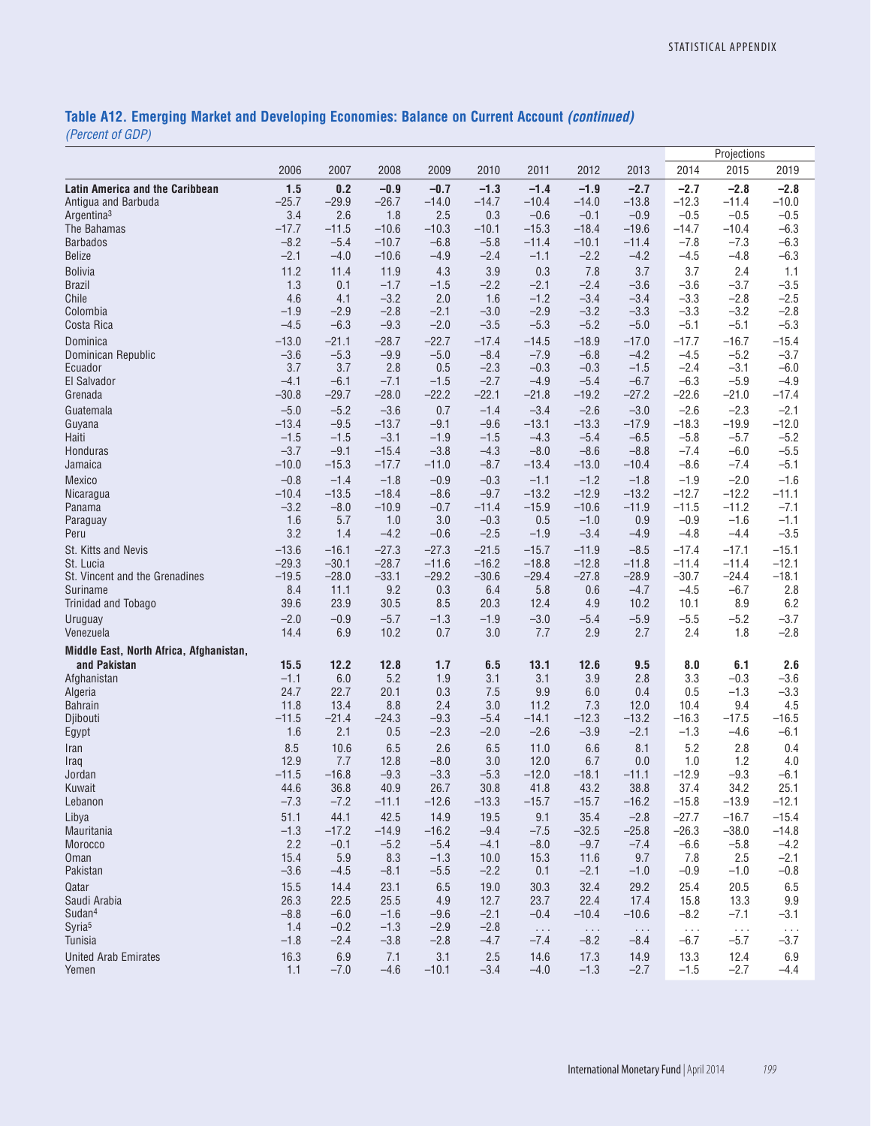# **Table A12. Emerging Market and Developing Economies: Balance on Current Account** *(continued)*

|                                         |                   |                   |                   |                   |                   |                   |                   |                   | Projections        |                    |                    |  |
|-----------------------------------------|-------------------|-------------------|-------------------|-------------------|-------------------|-------------------|-------------------|-------------------|--------------------|--------------------|--------------------|--|
|                                         | 2006              | 2007              | 2008              | 2009              | 2010              | 2011              | 2012              | 2013              | 2014               | 2015               | 2019               |  |
| <b>Latin America and the Caribbean</b>  | 1.5               | 0.2               | $-0.9$            | $-0.7$            | $-1.3$            | $-1.4$            | $-1.9$            | $-2.7$            | $-2.7$             | $-2.8$             | $-2.8$             |  |
| Antigua and Barbuda                     | $-25.7$           | $-29.9$           | $-26.7$           | $-14.0$           | $-14.7$           | $-10.4$           | $-14.0$           | $-13.8$           | $-12.3$            | $-11.4$            | $-10.0$            |  |
| Argentina <sup>3</sup>                  | 3.4<br>$-17.7$    | 2.6               | 1.8<br>$-10.6$    | 2.5               | 0.3               | $-0.6$<br>$-15.3$ | $-0.1$<br>$-18.4$ | $-0.9$<br>$-19.6$ | $-0.5$<br>$-14.7$  | $-0.5$<br>$-10.4$  | $-0.5$<br>$-6.3$   |  |
| The Bahamas<br><b>Barbados</b>          | $-8.2$            | $-11.5$<br>$-5.4$ | $-10.7$           | $-10.3$<br>$-6.8$ | $-10.1$<br>$-5.8$ | $-11.4$           | $-10.1$           | $-11.4$           | $-7.8$             | $-7.3$             | $-6.3$             |  |
| <b>Belize</b>                           | $-2.1$            | $-4.0$            | $-10.6$           | $-4.9$            | $-2.4$            | $-1.1$            | $-2.2$            | $-4.2$            | $-4.5$             | $-4.8$             | $-6.3$             |  |
| <b>Bolivia</b>                          | 11.2              | 11.4              | 11.9              | 4.3               | 3.9               | 0.3               | 7.8               | 3.7               | 3.7                | 2.4                | 1.1                |  |
| <b>Brazil</b>                           | 1.3               | 0.1               | $-1.7$            | $-1.5$            | $-2.2$            | $-2.1$            | $-2.4$            | $-3.6$            | $-3.6$             | $-3.7$             | $-3.5$             |  |
| Chile                                   | 4.6               | 4.1               | $-3.2$            | 2.0               | 1.6               | $-1.2$            | $-3.4$            | $-3.4$            | $-3.3$             | $-2.8$             | $-2.5$             |  |
| Colombia                                | $-1.9$            | $-2.9$            | $-2.8$            | $-2.1$            | $-3.0$            | $-2.9$            | $-3.2$            | $-3.3$            | $-3.3$             | $-3.2$             | $-2.8$             |  |
| Costa Rica                              | $-4.5$            | $-6.3$            | $-9.3$            | $-2.0$            | $-3.5$            | $-5.3$            | $-5.2$            | $-5.0$            | $-5.1$             | $-5.1$<br>$-16.7$  | $-5.3$             |  |
| Dominica<br>Dominican Republic          | $-13.0$<br>$-3.6$ | $-21.1$<br>$-5.3$ | $-28.7$<br>$-9.9$ | $-22.7$<br>$-5.0$ | $-17.4$<br>$-8.4$ | $-14.5$<br>$-7.9$ | $-18.9$<br>$-6.8$ | $-17.0$<br>$-4.2$ | $-17.7$<br>$-4.5$  | $-5.2$             | $-15.4$<br>$-3.7$  |  |
| Ecuador                                 | 3.7               | 3.7               | 2.8               | 0.5               | $-2.3$            | $-0.3$            | $-0.3$            | $-1.5$            | $-2.4$             | $-3.1$             | $-6.0$             |  |
| El Salvador                             | $-4.1$            | $-6.1$            | $-7.1$            | $-1.5$            | $-2.7$            | $-4.9$            | $-5.4$            | $-6.7$            | $-6.3$             | $-5.9$             | $-4.9$             |  |
| Grenada                                 | $-30.8$           | $-29.7$           | $-28.0$           | $-22.2$           | $-22.1$           | $-21.8$           | $-19.2$           | $-27.2$           | $-22.6$            | $-21.0$            | $-17.4$            |  |
| Guatemala                               | $-5.0$            | $-5.2$            | $-3.6$            | 0.7               | $-1.4$            | $-3.4$            | $-2.6$            | $-3.0$            | $-2.6$             | $-2.3$             | $-2.1$             |  |
| Guyana<br>Haiti                         | $-13.4$<br>$-1.5$ | $-9.5$<br>$-1.5$  | $-13.7$<br>$-3.1$ | $-9.1$<br>$-1.9$  | $-9.6$<br>$-1.5$  | $-13.1$<br>$-4.3$ | $-13.3$<br>$-5.4$ | $-17.9$<br>$-6.5$ | $-18.3$<br>$-5.8$  | $-19.9$<br>$-5.7$  | $-12.0$<br>$-5.2$  |  |
| Honduras                                | $-3.7$            | $-9.1$            | $-15.4$           | $-3.8$            | $-4.3$            | $-8.0$            | $-8.6$            | $-8.8$            | $-7.4$             | $-6.0$             | $-5.5$             |  |
| Jamaica                                 | $-10.0$           | $-15.3$           | $-17.7$           | $-11.0$           | $-8.7$            | $-13.4$           | $-13.0$           | $-10.4$           | $-8.6$             | $-7.4$             | $-5.1$             |  |
| Mexico                                  | $-0.8$            | $-1.4$            | $-1.8$            | $-0.9$            | $-0.3$            | $-1.1$            | $-1.2$            | $-1.8$            | $-1.9$             | $-2.0$             | $-1.6$             |  |
| Nicaragua                               | $-10.4$           | $-13.5$           | $-18.4$           | $-8.6$            | $-9.7$            | $-13.2$           | $-12.9$           | $-13.2$           | $-12.7$            | $-12.2$            | $-11.1$            |  |
| Panama                                  | $-3.2$            | $-8.0$            | $-10.9$           | $-0.7$            | $-11.4$           | $-15.9$           | $-10.6$           | $-11.9$           | $-11.5$            | $-11.2$            | $-7.1$             |  |
| Paraguay<br>Peru                        | 1.6<br>3.2        | 5.7<br>1.4        | 1.0<br>$-4.2$     | 3.0<br>$-0.6$     | $-0.3$<br>$-2.5$  | 0.5<br>$-1.9$     | $-1.0$<br>$-3.4$  | 0.9<br>$-4.9$     | $-0.9$<br>$-4.8$   | $-1.6$<br>$-4.4$   | $-1.1$<br>$-3.5$   |  |
| St. Kitts and Nevis                     | $-13.6$           | $-16.1$           | $-27.3$           | $-27.3$           | $-21.5$           | $-15.7$           | $-11.9$           | $-8.5$            | $-17.4$            | $-17.1$            | $-15.1$            |  |
| St. Lucia                               | $-29.3$           | $-30.1$           | $-28.7$           | $-11.6$           | $-16.2$           | $-18.8$           | $-12.8$           | $-11.8$           | $-11.4$            | $-11.4$            | $-12.1$            |  |
| St. Vincent and the Grenadines          | $-19.5$           | $-28.0$           | $-33.1$           | $-29.2$           | $-30.6$           | $-29.4$           | $-27.8$           | $-28.9$           | $-30.7$            | $-24.4$            | $-18.1$            |  |
| Suriname                                | 8.4               | 11.1              | 9.2               | 0.3               | 6.4               | 5.8               | 0.6               | $-4.7$            | $-4.5$             | $-6.7$             | 2.8                |  |
| Trinidad and Tobago                     | 39.6              | 23.9              | 30.5              | 8.5               | 20.3              | 12.4              | 4.9               | 10.2              | 10.1               | 8.9                | 6.2                |  |
| Uruguay<br>Venezuela                    | $-2.0$<br>14.4    | $-0.9$<br>6.9     | $-5.7$<br>10.2    | $-1.3$<br>0.7     | $-1.9$<br>3.0     | $-3.0$<br>7.7     | $-5.4$<br>2.9     | $-5.9$<br>2.7     | $-5.5$<br>2.4      | $-5.2$<br>1.8      | $-3.7$<br>$-2.8$   |  |
| Middle East, North Africa, Afghanistan, |                   |                   |                   |                   |                   |                   |                   |                   |                    |                    |                    |  |
| and Pakistan                            | 15.5              | 12.2              | 12.8              | 1.7               | 6.5               | 13.1              | 12.6              | 9.5               | 8.0                | 6.1                | 2.6                |  |
| Afghanistan                             | $-1.1$            | 6.0               | 5.2               | 1.9               | 3.1               | 3.1               | 3.9               | 2.8               | 3.3                | $-0.3$             | $-3.6$             |  |
| Algeria                                 | 24.7              | 22.7              | 20.1              | 0.3               | 7.5               | 9.9               | 6.0               | 0.4               | 0.5                | $-1.3$             | $-3.3$             |  |
| <b>Bahrain</b>                          | 11.8              | 13.4              | 8.8               | 2.4               | 3.0               | 11.2              | 7.3               | 12.0              | 10.4               | 9.4                | 4.5                |  |
| Djibouti<br>Egypt                       | $-11.5$<br>1.6    | $-21.4$<br>2.1    | $-24.3$<br>0.5    | $-9.3$<br>$-2.3$  | $-5.4$<br>$-2.0$  | $-14.1$<br>$-2.6$ | $-12.3$<br>$-3.9$ | $-13.2$<br>$-2.1$ | $-16.3$<br>$-1.3$  | $-17.5$<br>$-4.6$  | $-16.5$<br>$-6.1$  |  |
| Iran                                    | 8.5               | 10.6              | 6.5               | 2.6               | 6.5               | 11.0              | 6.6               | 8.1               | 5.2                | 2.8                | 0.4                |  |
| Iraq                                    | 12.9              | 7.7               | 12.8              | $-8.0$            | 3.0               | 12.0              | 6.7               | 0.0               | 1.0                | 1.2                | 4.0                |  |
| Jordan                                  | $-11.5$           | $-16.8$           | $-9.3$            | $-3.3$            | $-5.3$            | $-12.0$           | $-18.1$           | $-11.1$           | $-12.9$            | $-9.3$             | $-6.1$             |  |
| Kuwait                                  | 44.6              | 36.8              | 40.9              | 26.7              | 30.8              | 41.8              | 43.2              | 38.8              | 37.4               | 34.2               | 25.1               |  |
| Lebanon<br>Libya                        | $-7.3$<br>51.1    | $-7.2$<br>44.1    | $-11.1$<br>42.5   | $-12.6$<br>14.9   | $-13.3$<br>19.5   | $-15.7$<br>9.1    | $-15.7$<br>35.4   | $-16.2$<br>$-2.8$ | $-15.8$<br>$-27.7$ | $-13.9$<br>$-16.7$ | $-12.1$<br>$-15.4$ |  |
| Mauritania                              | $-1.3$            | $-17.2$           | $-14.9$           | $-16.2$           | $-9.4$            | $-7.5$            | $-32.5$           | $-25.8$           | $-26.3$            | $-38.0$            | $-14.8$            |  |
| Morocco                                 | 2.2               | $-0.1$            | $-5.2$            | $-5.4$            | $-4.1$            | $-8.0$            | $-9.7$            | $-7.4$            | $-6.6$             | $-5.8$             | $-4.2$             |  |
| Oman                                    | 15.4              | 5.9               | 8.3               | $-1.3$            | 10.0              | 15.3              | 11.6              | 9.7               | 7.8                | 2.5                | $-2.1$             |  |
| Pakistan                                | $-3.6$            | $-4.5$            | $-8.1$            | $-5.5$            | $-2.2$            | 0.1               | $-2.1$            | $-1.0$            | $-0.9$             | $-1.0$             | $-0.8$             |  |
| Qatar                                   | 15.5              | 14.4              | 23.1              | 6.5               | 19.0              | 30.3              | 32.4              | 29.2              | 25.4               | 20.5               | 6.5                |  |
| Saudi Arabia<br>Sudan <sup>4</sup>      | 26.3<br>$-8.8$    | 22.5<br>$-6.0$    | 25.5<br>$-1.6$    | 4.9<br>$-9.6$     | 12.7<br>$-2.1$    | 23.7<br>$-0.4$    | 22.4<br>$-10.4$   | 17.4<br>$-10.6$   | 15.8<br>$-8.2$     | 13.3<br>$-7.1$     | 9.9<br>$-3.1$      |  |
| Syria <sup>5</sup>                      | 1.4               | $-0.2$            | $-1.3$            | $-2.9$            | $-2.8$            | $\ldots$          | $\ldots$          | $\ldots$ .        | $\ldots$           | $\ldots$           | $\cdots$           |  |
| Tunisia                                 | $-1.8$            | $-2.4$            | $-3.8$            | $-2.8$            | $-4.7$            | $-7.4$            | $-8.2$            | $-8.4$            | $-6.7$             | $-5.7$             | $-3.7$             |  |
| <b>United Arab Emirates</b><br>Yemen    | 16.3<br>1.1       | 6.9<br>$-7.0$     | 7.1<br>$-4.6$     | 3.1<br>$-10.1$    | 2.5<br>$-3.4$     | 14.6<br>$-4.0$    | 17.3<br>$-1.3$    | 14.9<br>$-2.7$    | 13.3<br>$-1.5$     | 12.4<br>$-2.7$     | 6.9<br>$-4.4$      |  |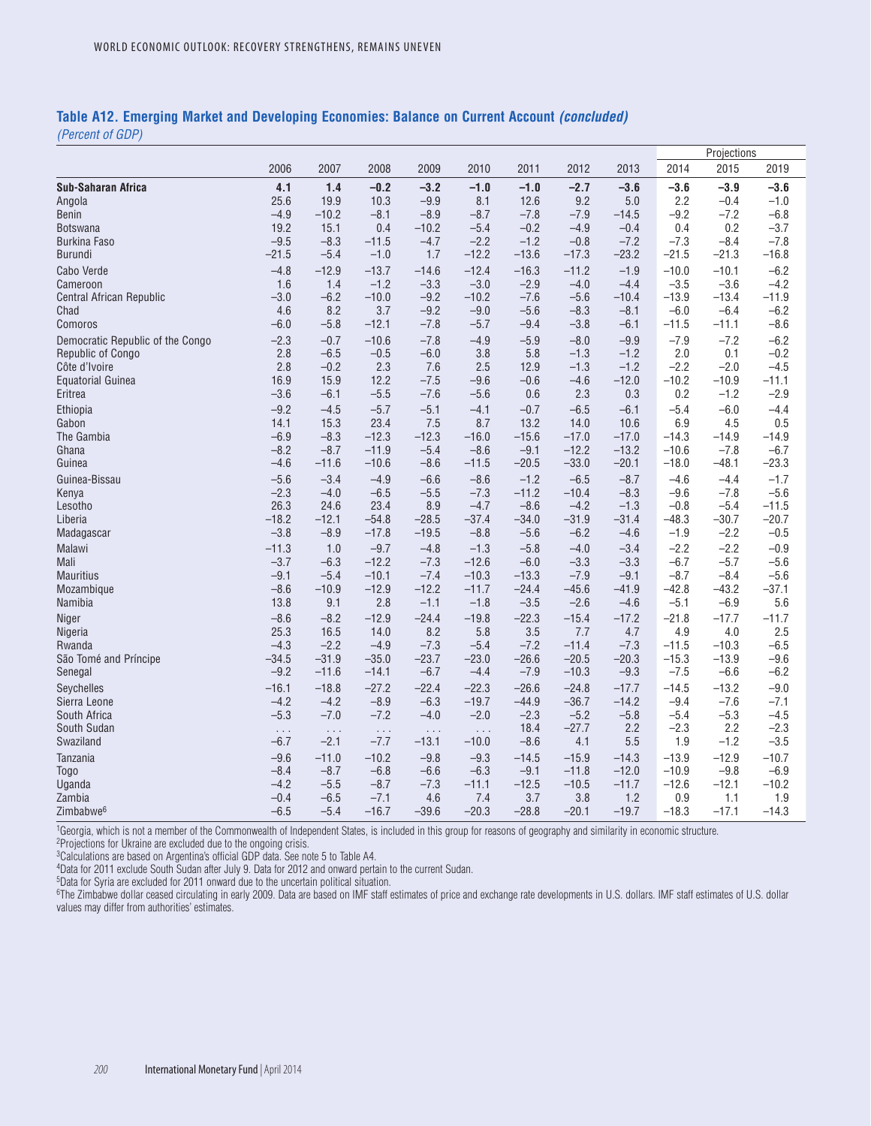#### **Table A12. Emerging Market and Developing Economies: Balance on Current Account** *(concluded)*

*(Percent of GDP)*

|                                     |                |                |                   |                  |                  |                |                 |                |                | Projections       |                   |
|-------------------------------------|----------------|----------------|-------------------|------------------|------------------|----------------|-----------------|----------------|----------------|-------------------|-------------------|
|                                     | 2006           | 2007           | 2008              | 2009             | 2010             | 2011           | 2012            | 2013           | 2014           | 2015              | 2019              |
| <b>Sub-Saharan Africa</b>           | 4.1            | $1.4$          | $-0.2$            | $-3.2$           | $-1.0$           | $-1.0$         | $-2.7$          | $-3.6$         | $-3.6$         | $-3.9$            | $-3.6$            |
| Angola                              | 25.6           | 19.9           | 10.3              | $-9.9$           | 8.1              | 12.6           | 9.2             | 5.0            | 2.2            | $-0.4$            | $-1.0$            |
| Benin                               | $-4.9$         | $-10.2$        | $-8.1$            | $-8.9$           | $-8.7$           | $-7.8$         | $-7.9$          | $-14.5$        | $-9.2$         | $-7.2$            | $-6.8$            |
| <b>Botswana</b>                     | 19.2           | 15.1           | 0.4               | $-10.2$          | $-5.4$           | $-0.2$         | $-4.9$          | $-0.4$         | 0.4            | 0.2               | $-3.7$            |
| <b>Burkina Faso</b>                 | $-9.5$         | $-8.3$         | $-11.5$           | $-4.7$           | $-2.2$           | $-1.2$         | $-0.8$          | $-7.2$         | $-7.3$         | $-8.4$            | $-7.8$            |
| <b>Burundi</b>                      | $-21.5$        | $-5.4$         | $-1.0$            | 1.7              | $-12.2$          | $-13.6$        | $-17.3$         | $-23.2$        | $-21.5$        | $-21.3$           | $-16.8$           |
| Cabo Verde                          | $-4.8$         | $-12.9$        | $-13.7$           | $-14.6$          | $-12.4$          | $-16.3$        | $-11.2$         | $-1.9$         | $-10.0$        | $-10.1$           | $-6.2$            |
| Cameroon                            | 1.6            | 1.4            | $-1.2$            | $-3.3$           | $-3.0$           | $-2.9$         | $-4.0$          | $-4.4$         | $-3.5$         | $-3.6$            | $-4.2$            |
| <b>Central African Republic</b>     | $-3.0$         | $-6.2$         | $-10.0$           | $-9.2$           | $-10.2$          | $-7.6$         | $-5.6$          | $-10.4$        | $-13.9$        | $-13.4$           | $-11.9$           |
| Chad                                | 4.6            | 8.2            | 3.7               | $-9.2$           | $-9.0$           | $-5.6$         | $-8.3$          | $-8.1$         | $-6.0$         | $-6.4$            | $-6.2$            |
| Comoros                             | $-6.0$         | $-5.8$         | $-12.1$           | $-7.8$           | $-5.7$           | $-9.4$         | $-3.8$          | $-6.1$         | $-11.5$        | $-11.1$           | $-8.6$            |
| Democratic Republic of the Congo    | $-2.3$         | $-0.7$         | $-10.6$           | $-7.8$           | $-4.9$           | $-5.9$         | $-8.0$          | $-9.9$         | $-7.9$         | $-7.2$            | $-6.2$            |
| Republic of Congo                   | 2.8            | $-6.5$         | $-0.5$            | $-6.0$           | 3.8              | 5.8            | $-1.3$          | $-1.2$         | 2.0            | 0.1               | $-0.2$            |
| Côte d'Ivoire                       | 2.8            | $-0.2$         | 2.3               | 7.6              | 2.5              | 12.9           | $-1.3$          | $-1.2$         | $-2.2$         | $-2.0$            | $-4.5$            |
| <b>Equatorial Guinea</b><br>Eritrea | 16.9<br>$-3.6$ | 15.9<br>$-6.1$ | 12.2<br>$-5.5$    | $-7.5$<br>$-7.6$ | $-9.6$<br>$-5.6$ | $-0.6$<br>0.6  | $-4.6$<br>2.3   | $-12.0$<br>0.3 | $-10.2$<br>0.2 | $-10.9$<br>$-1.2$ | $-11.1$<br>$-2.9$ |
|                                     |                |                |                   |                  |                  |                |                 |                |                |                   |                   |
| Ethiopia                            | $-9.2$         | $-4.5$<br>15.3 | $-5.7$            | $-5.1$<br>7.5    | $-4.1$           | $-0.7$<br>13.2 | $-6.5$          | $-6.1$<br>10.6 | $-5.4$<br>6.9  | $-6.0$<br>4.5     | $-4.4$<br>0.5     |
| Gabon<br>The Gambia                 | 14.1<br>$-6.9$ | $-8.3$         | 23.4<br>$-12.3$   | $-12.3$          | 8.7<br>$-16.0$   | $-15.6$        | 14.0<br>$-17.0$ | $-17.0$        | $-14.3$        | $-14.9$           | $-14.9$           |
| Ghana                               | $-8.2$         | $-8.7$         | $-11.9$           | $-5.4$           | $-8.6$           | $-9.1$         | $-12.2$         | $-13.2$        | $-10.6$        | $-7.8$            | $-6.7$            |
| Guinea                              | $-4.6$         | $-11.6$        | $-10.6$           | $-8.6$           | $-11.5$          | $-20.5$        | $-33.0$         | $-20.1$        | $-18.0$        | $-48.1$           | $-23.3$           |
| Guinea-Bissau                       | $-5.6$         | $-3.4$         | $-4.9$            | $-6.6$           | $-8.6$           | $-1.2$         | $-6.5$          | $-8.7$         | $-4.6$         | $-4.4$            | $-1.7$            |
| Kenya                               | $-2.3$         | $-4.0$         | $-6.5$            | $-5.5$           | $-7.3$           | $-11.2$        | $-10.4$         | $-8.3$         | $-9.6$         | $-7.8$            | $-5.6$            |
| Lesotho                             | 26.3           | 24.6           | 23.4              | 8.9              | $-4.7$           | $-8.6$         | $-4.2$          | $-1.3$         | $-0.8$         | $-5.4$            | $-11.5$           |
| Liberia                             | $-18.2$        | $-12.1$        | $-54.8$           | $-28.5$          | $-37.4$          | $-34.0$        | $-31.9$         | $-31.4$        | $-48.3$        | $-30.7$           | $-20.7$           |
| Madagascar                          | $-3.8$         | $-8.9$         | $-17.8$           | $-19.5$          | $-8.8$           | $-5.6$         | $-6.2$          | $-4.6$         | $-1.9$         | $-2.2$            | $-0.5$            |
| Malawi                              | $-11.3$        | 1.0            | $-9.7$            | $-4.8$           | $-1.3$           | $-5.8$         | $-4.0$          | $-3.4$         | $-2.2$         | $-2.2$            | $-0.9$            |
| Mali                                | $-3.7$         | $-6.3$         | $-12.2$           | $-7.3$           | $-12.6$          | $-6.0$         | $-3.3$          | $-3.3$         | $-6.7$         | $-5.7$            | $-5.6$            |
| <b>Mauritius</b>                    | $-9.1$         | $-5.4$         | $-10.1$           | $-7.4$           | $-10.3$          | $-13.3$        | $-7.9$          | $-9.1$         | $-8.7$         | $-8.4$            | $-5.6$            |
| Mozambique                          | $-8.6$         | $-10.9$        | $-12.9$           | $-12.2$          | $-11.7$          | $-24.4$        | $-45.6$         | $-41.9$        | $-42.8$        | $-43.2$           | $-37.1$           |
| Namibia                             | 13.8           | 9.1            | 2.8               | $-1.1$           | $-1.8$           | $-3.5$         | $-2.6$          | $-4.6$         | $-5.1$         | $-6.9$            | 5.6               |
| Niger                               | $-8.6$         | $-8.2$         | $-12.9$           | $-24.4$          | $-19.8$          | $-22.3$        | $-15.4$         | $-17.2$        | $-21.8$        | $-17.7$           | $-11.7$           |
| Nigeria                             | 25.3           | 16.5           | 14.0              | 8.2              | 5.8              | 3.5            | 7.7             | 4.7            | 4.9            | 4.0               | 2.5               |
| Rwanda                              | $-4.3$         | $-2.2$         | $-4.9$            | $-7.3$           | $-5.4$           | $-7.2$         | $-11.4$         | $-7.3$         | $-11.5$        | $-10.3$           | $-6.5$            |
| São Tomé and Príncipe               | $-34.5$        | $-31.9$        | $-35.0$           | $-23.7$          | $-23.0$          | $-26.6$        | $-20.5$         | $-20.3$        | $-15.3$        | $-13.9$           | $-9.6$            |
| Senegal                             | $-9.2$         | $-11.6$        | $-14.1$           | $-6.7$           | $-4.4$           | $-7.9$         | $-10.3$         | $-9.3$         | $-7.5$         | $-6.6$            | $-6.2$            |
| Seychelles                          | $-16.1$        | $-18.8$        | $-27.2$           | $-22.4$          | $-22.3$          | $-26.6$        | $-24.8$         | $-17.7$        | $-14.5$        | $-13.2$           | $-9.0$            |
| Sierra Leone                        | $-4.2$         | $-4.2$         | $-8.9$            | $-6.3$           | $-19.7$          | $-44.9$        | $-36.7$         | $-14.2$        | $-9.4$         | $-7.6$            | $-7.1$            |
| South Africa                        | $-5.3$         | $-7.0$         | $-7.2$            | $-4.0$           | $-2.0$           | $-2.3$         | $-5.2$          | $-5.8$         | $-5.4$         | $-5.3$            | $-4.5$            |
| South Sudan                         | $\ldots$       | $\ldots$       | $\ldots$          | $\ldots$         | $\ldots$         | 18.4           | $-27.7$         | 2.2            | $-2.3$         | 2.2               | $-2.3$            |
| Swaziland                           | $-6.7$         | $-2.1$         | $-7.7$            | $-13.1$          | $-10.0$          | $-8.6$         | 4.1             | 5.5            | 1.9            | $-1.2$            | $-3.5$            |
| Tanzania                            | $-9.6$         | $-11.0$        | $-10.2$           | $-9.8$           | $-9.3$           | $-14.5$        | $-15.9$         | $-14.3$        | $-13.9$        | $-12.9$           | $-10.7$           |
| <b>Togo</b>                         | $-8.4$         | $-8.7$         | $-6.8$            | $-6.6$           | $-6.3$           | $-9.1$         | $-11.8$         | $-12.0$        | $-10.9$        | $-9.8$            | $-6.9$            |
| Uganda                              | $-4.2$         | $-5.5$         | $-8.7$            | $-7.3$           | $-11.1$          | $-12.5$        | $-10.5$         | $-11.7$        | $-12.6$        | $-12.1$           | $-10.2$           |
| Zambia                              | $-0.4$         | $-6.5$         | $-7.1$<br>$-16.7$ | 4.6              | 7.4              | 3.7<br>$-28.8$ | 3.8             | 1.2<br>$-19.7$ | 0.9<br>$-18.3$ | 1.1<br>$-17.1$    | 1.9               |
| Zimbabwe <sup>6</sup>               | $-6.5$         | $-5.4$         |                   | $-39.6$          | $-20.3$          |                | $-20.1$         |                |                |                   | $-14.3$           |

1Georgia, which is not a member of the Commonwealth of Independent States, is included in this group for reasons of geography and similarity in economic structure. <sup>2</sup>Projections for Ukraine are excluded due to the ongoing crisis.

 $3$ Calculations are based on Argentina's official GDP data. See note 5 to Table A4.

4Data for 2011 exclude South Sudan after July 9. Data for 2012 and onward pertain to the current Sudan.

5Data for Syria are excluded for 2011 onward due to the uncertain political situation.

6The Zimbabwe dollar ceased circulating in early 2009. Data are based on IMF staff estimates of price and exchange rate developments in U.S. dollars. IMF staff estimates of U.S. dollar values may differ from authorities' estimates.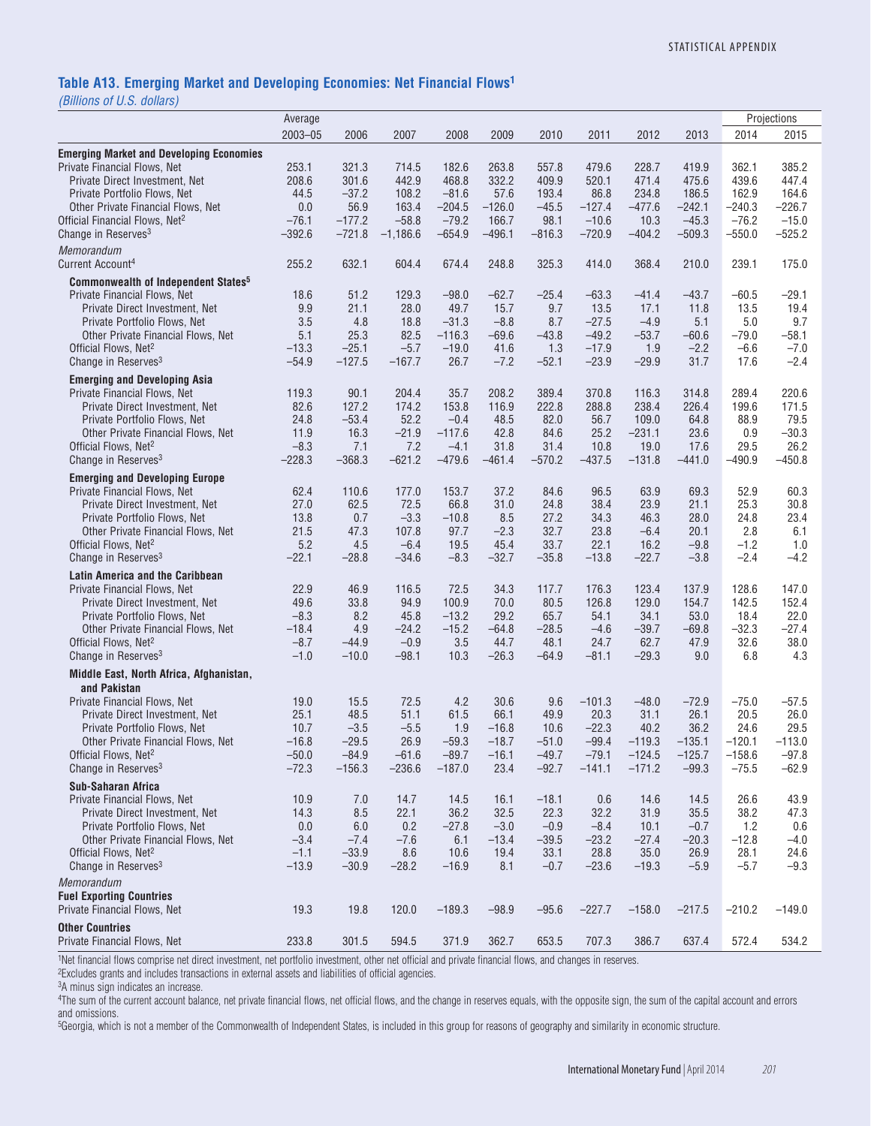#### **Table A13. Emerging Market and Developing Economies: Net Financial Flows1**

*(Billions of U.S. dollars)*

|                                                                                       | Average           |                |                 |                    |                    |                 |                 |                  |                |                | Projections      |
|---------------------------------------------------------------------------------------|-------------------|----------------|-----------------|--------------------|--------------------|-----------------|-----------------|------------------|----------------|----------------|------------------|
|                                                                                       | $2003 - 05$       | 2006           | 2007            | 2008               | 2009               | 2010            | 2011            | 2012             | 2013           | 2014           | 2015             |
| <b>Emerging Market and Developing Economies</b>                                       |                   |                |                 |                    |                    |                 |                 |                  |                |                |                  |
| Private Financial Flows, Net                                                          | 253.1             | 321.3          | 714.5           | 182.6              | 263.8              | 557.8           | 479.6           | 228.7            | 419.9          | 362.1          | 385.2            |
| Private Direct Investment, Net                                                        | 208.6             | 301.6          | 442.9           | 468.8              | 332.2              | 409.9           | 520.1           | 471.4            | 475.6          | 439.6          | 447.4            |
| Private Portfolio Flows, Net                                                          | 44.5              | $-37.2$        | 108.2           | $-81.6$            | 57.6               | 193.4           | 86.8            | 234.8            | 186.5          | 162.9          | 164.6            |
| Other Private Financial Flows, Net                                                    | 0.0               | 56.9           | 163.4           | $-204.5$           | $-126.0$           | $-45.5$         | $-127.4$        | $-477.6$         | $-242.1$       | $-240.3$       | –226.7           |
| Official Financial Flows, Net <sup>2</sup>                                            | $-76.1$           | $-177.2$       | $-58.8$         | $-79.2$            | 166.7              | 98.1            | $-10.6$         | 10.3             | $-45.3$        | $-76.2$        | $-15.0$          |
| Change in Reserves <sup>3</sup>                                                       | $-392.6$          | $-721.8$       | $-1,186.6$      | $-654.9$           | $-496.1$           | $-816.3$        | $-720.9$        | $-404.2$         | $-509.3$       | $-550.0$       | $-525.2$         |
| Memorandum                                                                            |                   |                |                 |                    |                    |                 |                 |                  |                |                |                  |
| Current Account <sup>4</sup>                                                          | 255.2             | 632.1          | 604.4           | 674.4              | 248.8              | 325.3           | 414.0           | 368.4            | 210.0          | 239.1          | 175.0            |
|                                                                                       |                   |                |                 |                    |                    |                 |                 |                  |                |                |                  |
| <b>Commonwealth of Independent States<sup>5</sup></b><br>Private Financial Flows, Net | 18.6              | 51.2           | 129.3           | $-98.0$            | $-62.7$            | $-25.4$         | $-63.3$         | $-41.4$          | $-43.7$        | $-60.5$        | –29.1            |
| Private Direct Investment, Net                                                        | 9.9               | 21.1           | 28.0            | 49.7               | 15.7               | 9.7             | 13.5            | 17.1             | 11.8           | 13.5           | 19.4             |
| Private Portfolio Flows, Net                                                          | 3.5               | 4.8            | 18.8            | $-31.3$            | $-8.8$             | 8.7             | $-27.5$         | $-4.9$           | 5.1            | 5.0            | 9.7              |
| Other Private Financial Flows, Net                                                    | 5.1               | 25.3           | 82.5            | $-116.3$           | $-69.6$            | $-43.8$         | $-49.2$         | $-53.7$          | $-60.6$        | $-79.0$        | -58.1            |
| Official Flows, Net <sup>2</sup>                                                      | $-13.3$           | $-25.1$        | $-5.7$          | $-19.0$            | 41.6               | 1.3             | $-17.9$         | 1.9              | $-2.2$         | $-6.6$         | $-7.0$           |
| Change in Reserves <sup>3</sup>                                                       | $-54.9$           | $-127.5$       | $-167.7$        | 26.7               | $-7.2$             | $-52.1$         | $-23.9$         | $-29.9$          | 31.7           | 17.6           | $-2.4$           |
|                                                                                       |                   |                |                 |                    |                    |                 |                 |                  |                |                |                  |
| <b>Emerging and Developing Asia</b><br><b>Private Financial Flows, Net</b>            |                   |                |                 |                    |                    | 389.4           |                 |                  |                |                | 220.6            |
| Private Direct Investment. Net                                                        | 119.3<br>82.6     | 90.1<br>127.2  | 204.4<br>174.2  | 35.7<br>153.8      | 208.2<br>116.9     | 222.8           | 370.8<br>288.8  | 116.3<br>238.4   | 314.8<br>226.4 | 289.4<br>199.6 | 171.5            |
| Private Portfolio Flows, Net                                                          | 24.8              | $-53.4$        | 52.2            | $-0.4$             | 48.5               | 82.0            | 56.7            | 109.0            | 64.8           | 88.9           | 79.5             |
| Other Private Financial Flows, Net                                                    | 11.9              | 16.3           | $-21.9$         | $-117.6$           | 42.8               | 84.6            | 25.2            | $-231.1$         | 23.6           | 0.9            | $-30.3$          |
| Official Flows, Net <sup>2</sup>                                                      | $-8.3$            | 7.1            | 7.2             | $-4.1$             | 31.8               | 31.4            | 10.8            | 19.0             | 17.6           | 29.5           | 26.2             |
| Change in Reserves <sup>3</sup>                                                       | $-228.3$          | $-368.3$       | $-621.2$        | $-479.6$           | $-461.4$           | $-570.2$        | $-437.5$        | $-131.8$         | $-441.0$       | $-490.9$       | $-450.8$         |
|                                                                                       |                   |                |                 |                    |                    |                 |                 |                  |                |                |                  |
| <b>Emerging and Developing Europe</b>                                                 |                   |                |                 |                    |                    |                 |                 |                  |                |                |                  |
| Private Financial Flows, Net                                                          | 62.4              | 110.6          | 177.0           | 153.7              | 37.2               | 84.6            | 96.5            | 63.9             | 69.3           | 52.9           | 60.3             |
| Private Direct Investment, Net                                                        | 27.0              | 62.5<br>0.7    | 72.5<br>$-3.3$  | 66.8<br>$-10.8$    | 31.0               | 24.8<br>27.2    | 38.4            | 23.9             | 21.1           | 25.3<br>24.8   | 30.8             |
| Private Portfolio Flows, Net<br>Other Private Financial Flows, Net                    | 13.8<br>21.5      | 47.3           | 107.8           | 97.7               | 8.5<br>$-2.3$      | 32.7            | 34.3<br>23.8    | 46.3<br>$-6.4$   | 28.0<br>20.1   | 2.8            | 23.4<br>6.1      |
| Official Flows, Net <sup>2</sup>                                                      | 5.2               | 4.5            | $-6.4$          | 19.5               | 45.4               | 33.7            | 22.1            | 16.2             | $-9.8$         | $-1.2$         | 1.0              |
| Change in Reserves <sup>3</sup>                                                       | $-22.1$           | $-28.8$        | $-34.6$         | $-8.3$             | $-32.7$            | $-35.8$         | $-13.8$         | $-22.7$          | $-3.8$         | $-2.4$         | $-4.2$           |
|                                                                                       |                   |                |                 |                    |                    |                 |                 |                  |                |                |                  |
| <b>Latin America and the Caribbean</b>                                                |                   |                |                 |                    |                    |                 |                 |                  |                |                |                  |
| Private Financial Flows, Net                                                          | 22.9              | 46.9           | 116.5           | 72.5               | 34.3               | 117.7           | 176.3           | 123.4            | 137.9          | 128.6          | 147.0            |
| Private Direct Investment, Net                                                        | 49.6              | 33.8           | 94.9            | 100.9              | 70.0<br>29.2       | 80.5<br>65.7    | 126.8<br>54.1   | 129.0<br>34.1    | 154.7<br>53.0  | 142.5<br>18.4  | 152.4            |
| Private Portfolio Flows, Net<br>Other Private Financial Flows, Net                    | $-8.3$<br>$-18.4$ | 8.2<br>4.9     | 45.8<br>$-24.2$ | $-13.2$<br>$-15.2$ | $-64.8$            | $-28.5$         | $-4.6$          | $-39.7$          | $-69.8$        | $-32.3$        | 22.0<br>$-27.4$  |
| Official Flows, Net <sup>2</sup>                                                      | $-8.7$            | $-44.9$        | $-0.9$          | 3.5                | 44.7               | 48.1            | 24.7            | 62.7             | 47.9           | 32.6           | 38.0             |
| Change in Reserves <sup>3</sup>                                                       | $-1.0$            | $-10.0$        | $-98.1$         | 10.3               | $-26.3$            | $-64.9$         | $-81.1$         | $-29.3$          | 9.0            | 6.8            | 4.3              |
|                                                                                       |                   |                |                 |                    |                    |                 |                 |                  |                |                |                  |
| Middle East, North Africa, Afghanistan,                                               |                   |                |                 |                    |                    |                 |                 |                  |                |                |                  |
| and Pakistan                                                                          |                   |                |                 |                    |                    |                 |                 |                  |                |                |                  |
| Private Financial Flows, Net                                                          | 19.0              | 15.5           | 72.5            | 4.2                | 30.6               | 9.6             | $-101.3$        | $-48.0$          | $-72.9$        | $-75.0$        | $-57.5$          |
| Private Direct Investment, Net                                                        | 25.1              | 48.5<br>$-3.5$ | 51.1            | 61.5               | 66.1               | 49.9            | 20.3<br>$-22.3$ | 31.1             | 26.1<br>36.2   | 20.5<br>24.6   | 26.0             |
| Private Portfolio Flows, Net<br>Other Private Financial Flows, Net                    | 10.7<br>$-16.8$   | $-29.5$        | $-5.5$<br>26.9  | 1.9<br>$-59.3$     | $-16.8$<br>$-18.7$ | 10.6<br>$-51.0$ | $-99.4$         | 40.2<br>$-119.3$ | $-135.1$       | $-120.1$       | 29.5<br>$-113.0$ |
| Official Flows, Net <sup>2</sup>                                                      | $-50.0$           | $-84.9$        | $-61.6$         | $-89.7$            | $-16.1$            | $-49.7$         | $-79.1$         | $-124.5$         | $-125.7$       | $-158.6$       | $-97.8$          |
| Change in Reserves <sup>3</sup>                                                       | $-72.3$           | $-156.3$       | $-236.6$        | $-187.0$           | 23.4               | $-92.7$         | $-141.1$        | $-171.2$         | $-99.3$        | $-75.5$        | $-62.9$          |
|                                                                                       |                   |                |                 |                    |                    |                 |                 |                  |                |                |                  |
| <b>Sub-Saharan Africa</b><br>Private Financial Flows, Net                             | 10.9              | 7.0            | 14.7            | 14.5               | 16.1               |                 | 0.6             | 14.6             | 14.5           | 26.6           | 43.9             |
| Private Direct Investment. Net                                                        | 14.3              | 8.5            | 22.1            | 36.2               | 32.5               | $-18.1$<br>22.3 | 32.2            | 31.9             | 35.5           | 38.2           | 47.3             |
| Private Portfolio Flows, Net                                                          | 0.0               | 6.0            | 0.2             | $-27.8$            | $-3.0$             | $-0.9$          | $-8.4$          | 10.1             | $-0.7$         | 1.2            | 0.6              |
| Other Private Financial Flows, Net                                                    | $-3.4$            | $-7.4$         | $-7.6$          | 6.1                | $-13.4$            | $-39.5$         | $-23.2$         | $-27.4$          | $-20.3$        | $-12.8$        | $-4.0$           |
| Official Flows, Net <sup>2</sup>                                                      | $-1.1$            | $-33.9$        | 8.6             | 10.6               | 19.4               | 33.1            | 28.8            | 35.0             | 26.9           | 28.1           | 24.6             |
| Change in Reserves <sup>3</sup>                                                       | $-13.9$           | $-30.9$        | $-28.2$         | $-16.9$            | 8.1                | $-0.7$          | $-23.6$         | $-19.3$          | $-5.9$         | $-5.7$         | $-9.3$           |
| Memorandum                                                                            |                   |                |                 |                    |                    |                 |                 |                  |                |                |                  |
| <b>Fuel Exporting Countries</b>                                                       |                   |                |                 |                    |                    |                 |                 |                  |                |                |                  |
| Private Financial Flows, Net                                                          | 19.3              | 19.8           | 120.0           | $-189.3$           | $-98.9$            | $-95.6$         | $-227.7$        | $-158.0$         | $-217.5$       | $-210.2$       | $-149.0$         |
|                                                                                       |                   |                |                 |                    |                    |                 |                 |                  |                |                |                  |
| <b>Other Countries</b><br>Private Financial Flows, Net                                | 233.8             | 301.5          | 594.5           | 371.9              | 362.7              | 653.5           | 707.3           | 386.7            | 637.4          | 572.4          | 534.2            |
|                                                                                       |                   |                |                 |                    |                    |                 |                 |                  |                |                |                  |

1Net financial flows comprise net direct investment, net portfolio investment, other net official and private financial flows, and changes in reserves.

2Excludes grants and includes transactions in external assets and liabilities of official agencies.

3A minus sign indicates an increase.

4The sum of the current account balance, net private financial flows, net official flows, and the change in reserves equals, with the opposite sign, the sum of the capital account and errors and omissions.

5Georgia, which is not a member of the Commonwealth of Independent States, is included in this group for reasons of geography and similarity in economic structure.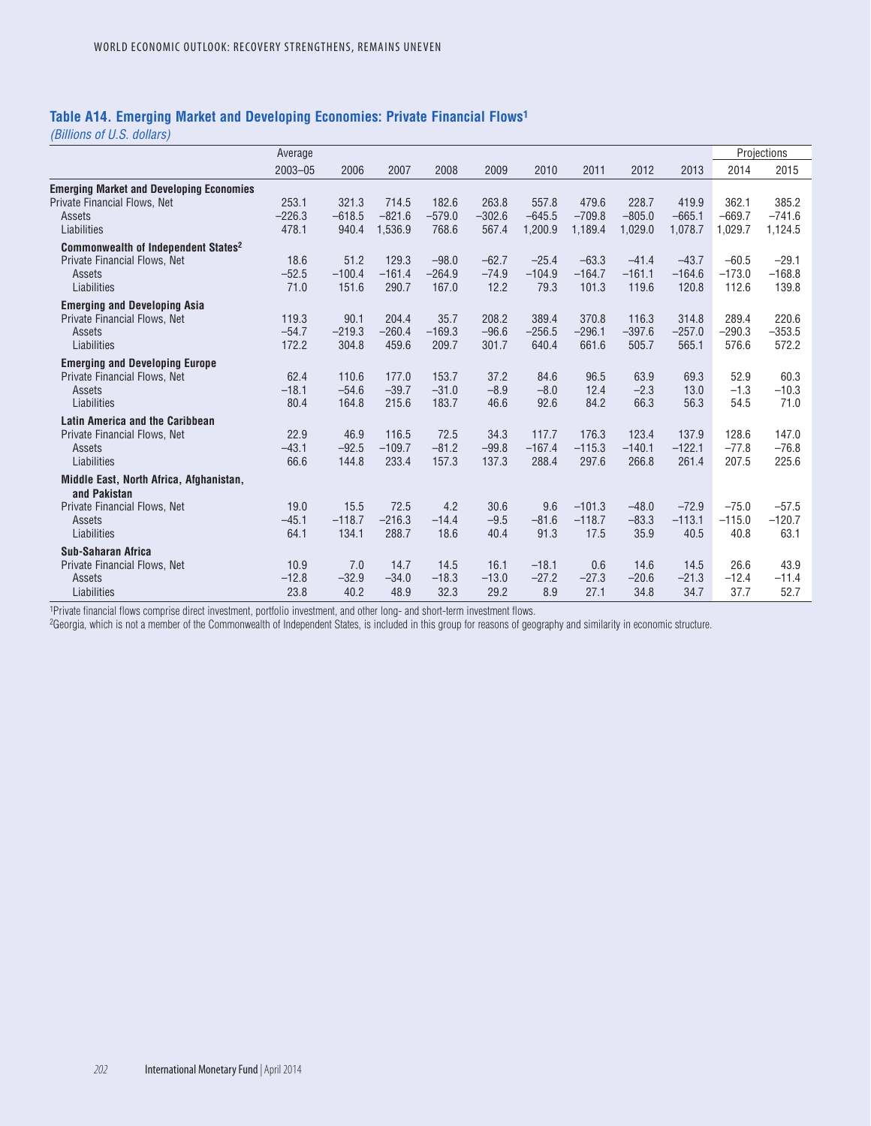### **Table A14. Emerging Market and Developing Economies: Private Financial Flows1**

*(Billions of U.S. dollars)*

|                                                                                                          | Average                    |                            |                              |                              |                            |                              |                              |                              |                              |                              | Projections                  |
|----------------------------------------------------------------------------------------------------------|----------------------------|----------------------------|------------------------------|------------------------------|----------------------------|------------------------------|------------------------------|------------------------------|------------------------------|------------------------------|------------------------------|
|                                                                                                          | $2003 - 05$                | 2006                       | 2007                         | 2008                         | 2009                       | 2010                         | 2011                         | 2012                         | 2013                         | 2014                         | 2015                         |
| <b>Emerging Market and Developing Economies</b><br>Private Financial Flows, Net<br>Assets<br>Liabilities | 253.1<br>$-226.3$<br>478.1 | 321.3<br>$-618.5$<br>940.4 | 714.5<br>$-821.6$<br>1,536.9 | 182.6<br>$-579.0$<br>768.6   | 263.8<br>$-302.6$<br>567.4 | 557.8<br>$-645.5$<br>1,200.9 | 479.6<br>$-709.8$<br>1,189.4 | 228.7<br>$-805.0$<br>1,029.0 | 419.9<br>$-665.1$<br>1,078.7 | 362.1<br>$-669.7$<br>1,029.7 | 385.2<br>$-741.6$<br>1,124.5 |
| Commonwealth of Independent States <sup>2</sup><br>Private Financial Flows, Net<br>Assets<br>Liabilities | 18.6<br>$-52.5$<br>71.0    | 51.2<br>$-100.4$<br>151.6  | 129.3<br>$-161.4$<br>290.7   | $-98.0$<br>$-264.9$<br>167.0 | $-62.7$<br>$-74.9$<br>12.2 | $-25.4$<br>$-104.9$<br>79.3  | $-63.3$<br>$-164.7$<br>101.3 | $-41.4$<br>$-161.1$<br>119.6 | $-43.7$<br>$-164.6$<br>120.8 | $-60.5$<br>$-173.0$<br>112.6 | $-29.1$<br>$-168.8$<br>139.8 |
| <b>Emerging and Developing Asia</b><br>Private Financial Flows, Net<br>Assets<br>Liabilities             | 119.3<br>$-54.7$<br>172.2  | 90.1<br>$-219.3$<br>304.8  | 204.4<br>$-260.4$<br>459.6   | 35.7<br>$-169.3$<br>209.7    | 208.2<br>$-96.6$<br>301.7  | 389.4<br>$-256.5$<br>640.4   | 370.8<br>$-296.1$<br>661.6   | 116.3<br>$-397.6$<br>505.7   | 314.8<br>$-257.0$<br>565.1   | 289.4<br>$-290.3$<br>576.6   | 220.6<br>$-353.5$<br>572.2   |
| <b>Emerging and Developing Europe</b><br>Private Financial Flows, Net<br>Assets<br>Liabilities           | 62.4<br>$-18.1$<br>80.4    | 110.6<br>$-54.6$<br>164.8  | 177.0<br>$-39.7$<br>215.6    | 153.7<br>$-31.0$<br>183.7    | 37.2<br>$-8.9$<br>46.6     | 84.6<br>$-8.0$<br>92.6       | 96.5<br>12.4<br>84.2         | 63.9<br>$-2.3$<br>66.3       | 69.3<br>13.0<br>56.3         | 52.9<br>$-1.3$<br>54.5       | 60.3<br>$-10.3$<br>71.0      |
| <b>Latin America and the Caribbean</b><br>Private Financial Flows, Net<br>Assets<br>Liabilities          | 22.9<br>$-43.1$<br>66.6    | 46.9<br>$-92.5$<br>144.8   | 116.5<br>$-109.7$<br>233.4   | 72.5<br>$-81.2$<br>157.3     | 34.3<br>$-99.8$<br>137.3   | 117.7<br>$-167.4$<br>288.4   | 176.3<br>$-115.3$<br>297.6   | 123.4<br>$-140.1$<br>266.8   | 137.9<br>$-122.1$<br>261.4   | 128.6<br>$-77.8$<br>207.5    | 147.0<br>$-76.8$<br>225.6    |
| Middle East, North Africa, Afghanistan,                                                                  |                            |                            |                              |                              |                            |                              |                              |                              |                              |                              |                              |
| and Pakistan<br>Private Financial Flows, Net<br>Assets<br>Liabilities                                    | 19.0<br>$-45.1$<br>64.1    | 15.5<br>$-118.7$<br>134.1  | 72.5<br>$-216.3$<br>288.7    | 4.2<br>$-14.4$<br>18.6       | 30.6<br>$-9.5$<br>40.4     | 9.6<br>$-81.6$<br>91.3       | $-101.3$<br>$-118.7$<br>17.5 | $-48.0$<br>$-83.3$<br>35.9   | $-72.9$<br>$-113.1$<br>40.5  | $-75.0$<br>$-115.0$<br>40.8  | $-57.5$<br>$-120.7$<br>63.1  |
| <b>Sub-Saharan Africa</b><br>Private Financial Flows, Net<br>Assets<br>Liabilities                       | 10.9<br>$-12.8$<br>23.8    | 7.0<br>$-32.9$<br>40.2     | 14.7<br>$-34.0$<br>48.9      | 14.5<br>$-18.3$<br>32.3      | 16.1<br>$-13.0$<br>29.2    | $-18.1$<br>$-27.2$<br>8.9    | 0.6<br>$-27.3$<br>27.1       | 14.6<br>$-20.6$<br>34.8      | 14.5<br>$-21.3$<br>34.7      | 26.6<br>$-12.4$<br>37.7      | 43.9<br>$-11.4$<br>52.7      |

1Private financial flows comprise direct investment, portfolio investment, and other long- and short-term investment flows.

2Georgia, which is not a member of the Commonwealth of Independent States, is included in this group for reasons of geography and similarity in economic structure.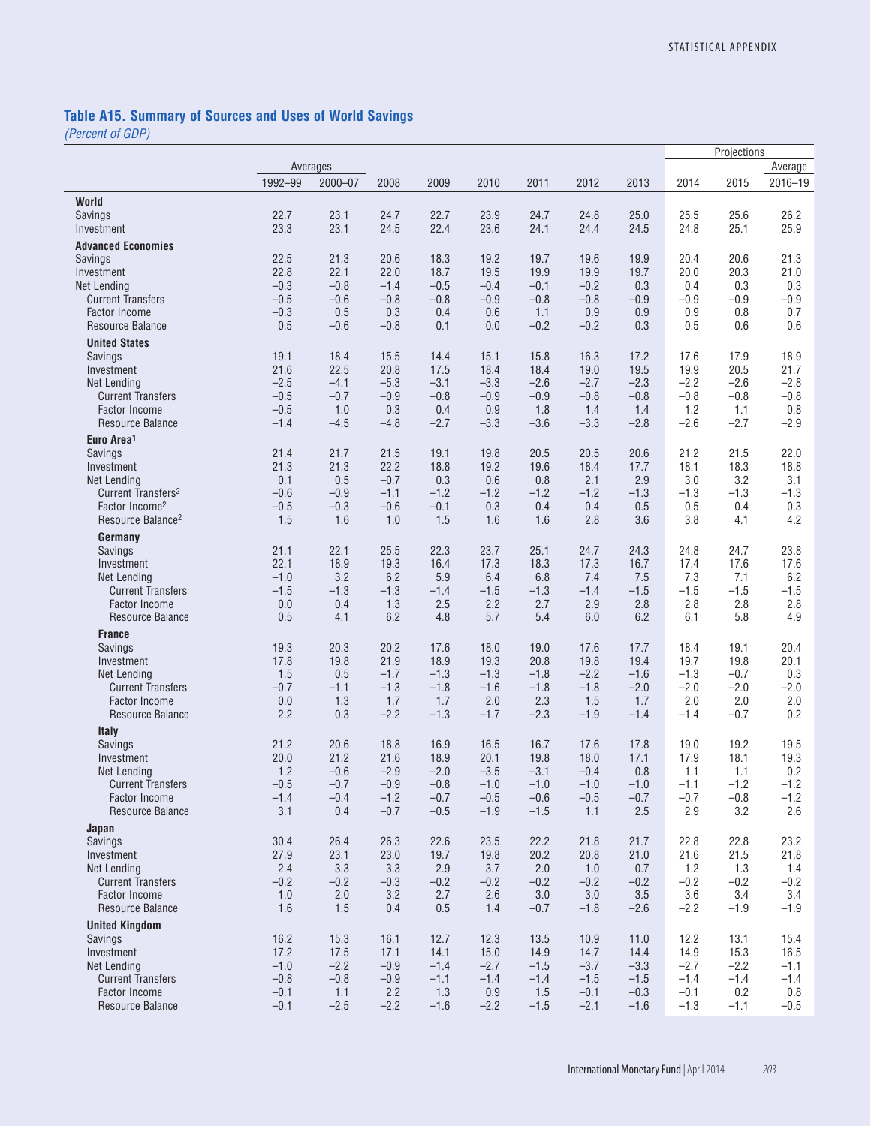# **Table A15. Summary of Sources and Uses of World Savings**

|                                                  |                  |               |               |               |               |               |                  |                  |                  | Projections   |               |
|--------------------------------------------------|------------------|---------------|---------------|---------------|---------------|---------------|------------------|------------------|------------------|---------------|---------------|
|                                                  |                  | Averages      |               |               |               |               |                  |                  |                  |               | Average       |
|                                                  | 1992-99          | $2000 - 07$   | 2008          | 2009          | 2010          | 2011          | 2012             | 2013             | 2014             | 2015          | $2016 - 19$   |
| World                                            |                  |               |               |               |               |               |                  |                  |                  |               |               |
| Savings                                          | 22.7             | 23.1          | 24.7          | 22.7          | 23.9          | 24.7          | 24.8             | 25.0             | 25.5             | 25.6          | 26.2          |
| Investment                                       | 23.3             | 23.1          | 24.5          | 22.4          | 23.6          | 24.1          | 24.4             | 24.5             | 24.8             | 25.1          | 25.9          |
| <b>Advanced Economies</b>                        |                  |               |               |               |               |               |                  |                  |                  |               |               |
| <b>Savings</b>                                   | 22.5             | 21.3          | 20.6          | 18.3          | 19.2          | 19.7          | 19.6             | 19.9             | 20.4             | 20.6          | 21.3          |
| Investment                                       | 22.8             | 22.1          | 22.0          | 18.7          | 19.5          | 19.9          | 19.9             | 19.7             | 20.0             | 20.3          | 21.0          |
| <b>Net Lending</b>                               | $-0.3$           | $-0.8$        | $-1.4$        | $-0.5$        | $-0.4$        | $-0.1$        | $-0.2$           | 0.3              | 0.4              | 0.3           | 0.3           |
| <b>Current Transfers</b><br><b>Factor Income</b> | $-0.5$<br>$-0.3$ | $-0.6$<br>0.5 | $-0.8$<br>0.3 | $-0.8$<br>0.4 | $-0.9$<br>0.6 | $-0.8$<br>1.1 | $-0.8$<br>0.9    | $-0.9$<br>0.9    | $-0.9$<br>0.9    | $-0.9$<br>0.8 | $-0.9$<br>0.7 |
| Resource Balance                                 | 0.5              | $-0.6$        | $-0.8$        | 0.1           | 0.0           | $-0.2$        | $-0.2$           | 0.3              | 0.5              | 0.6           | 0.6           |
| <b>United States</b>                             |                  |               |               |               |               |               |                  |                  |                  |               |               |
| Savings                                          | 19.1             | 18.4          | 15.5          | 14.4          | 15.1          | 15.8          | 16.3             | 17.2             | 17.6             | 17.9          | 18.9          |
| Investment                                       | 21.6             | 22.5          | 20.8          | 17.5          | 18.4          | 18.4          | 19.0             | 19.5             | 19.9             | 20.5          | 21.7          |
| <b>Net Lending</b>                               | $-2.5$           | $-4.1$        | $-5.3$        | $-3.1$        | $-3.3$        | $-2.6$        | $-2.7$           | $-2.3$           | $-2.2$           | $-2.6$        | $-2.8$        |
| <b>Current Transfers</b>                         | $-0.5$           | $-0.7$        | $-0.9$        | $-0.8$        | $-0.9$        | $-0.9$        | $-0.8$           | $-0.8$           | $-0.8$           | $-0.8$        | $-0.8$        |
| <b>Factor Income</b>                             | $-0.5$           | 1.0           | 0.3           | 0.4           | 0.9           | 1.8           | 1.4              | 1.4              | 1.2              | 1.1           | 0.8           |
| Resource Balance                                 | $-1.4$           | $-4.5$        | $-4.8$        | $-2.7$        | $-3.3$        | $-3.6$        | $-3.3$           | $-2.8$           | $-2.6$           | $-2.7$        | $-2.9$        |
| Euro Area <sup>1</sup>                           |                  |               |               |               |               |               |                  |                  |                  |               |               |
| Savings<br>Investment                            | 21.4<br>21.3     | 21.7<br>21.3  | 21.5<br>22.2  | 19.1<br>18.8  | 19.8<br>19.2  | 20.5<br>19.6  | 20.5<br>18.4     | 20.6<br>17.7     | 21.2<br>18.1     | 21.5<br>18.3  | 22.0<br>18.8  |
| <b>Net Lending</b>                               | 0.1              | 0.5           | $-0.7$        | 0.3           | 0.6           | 0.8           | 2.1              | 2.9              | 3.0              | 3.2           | 3.1           |
| Current Transfers <sup>2</sup>                   | $-0.6$           | $-0.9$        | $-1.1$        | $-1.2$        | $-1.2$        | $-1.2$        | $-1.2$           | $-1.3$           | $-1.3$           | $-1.3$        | $-1.3$        |
| Factor Income <sup>2</sup>                       | $-0.5$           | $-0.3$        | $-0.6$        | $-0.1$        | 0.3           | 0.4           | 0.4              | 0.5              | 0.5              | 0.4           | 0.3           |
| Resource Balance <sup>2</sup>                    | 1.5              | 1.6           | 1.0           | 1.5           | 1.6           | 1.6           | 2.8              | 3.6              | 3.8              | 4.1           | 4.2           |
| Germany                                          |                  |               |               |               |               |               |                  |                  |                  |               |               |
| Savings                                          | 21.1             | 22.1          | 25.5          | 22.3          | 23.7          | 25.1          | 24.7             | 24.3             | 24.8             | 24.7          | 23.8          |
| Investment                                       | 22.1             | 18.9          | 19.3          | 16.4          | 17.3          | 18.3          | 17.3             | 16.7             | 17.4             | 17.6          | 17.6          |
| <b>Net Lending</b><br><b>Current Transfers</b>   | $-1.0$<br>$-1.5$ | 3.2<br>$-1.3$ | 6.2<br>$-1.3$ | 5.9<br>$-1.4$ | 6.4<br>$-1.5$ | 6.8<br>$-1.3$ | 7.4<br>$-1.4$    | 7.5<br>$-1.5$    | 7.3<br>$-1.5$    | 7.1<br>$-1.5$ | 6.2<br>$-1.5$ |
| <b>Factor Income</b>                             | 0.0              | 0.4           | 1.3           | 2.5           | 2.2           | 2.7           | 2.9              | 2.8              | 2.8              | 2.8           | 2.8           |
| Resource Balance                                 | 0.5              | 4.1           | 6.2           | 4.8           | 5.7           | 5.4           | 6.0              | 6.2              | 6.1              | 5.8           | 4.9           |
| <b>France</b>                                    |                  |               |               |               |               |               |                  |                  |                  |               |               |
| Savings                                          | 19.3             | 20.3          | 20.2          | 17.6          | 18.0          | 19.0          | 17.6             | 17.7             | 18.4             | 19.1          | 20.4          |
| Investment                                       | 17.8             | 19.8          | 21.9          | 18.9          | 19.3          | 20.8          | 19.8             | 19.4             | 19.7             | 19.8          | 20.1          |
| Net Lending                                      | 1.5              | 0.5           | $-1.7$        | $-1.3$        | $-1.3$        | $-1.8$        | $-2.2$           | $-1.6$           | $-1.3$           | $-0.7$        | 0.3           |
| <b>Current Transfers</b>                         | $-0.7$           | $-1.1$        | $-1.3$        | $-1.8$        | $-1.6$        | $-1.8$        | $-1.8$           | $-2.0$           | $-2.0$           | $-2.0$        | $-2.0$        |
| <b>Factor Income</b><br>Resource Balance         | 0.0<br>2.2       | 1.3<br>0.3    | 1.7<br>$-2.2$ | 1.7<br>$-1.3$ | 2.0<br>$-1.7$ | 2.3<br>$-2.3$ | 1.5<br>$-1.9$    | 1.7<br>$-1.4$    | 2.0<br>$-1.4$    | 2.0<br>$-0.7$ | 2.0<br>0.2    |
|                                                  |                  |               |               |               |               |               |                  |                  |                  |               |               |
| Italy<br>Savings                                 | 21.2             | 20.6          | 18.8          | 16.9          | 16.5          | 16.7          | 17.6             | 17.8             | 19.0             | 19.2          | 19.5          |
| Investment                                       | 20.0             | 21.2          | 21.6          | 18.9          | 20.1          | 19.8          | 18.0             | 17.1             | 17.9             | 18.1          | 19.3          |
| <b>Net Lending</b>                               | 1.2              | $-0.6$        | $-2.9$        | $-2.0$        | $-3.5$        | $-3.1$        | $-0.4$           | 0.8              | 1.1              | 1.1           | 0.2           |
| Current Iransters                                | -0.5             | $-0.7$        | $-0.9$        | $-0.8$        | $-1.0$        | $-1.0$        | $-1.0$           | $-1.0$           | $-1.1$           | $-1.2$        | $-1.2$        |
| <b>Factor Income</b>                             | $-1.4$           | $-0.4$        | $-1.2$        | $-0.7$        | $-0.5$        | $-0.6$        | $-0.5$           | $-0.7$           | $-0.7$           | $-0.8$        | $-1.2$        |
| <b>Resource Balance</b>                          | 3.1              | 0.4           | $-0.7$        | $-0.5$        | $-1.9$        | $-1.5$        | 1.1              | 2.5              | 2.9              | 3.2           | 2.6           |
| Japan                                            |                  |               |               |               |               |               |                  |                  |                  |               |               |
| Savings<br>Investment                            | 30.4<br>27.9     | 26.4<br>23.1  | 26.3<br>23.0  | 22.6<br>19.7  | 23.5<br>19.8  | 22.2<br>20.2  | 21.8<br>20.8     | 21.7<br>21.0     | 22.8<br>21.6     | 22.8<br>21.5  | 23.2<br>21.8  |
| <b>Net Lending</b>                               | 2.4              | 3.3           | 3.3           | 2.9           | 3.7           | 2.0           | 1.0              | 0.7              | 1.2              | 1.3           | 1.4           |
| <b>Current Transfers</b>                         | $-0.2$           | $-0.2$        | $-0.3$        | $-0.2$        | $-0.2$        | $-0.2$        | $-0.2$           | $-0.2$           | $-0.2$           | $-0.2$        | $-0.2$        |
| Factor Income                                    | 1.0              | 2.0           | 3.2           | 2.7           | 2.6           | 3.0           | 3.0              | 3.5              | 3.6              | 3.4           | 3.4           |
| Resource Balance                                 | 1.6              | 1.5           | 0.4           | 0.5           | 1.4           | $-0.7$        | $-1.8$           | $-2.6$           | $-2.2$           | $-1.9$        | $-1.9$        |
| <b>United Kingdom</b>                            |                  |               |               |               |               |               |                  |                  |                  |               |               |
| Savings                                          | 16.2             | 15.3          | 16.1          | 12.7          | 12.3          | 13.5          | 10.9             | 11.0             | 12.2             | 13.1          | 15.4          |
| Investment                                       | 17.2             | 17.5          | 17.1          | 14.1          | 15.0          | 14.9          | 14.7             | 14.4             | 14.9             | 15.3          | 16.5          |
| <b>Net Lending</b>                               | $-1.0$           | $-2.2$        | $-0.9$        | $-1.4$        | $-2.7$        | $-1.5$        | $-3.7$           | $-3.3$           | $-2.7$           | $-2.2$        | $-1.1$        |
| <b>Current Transfers</b><br><b>Factor Income</b> | $-0.8$<br>$-0.1$ | $-0.8$<br>1.1 | $-0.9$<br>2.2 | $-1.1$<br>1.3 | $-1.4$<br>0.9 | $-1.4$<br>1.5 | $-1.5$<br>$-0.1$ | $-1.5$<br>$-0.3$ | $-1.4$<br>$-0.1$ | $-1.4$<br>0.2 | $-1.4$<br>0.8 |
| <b>Resource Balance</b>                          | $-0.1$           | $-2.5$        | $-2.2$        | $-1.6$        | $-2.2$        | $-1.5$        | $-2.1$           | $-1.6$           | $-1.3$           | $-1.1$        | $-0.5$        |
|                                                  |                  |               |               |               |               |               |                  |                  |                  |               |               |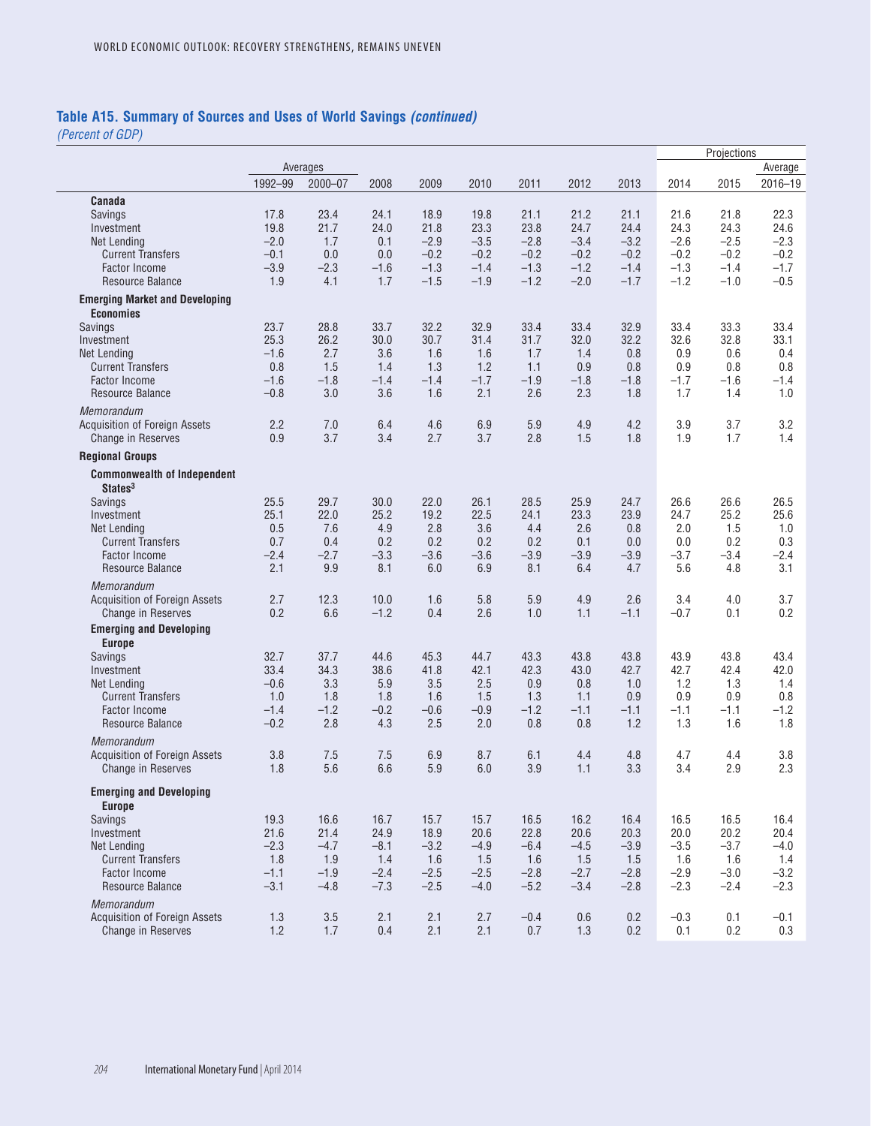### **Table A15. Summary of Sources and Uses of World Savings** *(continued)*

|                                                                   |                  |               |                |                  |                  |                  |                  |                  |                  | Projections      |                  |
|-------------------------------------------------------------------|------------------|---------------|----------------|------------------|------------------|------------------|------------------|------------------|------------------|------------------|------------------|
|                                                                   |                  | Averages      |                |                  |                  |                  |                  |                  |                  |                  | Average          |
|                                                                   | 1992-99          | $2000 - 07$   | 2008           | 2009             | 2010             | 2011             | 2012             | 2013             | 2014             | 2015             | 2016-19          |
| Canada                                                            |                  |               |                |                  |                  |                  |                  |                  |                  |                  |                  |
| Savings                                                           | 17.8             | 23.4          | 24.1           | 18.9             | 19.8             | 21.1             | 21.2             | 21.1             | 21.6             | 21.8             | 22.3             |
| Investment                                                        | 19.8             | 21.7          | 24.0           | 21.8             | 23.3             | 23.8             | 24.7             | 24.4             | 24.3             | 24.3             | 24.6             |
| Net Lending                                                       | $-2.0$<br>$-0.1$ | 1.7<br>0.0    | 0.1<br>0.0     | $-2.9$<br>$-0.2$ | $-3.5$<br>$-0.2$ | $-2.8$<br>$-0.2$ | $-3.4$<br>$-0.2$ | $-3.2$<br>$-0.2$ | $-2.6$<br>$-0.2$ | $-2.5$<br>$-0.2$ | $-2.3$<br>$-0.2$ |
| <b>Current Transfers</b><br><b>Factor Income</b>                  | $-3.9$           | $-2.3$        | $-1.6$         | $-1.3$           | $-1.4$           | $-1.3$           | $-1.2$           | $-1.4$           | $-1.3$           | $-1.4$           | $-1.7$           |
| <b>Resource Balance</b>                                           | 1.9              | 4.1           | 1.7            | $-1.5$           | $-1.9$           | $-1.2$           | $-2.0$           | $-1.7$           | $-1.2$           | $-1.0$           | $-0.5$           |
| <b>Emerging Market and Developing</b>                             |                  |               |                |                  |                  |                  |                  |                  |                  |                  |                  |
| <b>Economies</b>                                                  |                  |               |                |                  |                  |                  |                  |                  |                  |                  |                  |
| Savings                                                           | 23.7             | 28.8          | 33.7           | 32.2             | 32.9             | 33.4             | 33.4             | 32.9             | 33.4             | 33.3             | 33.4             |
| Investment                                                        | 25.3             | 26.2          | 30.0           | 30.7             | 31.4             | 31.7             | 32.0             | 32.2             | 32.6             | 32.8             | 33.1             |
| Net Lending                                                       | $-1.6$           | 2.7           | 3.6            | 1.6              | 1.6              | 1.7              | 1.4              | 0.8              | 0.9              | 0.6              | 0.4              |
| <b>Current Transfers</b><br><b>Factor Income</b>                  | 0.8<br>$-1.6$    | 1.5<br>$-1.8$ | 1.4<br>$-1.4$  | 1.3<br>$-1.4$    | 1.2<br>$-1.7$    | 1.1<br>$-1.9$    | 0.9<br>$-1.8$    | 0.8<br>$-1.8$    | 0.9<br>$-1.7$    | 0.8<br>$-1.6$    | 0.8<br>$-1.4$    |
| Resource Balance                                                  | $-0.8$           | 3.0           | 3.6            | 1.6              | 2.1              | 2.6              | 2.3              | 1.8              | 1.7              | 1.4              | 1.0              |
| Memorandum                                                        |                  |               |                |                  |                  |                  |                  |                  |                  |                  |                  |
| <b>Acquisition of Foreign Assets</b>                              | 2.2              | 7.0           | 6.4            | 4.6              | 6.9              | 5.9              | 4.9              | 4.2              | 3.9              | 3.7              | 3.2              |
| <b>Change in Reserves</b>                                         | 0.9              | 3.7           | 3.4            | 2.7              | 3.7              | 2.8              | 1.5              | 1.8              | 1.9              | 1.7              | 1.4              |
| <b>Regional Groups</b>                                            |                  |               |                |                  |                  |                  |                  |                  |                  |                  |                  |
| <b>Commonwealth of Independent</b><br>States <sup>3</sup>         |                  |               |                |                  |                  |                  |                  |                  |                  |                  |                  |
| Savings                                                           | 25.5             | 29.7          | 30.0           | 22.0             | 26.1             | 28.5             | 25.9             | 24.7             | 26.6             | 26.6             | 26.5             |
| Investment                                                        | 25.1             | 22.0          | 25.2           | 19.2             | 22.5             | 24.1             | 23.3             | 23.9             | 24.7             | 25.2             | 25.6             |
| Net Lending                                                       | 0.5              | 7.6           | 4.9            | 2.8              | 3.6              | 4.4              | 2.6              | 0.8              | 2.0              | 1.5              | 1.0              |
| <b>Current Transfers</b><br><b>Factor Income</b>                  | 0.7<br>$-2.4$    | 0.4<br>$-2.7$ | 0.2<br>$-3.3$  | 0.2<br>$-3.6$    | 0.2<br>$-3.6$    | 0.2<br>$-3.9$    | 0.1<br>$-3.9$    | 0.0<br>$-3.9$    | 0.0<br>$-3.7$    | 0.2<br>$-3.4$    | 0.3<br>$-2.4$    |
| <b>Resource Balance</b>                                           | 2.1              | 9.9           | 8.1            | 6.0              | 6.9              | 8.1              | 6.4              | 4.7              | 5.6              | 4.8              | 3.1              |
| Memorandum                                                        |                  |               |                |                  |                  |                  |                  |                  |                  |                  |                  |
| <b>Acquisition of Foreign Assets</b><br><b>Change in Reserves</b> | 2.7<br>0.2       | 12.3<br>6.6   | 10.0<br>$-1.2$ | 1.6<br>0.4       | 5.8<br>2.6       | 5.9<br>1.0       | 4.9<br>1.1       | 2.6<br>$-1.1$    | 3.4<br>$-0.7$    | 4.0<br>0.1       | 3.7<br>0.2       |
| <b>Emerging and Developing</b>                                    |                  |               |                |                  |                  |                  |                  |                  |                  |                  |                  |
| <b>Europe</b>                                                     |                  |               |                |                  |                  |                  |                  |                  |                  |                  |                  |
| Savings                                                           | 32.7             | 37.7          | 44.6           | 45.3             | 44.7             | 43.3             | 43.8             | 43.8             | 43.9             | 43.8             | 43.4             |
| Investment                                                        | 33.4             | 34.3          | 38.6           | 41.8             | 42.1             | 42.3             | 43.0             | 42.7             | 42.7             | 42.4             | 42.0             |
| Net Lending                                                       | $-0.6$           | 3.3           | 5.9            | 3.5              | 2.5              | 0.9              | 0.8              | 1.0              | 1.2              | 1.3              | 1.4              |
| <b>Current Transfers</b><br><b>Factor Income</b>                  | 1.0<br>$-1.4$    | 1.8<br>$-1.2$ | 1.8<br>$-0.2$  | 1.6<br>$-0.6$    | 1.5<br>$-0.9$    | 1.3<br>$-1.2$    | 1.1<br>$-1.1$    | 0.9<br>$-1.1$    | 0.9<br>$-1.1$    | 0.9<br>$-1.1$    | 0.8<br>$-1.2$    |
| <b>Resource Balance</b>                                           | $-0.2$           | 2.8           | 4.3            | 2.5              | 2.0              | 0.8              | 0.8              | 1.2              | 1.3              | 1.6              | 1.8              |
| Memorandum                                                        |                  |               |                |                  |                  |                  |                  |                  |                  |                  |                  |
| <b>Acquisition of Foreign Assets</b>                              | 3.8              | 7.5           | 7.5            | 6.9              | 8.7              | 6.1              | 4.4              | 4.8              | 4.7              | 4.4              | 3.8              |
| <b>Change in Reserves</b>                                         | 1.8              | 5.6           | 6.6            | 5.9              | 6.0              | 3.9              | 1.1              | 3.3              | 3.4              | 2.9              | 2.3              |
| <b>Emerging and Developing</b><br><b>Europe</b>                   |                  |               |                |                  |                  |                  |                  |                  |                  |                  |                  |
| Savings                                                           | 19.3             | 16.6          | 16.7           | 15.7             | 15.7             | 16.5             | 16.2             | 16.4             | 16.5             | 16.5             | 16.4             |
| Investment                                                        | 21.6             | 21.4          | 24.9           | 18.9             | 20.6             | 22.8             | 20.6             | 20.3             | 20.0             | 20.2             | 20.4             |
| Net Lending                                                       | $-2.3$           | $-4.7$        | $-8.1$         | $-3.2$           | $-4.9$           | $-6.4$           | $-4.5$           | $-3.9$           | $-3.5$           | $-3.7$           | $-4.0$           |
| <b>Current Transfers</b>                                          | 1.8              | 1.9           | 1.4            | 1.6              | 1.5              | 1.6              | 1.5              | 1.5              | 1.6              | 1.6              | 1.4              |
| <b>Factor Income</b>                                              | $-1.1$           | $-1.9$        | $-2.4$         | $-2.5$           | $-2.5$           | $-2.8$           | $-2.7$           | $-2.8$           | $-2.9$           | $-3.0$           | $-3.2$           |
| Resource Balance                                                  | $-3.1$           | $-4.8$        | $-7.3$         | $-2.5$           | $-4.0$           | $-5.2$           | $-3.4$           | $-2.8$           | $-2.3$           | $-2.4$           | $-2.3$           |
| Memorandum<br>Acquisition of Foreign Assets                       | 1.3              | 3.5           | 2.1            | 2.1              | 2.7              | $-0.4$           | 0.6              | 0.2              | $-0.3$           | 0.1              | $-0.1$           |
| Change in Reserves                                                | 1.2              | 1.7           | 0.4            | 2.1              | 2.1              | 0.7              | 1.3              | 0.2              | 0.1              | 0.2              | 0.3              |
|                                                                   |                  |               |                |                  |                  |                  |                  |                  |                  |                  |                  |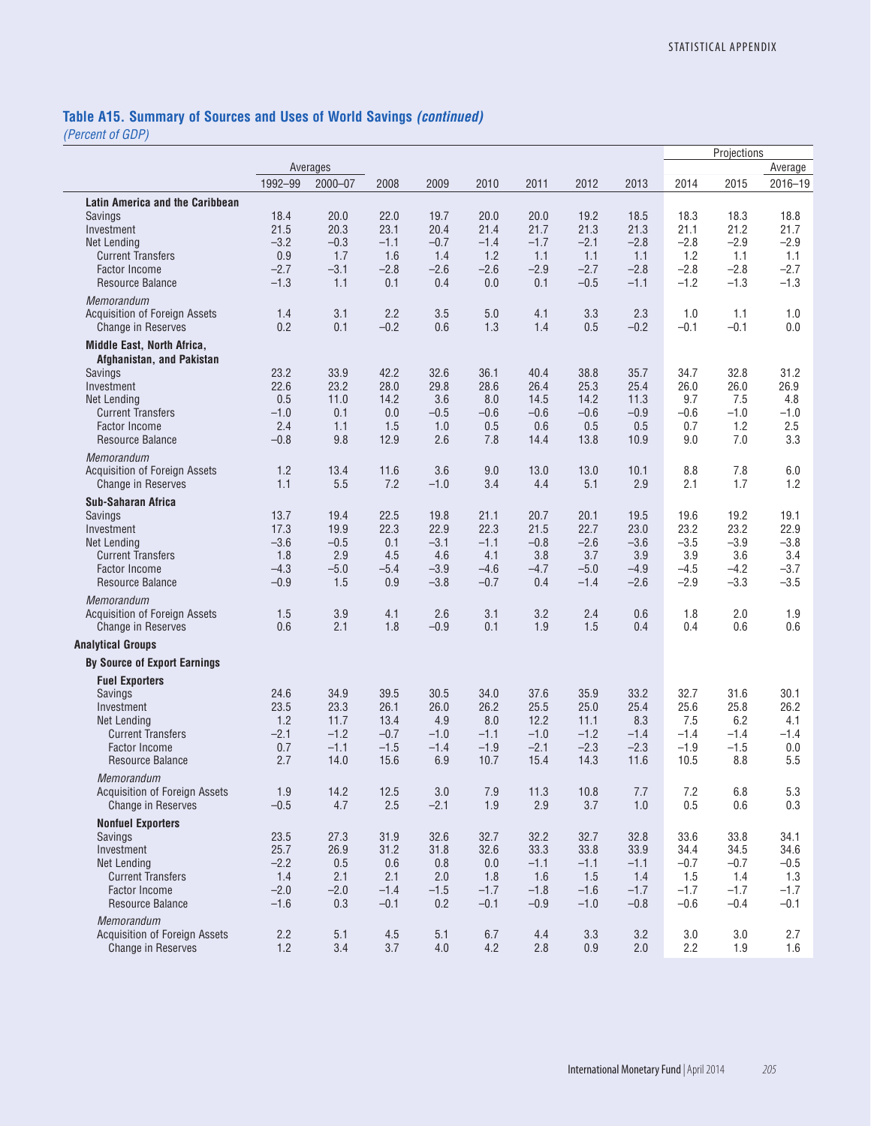# **Table A15. Summary of Sources and Uses of World Savings** *(continued)*

|                                                                                                                                                                                       |                                                   |                                                  |                                                  |                                                   |                                                   |                                                   |                                                   |                                                   |                                                   | Projections                                       |                                                   |
|---------------------------------------------------------------------------------------------------------------------------------------------------------------------------------------|---------------------------------------------------|--------------------------------------------------|--------------------------------------------------|---------------------------------------------------|---------------------------------------------------|---------------------------------------------------|---------------------------------------------------|---------------------------------------------------|---------------------------------------------------|---------------------------------------------------|---------------------------------------------------|
|                                                                                                                                                                                       |                                                   | Averages                                         |                                                  |                                                   |                                                   |                                                   |                                                   |                                                   |                                                   |                                                   | Average                                           |
|                                                                                                                                                                                       | 1992-99                                           | $2000 - 07$                                      | 2008                                             | 2009                                              | 2010                                              | 2011                                              | 2012                                              | 2013                                              | 2014                                              | 2015                                              | 2016-19                                           |
| <b>Latin America and the Caribbean</b><br>Savings<br>Investment<br>Net Lending<br><b>Current Transfers</b><br><b>Factor Income</b><br><b>Resource Balance</b>                         | 18.4<br>21.5<br>$-3.2$<br>0.9<br>$-2.7$<br>$-1.3$ | 20.0<br>20.3<br>$-0.3$<br>1.7<br>$-3.1$<br>1.1   | 22.0<br>23.1<br>$-1.1$<br>1.6<br>$-2.8$<br>0.1   | 19.7<br>20.4<br>$-0.7$<br>1.4<br>$-2.6$<br>0.4    | 20.0<br>21.4<br>$-1.4$<br>1.2<br>$-2.6$<br>0.0    | 20.0<br>21.7<br>$-1.7$<br>1.1<br>$-2.9$<br>0.1    | 19.2<br>21.3<br>$-2.1$<br>1.1<br>$-2.7$<br>$-0.5$ | 18.5<br>21.3<br>$-2.8$<br>1.1<br>$-2.8$<br>$-1.1$ | 18.3<br>21.1<br>$-2.8$<br>1.2<br>$-2.8$<br>$-1.2$ | 18.3<br>21.2<br>$-2.9$<br>1.1<br>$-2.8$<br>$-1.3$ | 18.8<br>21.7<br>$-2.9$<br>1.1<br>$-2.7$<br>$-1.3$ |
| Memorandum<br><b>Acquisition of Foreign Assets</b><br><b>Change in Reserves</b>                                                                                                       | 1.4<br>0.2                                        | 3.1<br>0.1                                       | 2.2<br>$-0.2$                                    | 3.5<br>0.6                                        | 5.0<br>1.3                                        | 4.1<br>1.4                                        | 3.3<br>0.5                                        | 2.3<br>$-0.2$                                     | 1.0<br>$-0.1$                                     | 1.1<br>$-0.1$                                     | 1.0<br>0.0                                        |
| Middle East, North Africa,<br>Afghanistan, and Pakistan<br><b>Savings</b><br>Investment<br>Net Lending<br><b>Current Transfers</b><br><b>Factor Income</b><br><b>Resource Balance</b> | 23.2<br>22.6<br>0.5<br>$-1.0$<br>2.4<br>$-0.8$    | 33.9<br>23.2<br>11.0<br>0.1<br>1.1<br>9.8        | 42.2<br>28.0<br>14.2<br>0.0<br>1.5<br>12.9       | 32.6<br>29.8<br>3.6<br>$-0.5$<br>1.0<br>2.6       | 36.1<br>28.6<br>8.0<br>$-0.6$<br>0.5<br>7.8       | 40.4<br>26.4<br>14.5<br>$-0.6$<br>0.6<br>14.4     | 38.8<br>25.3<br>14.2<br>$-0.6$<br>0.5<br>13.8     | 35.7<br>25.4<br>11.3<br>$-0.9$<br>0.5<br>10.9     | 34.7<br>26.0<br>9.7<br>$-0.6$<br>0.7<br>9.0       | 32.8<br>26.0<br>7.5<br>$-1.0$<br>1.2<br>7.0       | 31.2<br>26.9<br>4.8<br>$-1.0$<br>2.5<br>3.3       |
| Memorandum<br>Acquisition of Foreign Assets<br>Change in Reserves                                                                                                                     | 1.2<br>1.1                                        | 13.4<br>5.5                                      | 11.6<br>7.2                                      | 3.6<br>$-1.0$                                     | 9.0<br>3.4                                        | 13.0<br>4.4                                       | 13.0<br>5.1                                       | 10.1<br>2.9                                       | 8.8<br>2.1                                        | 7.8<br>1.7                                        | 6.0<br>1.2                                        |
| <b>Sub-Saharan Africa</b><br>Savings<br>Investment<br><b>Net Lending</b><br><b>Current Transfers</b><br><b>Factor Income</b><br>Resource Balance                                      | 13.7<br>17.3<br>$-3.6$<br>1.8<br>$-4.3$<br>$-0.9$ | 19.4<br>19.9<br>$-0.5$<br>2.9<br>$-5.0$<br>1.5   | 22.5<br>22.3<br>0.1<br>4.5<br>$-5.4$<br>0.9      | 19.8<br>22.9<br>$-3.1$<br>4.6<br>$-3.9$<br>$-3.8$ | 21.1<br>22.3<br>$-1.1$<br>4.1<br>$-4.6$<br>$-0.7$ | 20.7<br>21.5<br>$-0.8$<br>3.8<br>$-4.7$<br>0.4    | 20.1<br>22.7<br>$-2.6$<br>3.7<br>$-5.0$<br>$-1.4$ | 19.5<br>23.0<br>$-3.6$<br>3.9<br>$-4.9$<br>$-2.6$ | 19.6<br>23.2<br>$-3.5$<br>3.9<br>$-4.5$<br>$-2.9$ | 19.2<br>23.2<br>$-3.9$<br>3.6<br>$-4.2$<br>$-3.3$ | 19.1<br>22.9<br>$-3.8$<br>3.4<br>$-3.7$<br>$-3.5$ |
| Memorandum<br>Acquisition of Foreign Assets<br>Change in Reserves                                                                                                                     | 1.5<br>0.6                                        | 3.9<br>2.1                                       | 4.1<br>1.8                                       | 2.6<br>$-0.9$                                     | 3.1<br>0.1                                        | 3.2<br>1.9                                        | 2.4<br>1.5                                        | 0.6<br>0.4                                        | 1.8<br>0.4                                        | 2.0<br>0.6                                        | 1.9<br>0.6                                        |
| <b>Analytical Groups</b>                                                                                                                                                              |                                                   |                                                  |                                                  |                                                   |                                                   |                                                   |                                                   |                                                   |                                                   |                                                   |                                                   |
| <b>By Source of Export Earnings</b>                                                                                                                                                   |                                                   |                                                  |                                                  |                                                   |                                                   |                                                   |                                                   |                                                   |                                                   |                                                   |                                                   |
| <b>Fuel Exporters</b><br>Savings<br>Investment<br><b>Net Lending</b><br><b>Current Transfers</b><br><b>Factor Income</b><br>Resource Balance                                          | 24.6<br>23.5<br>1.2<br>$-2.1$<br>0.7<br>2.7       | 34.9<br>23.3<br>11.7<br>$-1.2$<br>$-1.1$<br>14.0 | 39.5<br>26.1<br>13.4<br>$-0.7$<br>$-1.5$<br>15.6 | 30.5<br>26.0<br>4.9<br>$-1.0$<br>$-1.4$<br>6.9    | 34.0<br>26.2<br>8.0<br>$-1.1$<br>$-1.9$<br>10.7   | 37.6<br>25.5<br>12.2<br>$-1.0$<br>$-2.1$<br>15.4  | 35.9<br>25.0<br>11.1<br>$-1.2$<br>$-2.3$<br>14.3  | 33.2<br>25.4<br>8.3<br>$-1.4$<br>$-2.3$<br>11.6   | 32.7<br>25.6<br>7.5<br>$-1.4$<br>$-1.9$<br>10.5   | 31.6<br>25.8<br>6.2<br>$-1.4$<br>$-1.5$<br>8.8    | 30.1<br>26.2<br>4.1<br>$-1.4$<br>0.0<br>5.5       |
| Memorandum<br><b>Acquisition of Foreign Assets</b><br><b>Change in Reserves</b>                                                                                                       | 1.9<br>$-0.5$                                     | 14.2<br>4.7                                      | 12.5<br>2.5                                      | $3.0\,$<br>$-2.1$                                 | 7.9<br>1.9                                        | 11.3<br>2.9                                       | 10.8<br>3.7                                       | 7.7<br>1.0                                        | 7.2<br>0.5                                        | 6.8<br>0.6                                        | 5.3<br>0.3                                        |
| <b>Nonfuel Exporters</b><br>Savings<br>Investment<br><b>Net Lending</b><br><b>Current Transfers</b><br><b>Factor Income</b><br>Resource Balance                                       | 23.5<br>25.7<br>$-2.2$<br>1.4<br>$-2.0$<br>$-1.6$ | 27.3<br>26.9<br>0.5<br>2.1<br>$-2.0$<br>0.3      | 31.9<br>31.2<br>0.6<br>2.1<br>$-1.4$<br>$-0.1$   | 32.6<br>31.8<br>0.8<br>2.0<br>$-1.5$<br>0.2       | 32.7<br>32.6<br>0.0<br>1.8<br>$-1.7$<br>$-0.1$    | 32.2<br>33.3<br>$-1.1$<br>1.6<br>$-1.8$<br>$-0.9$ | 32.7<br>33.8<br>$-1.1$<br>1.5<br>$-1.6$<br>$-1.0$ | 32.8<br>33.9<br>$-1.1$<br>1.4<br>$-1.7$<br>$-0.8$ | 33.6<br>34.4<br>$-0.7$<br>1.5<br>$-1.7$<br>$-0.6$ | 33.8<br>34.5<br>$-0.7$<br>1.4<br>$-1.7$<br>$-0.4$ | 34.1<br>34.6<br>$-0.5$<br>1.3<br>$-1.7$<br>$-0.1$ |
| Memorandum<br><b>Acquisition of Foreign Assets</b><br><b>Change in Reserves</b>                                                                                                       | 2.2<br>$1.2$                                      | 5.1<br>3.4                                       | 4.5<br>3.7                                       | 5.1<br>4.0                                        | 6.7<br>4.2                                        | 4.4<br>2.8                                        | 3.3<br>0.9                                        | 3.2<br>2.0                                        | 3.0<br>2.2                                        | 3.0<br>1.9                                        | 2.7<br>1.6                                        |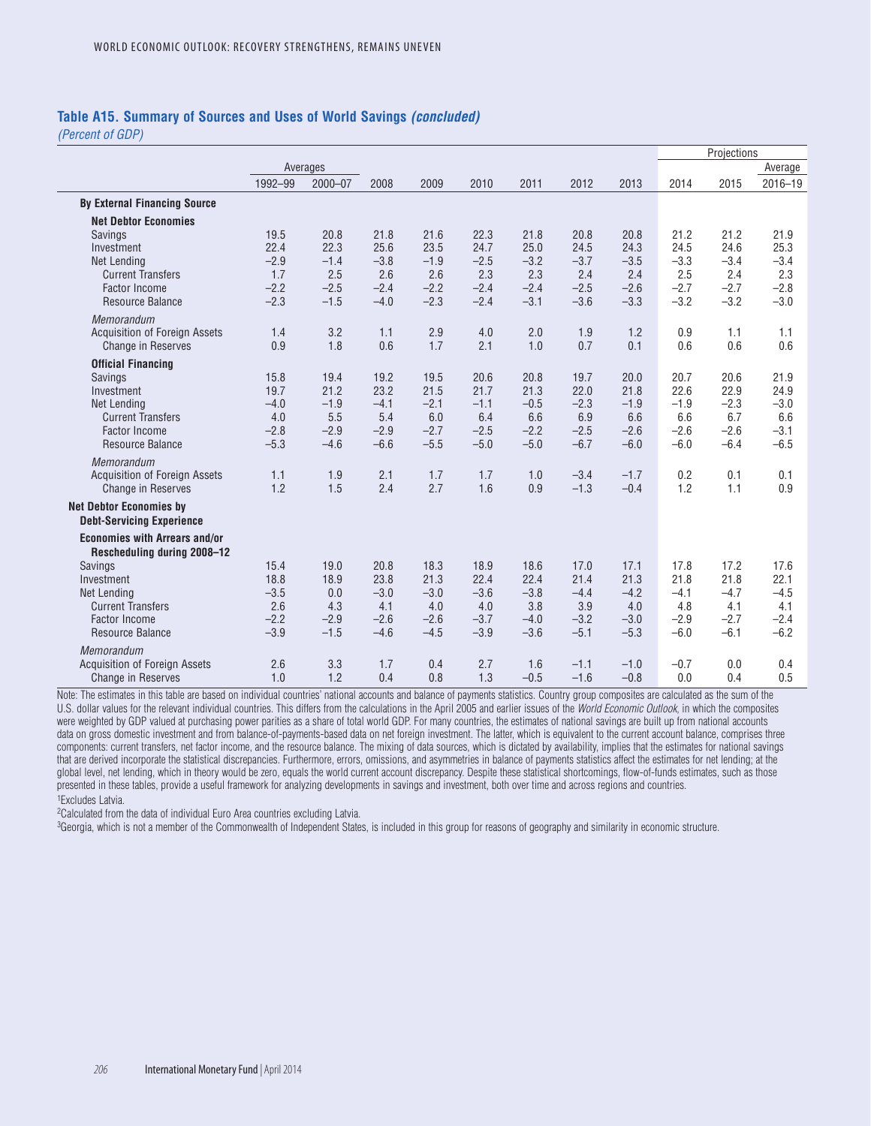#### **Table A15. Summary of Sources and Uses of World Savings** *(concluded)*

*(Percent of GDP)*

|                                                                     |                  |                  |                  |                  |                  |                  |                  | Projections      |                  |                  |                  |
|---------------------------------------------------------------------|------------------|------------------|------------------|------------------|------------------|------------------|------------------|------------------|------------------|------------------|------------------|
|                                                                     |                  | Averages         |                  |                  |                  |                  |                  |                  |                  |                  | Average          |
|                                                                     | 1992-99          | $2000 - 07$      | 2008             | 2009             | 2010             | 2011             | 2012             | 2013             | 2014             | 2015             | $2016 - 19$      |
| <b>By External Financing Source</b>                                 |                  |                  |                  |                  |                  |                  |                  |                  |                  |                  |                  |
| <b>Net Debtor Economies</b>                                         |                  |                  |                  |                  |                  |                  |                  |                  |                  |                  |                  |
| Savings                                                             | 19.5             | 20.8             | 21.8             | 21.6             | 22.3             | 21.8             | 20.8             | 20.8             | 21.2             | 21.2             | 21.9             |
| Investment                                                          | 22.4             | 22.3             | 25.6             | 23.5             | 24.7             | 25.0             | 24.5             | 24.3             | 24.5             | 24.6             | 25.3             |
| <b>Net Lending</b>                                                  | $-2.9$           | $-1.4$           | $-3.8$           | $-1.9$           | $-2.5$           | $-3.2$           | $-3.7$           | $-3.5$           | $-3.3$           | $-3.4$           | $-3.4$           |
| <b>Current Transfers</b>                                            | 1.7              | 2.5              | 2.6              | 2.6              | 2.3              | 2.3              | 2.4              | 2.4              | 2.5              | 2.4              | 2.3              |
| <b>Factor Income</b>                                                | $-2.2$           | $-2.5$           | $-2.4$           | $-2.2$           | $-2.4$           | $-2.4$           | $-2.5$           | $-2.6$           | $-2.7$           | $-2.7$           | $-2.8$           |
| <b>Resource Balance</b>                                             | $-2.3$           | $-1.5$           | $-4.0$           | $-2.3$           | $-2.4$           | $-3.1$           | $-3.6$           | $-3.3$           | $-3.2$           | $-3.2$           | $-3.0$           |
| <b>Memorandum</b>                                                   |                  |                  |                  |                  |                  |                  |                  |                  |                  |                  |                  |
| <b>Acquisition of Foreign Assets</b>                                | 1.4              | 3.2              | 1.1              | 2.9              | 4.0              | 2.0              | 1.9              | 1.2              | 0.9              | 1.1              | 1.1              |
| <b>Change in Reserves</b>                                           | 0.9              | 1.8              | 0.6              | 1.7              | 2.1              | 1.0              | 0.7              | 0.1              | 0.6              | 0.6              | 0.6              |
| <b>Official Financing</b>                                           |                  |                  |                  |                  |                  |                  |                  |                  |                  |                  |                  |
| Savings                                                             | 15.8             | 19.4             | 19.2             | 19.5             | 20.6             | 20.8             | 19.7             | 20.0             | 20.7             | 20.6             | 21.9             |
| Investment                                                          | 19.7             | 21.2             | 23.2             | 21.5             | 21.7             | 21.3             | 22.0             | 21.8             | 22.6             | 22.9             | 24.9             |
| Net Lending                                                         | $-4.0$           | $-1.9$           | $-4.1$           | $-2.1$           | $-1.1$           | $-0.5$           | $-2.3$           | $-1.9$           | $-1.9$           | $-2.3$           | $-3.0$           |
| <b>Current Transfers</b>                                            | 4.0              | 5.5              | 5.4              | 6.0              | 6.4              | 6.6              | 6.9              | 6.6              | 6.6              | 6.7              | 6.6              |
| <b>Factor Income</b><br><b>Resource Balance</b>                     | $-2.8$<br>$-5.3$ | $-2.9$<br>$-4.6$ | $-2.9$<br>$-6.6$ | $-2.7$<br>$-5.5$ | $-2.5$<br>$-5.0$ | $-2.2$<br>$-5.0$ | $-2.5$<br>$-6.7$ | $-2.6$<br>$-6.0$ | $-2.6$<br>$-6.0$ | $-2.6$<br>$-6.4$ | $-3.1$<br>$-6.5$ |
|                                                                     |                  |                  |                  |                  |                  |                  |                  |                  |                  |                  |                  |
| Memorandum                                                          |                  |                  |                  |                  |                  |                  |                  |                  |                  |                  |                  |
| <b>Acquisition of Foreign Assets</b>                                | 1.1              | 1.9              | 2.1              | 1.7              | 1.7              | 1.0              | $-3.4$           | $-1.7$<br>$-0.4$ | 0.2              | 0.1              | 0.1              |
| <b>Change in Reserves</b>                                           | 1.2              | 1.5              | 2.4              | 2.7              | 1.6              | 0.9              | $-1.3$           |                  | 1.2              | 1.1              | 0.9              |
| <b>Net Debtor Economies by</b>                                      |                  |                  |                  |                  |                  |                  |                  |                  |                  |                  |                  |
| <b>Debt-Servicing Experience</b>                                    |                  |                  |                  |                  |                  |                  |                  |                  |                  |                  |                  |
| <b>Economies with Arrears and/or</b><br>Rescheduling during 2008-12 |                  |                  |                  |                  |                  |                  |                  |                  |                  |                  |                  |
| <b>Savings</b>                                                      | 15.4             | 19.0             | 20.8             | 18.3             | 18.9             | 18.6             | 17.0             | 17.1             | 17.8             | 17.2             | 17.6             |
| Investment                                                          | 18.8             | 18.9             | 23.8             | 21.3             | 22.4             | 22.4             | 21.4             | 21.3             | 21.8             | 21.8             | 22.1             |
| <b>Net Lending</b>                                                  | $-3.5$           | 0.0              | $-3.0$           | $-3.0$           | $-3.6$           | $-3.8$           | $-4.4$           | $-4.2$           | $-4.1$           | $-4.7$           | $-4.5$           |
| <b>Current Transfers</b>                                            | 2.6              | 4.3              | 4.1              | 4.0              | 4.0              | 3.8              | 3.9              | 4.0              | 4.8              | 4.1              | 4.1              |
| Factor Income                                                       | $-2.2$           | $-2.9$           | $-2.6$           | $-2.6$           | $-3.7$           | $-4.0$           | $-3.2$           | $-3.0$           | $-2.9$           | $-2.7$           | $-2.4$           |
| Resource Balance                                                    | $-3.9$           | $-1.5$           | $-4.6$           | $-4.5$           | $-3.9$           | $-3.6$           | $-5.1$           | $-5.3$           | $-6.0$           | $-6.1$           | $-6.2$           |
| Memorandum                                                          |                  |                  |                  |                  |                  |                  |                  |                  |                  |                  |                  |
| Acquisition of Foreign Assets                                       | 2.6              | 3.3              | 1.7              | 0.4              | 2.7              | 1.6              | $-1.1$           | $-1.0$           | $-0.7$           | 0.0              | 0.4              |
| <b>Change in Reserves</b>                                           | 1.0              | 1.2              | 0.4              | 0.8              | 1.3              | $-0.5$           | $-1.6$           | $-0.8$           | 0.0              | 0.4              | 0.5              |

Note: The estimates in this table are based on individual countries' national accounts and balance of payments statistics. Country group composites are calculated as the sum of the U.S. dollar values for the relevant individual countries. This differs from the calculations in the April 2005 and earlier issues of the *World Economic Outlook*, in which the composites were weighted by GDP valued at purchasing power parities as a share of total world GDP. For many countries, the estimates of national savings are built up from national accounts data on gross domestic investment and from balance-of-payments-based data on net foreign investment. The latter, which is equivalent to the current account balance, comprises three components: current transfers, net factor income, and the resource balance. The mixing of data sources, which is dictated by availability, implies that the estimates for national savings that are derived incorporate the statistical discrepancies. Furthermore, errors, omissions, and asymmetries in balance of payments statistics affect the estimates for net lending; at the global level, net lending, which in theory would be zero, equals the world current account discrepancy. Despite these statistical shortcomings, flow-of-funds estimates, such as those presented in these tables, provide a useful framework for analyzing developments in savings and investment, both over time and across regions and countries.

1Excludes Latvia.

2Calculated from the data of individual Euro Area countries excluding Latvia.

3Georgia, which is not a member of the Commonwealth of Independent States, is included in this group for reasons of geography and similarity in economic structure.